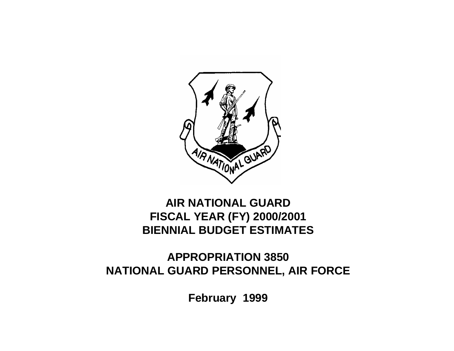

# **AIR NATIONAL GUARD FISCAL YEAR (FY) 2000/2001 BIENNIAL BUDGET ESTIMATES**

# **APPROPRIATION 3850 NATIONAL GUARD PERSONNEL, AIR FORCE**

**February 1999**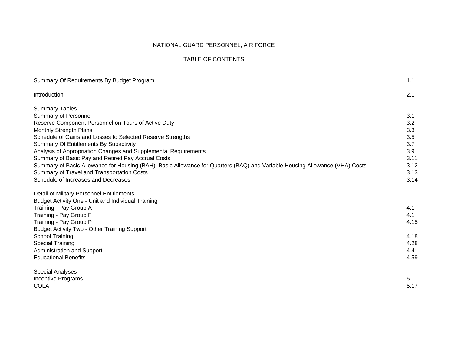# NATIONAL GUARD PERSONNEL, AIR FORCE

# TABLE OF CONTENTS

| Summary Of Requirements By Budget Program                                                                                   | 1.1  |
|-----------------------------------------------------------------------------------------------------------------------------|------|
| Introduction                                                                                                                | 2.1  |
| <b>Summary Tables</b>                                                                                                       |      |
| Summary of Personnel                                                                                                        | 3.1  |
| Reserve Component Personnel on Tours of Active Duty                                                                         | 3.2  |
| <b>Monthly Strength Plans</b>                                                                                               | 3.3  |
| Schedule of Gains and Losses to Selected Reserve Strengths                                                                  | 3.5  |
| Summary Of Entitlements By Subactivity                                                                                      | 3.7  |
| Analysis of Appropriation Changes and Supplemental Requirements                                                             | 3.9  |
| Summary of Basic Pay and Retired Pay Accrual Costs                                                                          | 3.11 |
| Summary of Basic Allowance for Housing (BAH), Basic Allowance for Quarters (BAQ) and Variable Housing Allowance (VHA) Costs | 3.12 |
| Summary of Travel and Transportation Costs                                                                                  | 3.13 |
| Schedule of Increases and Decreases                                                                                         | 3.14 |
| Detail of Military Personnel Entitlements                                                                                   |      |
| Budget Activity One - Unit and Individual Training                                                                          |      |
| Training - Pay Group A                                                                                                      | 4.1  |
| Training - Pay Group F                                                                                                      | 4.1  |
| Training - Pay Group P                                                                                                      | 4.15 |
| <b>Budget Activity Two - Other Training Support</b>                                                                         |      |
| School Training                                                                                                             | 4.18 |
| <b>Special Training</b>                                                                                                     | 4.28 |
| <b>Administration and Support</b>                                                                                           | 4.41 |
| <b>Educational Benefits</b>                                                                                                 | 4.59 |
| <b>Special Analyses</b>                                                                                                     |      |
| <b>Incentive Programs</b>                                                                                                   | 5.1  |
| <b>COLA</b>                                                                                                                 | 5.17 |
|                                                                                                                             |      |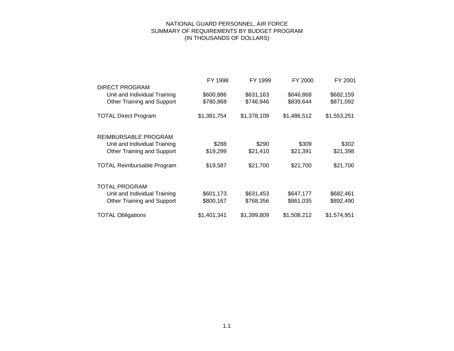# NATIONAL GUARD PERSONNEL, AIR FORCE SUMMARY OF REQUIREMENTS BY BUDGET PROGRAM (IN THOUSANDS OF DOLLARS)

|                                   | FY 1998     | FY 1999     | FY 2000     | FY 2001     |
|-----------------------------------|-------------|-------------|-------------|-------------|
| <b>DIRECT PROGRAM</b>             |             |             |             |             |
| Unit and Individual Training      | \$600,886   | \$631,163   | \$646,868   | \$682,159   |
| Other Training and Support        | \$780,868   | \$746,946   | \$839,644   | \$871,092   |
| <b>TOTAL Direct Program</b>       | \$1,381,754 | \$1,378,109 | \$1,486,512 | \$1,553,251 |
| REIMBURSABLE PROGRAM              |             |             |             |             |
| Unit and Individual Training      | \$288       | \$290       | \$309       | \$302       |
| Other Training and Support        | \$19,299    | \$21,410    | \$21,391    | \$21,398    |
| <b>TOTAL Reimbursable Program</b> | \$19,587    | \$21,700    | \$21,700    | \$21,700    |
| <b>TOTAL PROGRAM</b>              |             |             |             |             |
| Unit and Individual Training      | \$601,173   | \$631,453   | \$647,177   | \$682,461   |
| Other Training and Support        | \$800,167   | \$768,356   | \$861,035   | \$892,490   |
| <b>TOTAL Obligations</b>          | \$1,401,341 | \$1,399,809 | \$1,508,212 | \$1,574,951 |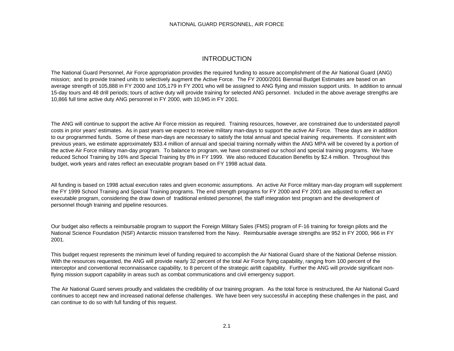# INTRODUCTION

The National Guard Personnel, Air Force appropriation provides the required funding to assure accomplishment of the Air National Guard (ANG) mission; and to provide trained units to selectively augment the Active Force. The FY 2000/2001 Biennial Budget Estimates are based on an average strength of 105,888 in FY 2000 and 105,179 in FY 2001 who will be assigned to ANG flying and mission support units. In addition to annual 15-day tours and 48 drill periods; tours of active duty will provide training for selected ANG personnel. Included in the above average strengths are 10,866 full time active duty ANG personnel in FY 2000, with 10,945 in FY 2001.

The ANG will continue to support the active Air Force mission as required. Training resources, however, are constrained due to understated payroll costs in prior years' estimates. As in past years we expect to receive military man-days to support the active Air Force. These days are in addition to our programmed funds. Some of these man-days are necessary to satisfy the total annual and special training requirements. If consistent with previous years, we estimate approximately \$33.4 million of annual and special training normally within the ANG MPA will be covered by a portion of the active Air Force military man-day program. To balance to program, we have constrained our school and special training programs. We have reduced School Training by 16% and Special Training by 8% in FY 1999. We also reduced Education Benefits by \$2.4 million. Throughout this budget, work years and rates reflect an executable program based on FY 1998 actual data.

All funding is based on 1998 actual execution rates and given economic assumptions. An active Air Force military man-day program will supplement the FY 1999 School Training and Special Training programs. The end strength programs for FY 2000 and FY 2001 are adjusted to reflect an executable program, considering the draw down of traditional enlisted personnel, the staff integration test program and the development of personnel though training and pipeline resources.

Our budget also reflects a reimbursable program to support the Foreign Military Sales (FMS) program of F-16 training for foreign pilots and the National Science Foundation (NSF) Antarctic mission transferred from the Navy. Reimbursable average strengths are 952 in FY 2000, 966 in FY 2001.

This budget request represents the minimum level of funding required to accomplish the Air National Guard share of the National Defense mission. With the resources requested, the ANG will provide nearly 32 percent of the total Air Force flying capability, ranging from 100 percent of the interceptor and conventional reconnaissance capability, to 8 percent of the strategic airlift capability. Further the ANG will provide significant nonflying mission support capability in areas such as combat communications and civil emergency support.

The Air National Guard serves proudly and validates the credibility of our training program. As the total force is restructured, the Air National Guard continues to accept new and increased national defense challenges. We have been very successful in accepting these challenges in the past, and can continue to do so with full funding of this request.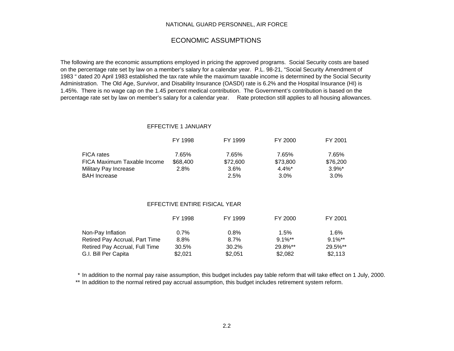## NATIONAL GUARD PERSONNEL, AIR FORCE

# ECONOMIC ASSUMPTIONS

The following are the economic assumptions employed in pricing the approved programs. Social Security costs are based on the percentage rate set by law on a member's salary for a calendar year. P.L. 98-21, "Social Security Amendment of 1983 " dated 20 April 1983 established the tax rate while the maximum taxable income is determined by the Social Security Administration. The Old Age, Survivor, and Disability Insurance (OASDI) rate is 6.2% and the Hospital Insurance (HI) is 1.45%. There is no wage cap on the 1.45 percent medical contribution. The Government's contribution is based on the percentage rate set by law on member's salary for a calendar year. Rate protection still applies to all housing allowances.

## EFFECTIVE 1 JANUARY

|                             | FY 1998  | FY 1999  | FY 2000   | FY 2001   |
|-----------------------------|----------|----------|-----------|-----------|
| <b>FICA</b> rates           | 7.65%    | 7.65%    | 7.65%     | 7.65%     |
| FICA Maximum Taxable Income | \$68,400 | \$72,600 | \$73.800  | \$76,200  |
| Military Pay Increase       | 2.8%     | $3.6\%$  | $4.4\%$ * | $3.9\%$ * |
| <b>BAH Increase</b>         |          | 2.5%     | $3.0\%$   | $3.0\%$   |

## EFFECTIVE ENTIRE FISICAL YEAR

|                                | FY 1998 | FY 1999 | FY 2000               | FY 2001               |
|--------------------------------|---------|---------|-----------------------|-----------------------|
| Non-Pay Inflation              | $0.7\%$ | 0.8%    | 1.5%                  | 1.6%                  |
| Retired Pay Accrual, Part Time | 8.8%    | 8.7%    | $9.1\%$ <sup>**</sup> | $9.1\%$ <sup>**</sup> |
| Retired Pay Accrual, Full Time | 30.5%   | 30.2%   | $29.8\%$ **           | 29.5%**               |
| G.I. Bill Per Capita           | \$2,021 | \$2,051 | \$2,082               | \$2,113               |

\* In addition to the normal pay raise assumption, this budget includes pay table reform that will take effect on 1 July, 2000. \*\* In addition to the normal retired pay accrual assumption, this budget includes retirement system reform.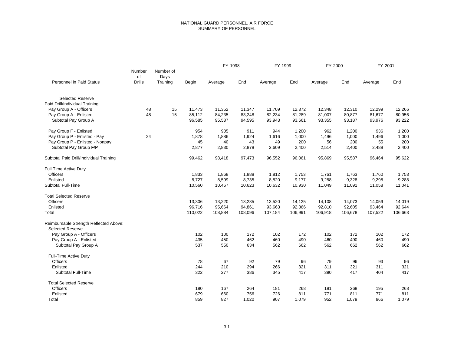### NATIONAL GUARD PERSONNEL, AIR FORCE SUMMARY OF PERSONNEL

|                                         |                               |                               |         | FY 1998 |         | FY 1999 |         | FY 2000 |         | FY 2001 |         |
|-----------------------------------------|-------------------------------|-------------------------------|---------|---------|---------|---------|---------|---------|---------|---------|---------|
| <b>Personnel in Paid Status</b>         | Number<br>of<br><b>Drills</b> | Number of<br>Days<br>Training | Begin   | Average | End     | Average | End     | Average | End     | Average | End     |
| <b>Selected Reserve</b>                 |                               |                               |         |         |         |         |         |         |         |         |         |
| Paid Drill/Individual Training          |                               |                               |         |         |         |         |         |         |         |         |         |
| Pay Group A - Officers                  | 48                            | 15                            | 11,473  | 11,352  | 11,347  | 11,709  | 12,372  | 12,348  | 12,310  | 12,299  | 12,266  |
| Pay Group A - Enlisted                  | 48                            | 15                            | 85,112  | 84,235  | 83,248  | 82,234  | 81,289  | 81,007  | 80,877  | 81,677  | 80,956  |
| Subtotal Pay Group A                    |                               |                               | 96,585  | 95,587  | 94,595  | 93,943  | 93,661  | 93,355  | 93,187  | 93,976  | 93,222  |
| Pay Group F - Enlisted                  |                               |                               | 954     | 905     | 911     | 944     | 1,200   | 962     | 1,200   | 936     | 1,200   |
| Pay Group P - Enlisted - Pay            | 24                            |                               | 1,878   | 1,886   | 1,924   | 1,616   | 1,000   | 1,496   | 1,000   | 1,496   | 1,000   |
| Pay Group P - Enlisted - Nonpay         |                               |                               | 45      | 40      | 43      | 49      | 200     | 56      | 200     | 55      | 200     |
| Subtotal Pay Group F/P                  |                               |                               | 2,877   | 2,830   | 2,878   | 2,609   | 2,400   | 2,514   | 2,400   | 2,488   | 2,400   |
| Subtotal Paid Drill/Individual Training |                               |                               | 99,462  | 98,418  | 97,473  | 96,552  | 96,061  | 95,869  | 95,587  | 96,464  | 95,622  |
| Full Time Active Duty                   |                               |                               |         |         |         |         |         |         |         |         |         |
| <b>Officers</b>                         |                               |                               | 1,833   | 1,868   | 1,888   | 1,812   | 1,753   | 1,761   | 1,763   | 1,760   | 1,753   |
| Enlisted                                |                               |                               | 8,727   | 8,599   | 8,735   | 8,820   | 9,177   | 9,288   | 9,328   | 9,298   | 9,288   |
| <b>Subtotal Full-Time</b>               |                               |                               | 10,560  | 10,467  | 10,623  | 10,632  | 10,930  | 11,049  | 11,091  | 11,058  | 11,041  |
| <b>Total Selected Reserve</b>           |                               |                               |         |         |         |         |         |         |         |         |         |
| <b>Officers</b>                         |                               |                               | 13,306  | 13,220  | 13,235  | 13,520  | 14,125  | 14,108  | 14,073  | 14,059  | 14,019  |
| Enlisted                                |                               |                               | 96,716  | 95,664  | 94,861  | 93,663  | 92,866  | 92,810  | 92,605  | 93,464  | 92,644  |
| Total                                   |                               |                               | 110,022 | 108,884 | 108,096 | 107,184 | 106,991 | 106,918 | 106,678 | 107,522 | 106,663 |
| Reimbursable Strength Reflected Above:  |                               |                               |         |         |         |         |         |         |         |         |         |
| <b>Selected Reserve</b>                 |                               |                               |         |         |         |         |         |         |         |         |         |
| Pay Group A - Officers                  |                               |                               | 102     | 100     | 172     | 102     | 172     | 102     | 172     | 102     | 172     |
| Pay Group A - Enlisted                  |                               |                               | 435     | 450     | 462     | 460     | 490     | 460     | 490     | 460     | 490     |
| Subtotal Pay Group A                    |                               |                               | 537     | 550     | 634     | 562     | 662     | 562     | 662     | 562     | 662     |
| <b>Full-Time Active Duty</b>            |                               |                               |         |         |         |         |         |         |         |         |         |
| Officers                                |                               |                               | 78      | 67      | 92      | 79      | 96      | 79      | 96      | 93      | 96      |
| Enlisted                                |                               |                               | 244     | 210     | 294     | 266     | 321     | 311     | 321     | 311     | 321     |
| <b>Subtotal Full-Time</b>               |                               |                               | 322     | 277     | 386     | 345     | 417     | 390     | 417     | 404     | 417     |
| <b>Total Selected Reserve</b>           |                               |                               |         |         |         |         |         |         |         |         |         |
| Officers                                |                               |                               | 180     | 167     | 264     | 181     | 268     | 181     | 268     | 195     | 268     |
| Enlisted                                |                               |                               | 679     | 660     | 756     | 726     | 811     | 771     | 811     | 771     | 811     |
| Total                                   |                               |                               | 859     | 827     | 1,020   | 907     | 1,079   | 952     | 1,079   | 966     | 1,079   |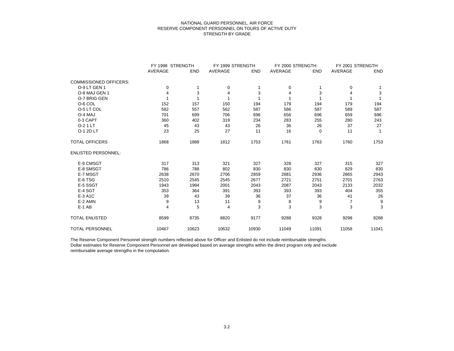#### NATIONAL GUARD PERSONNEL, AIR FORCE RESERVE COMPONENT PERSONNEL ON TOURS OF ACTIVE DUTY STRENGTH BY GRADE

|                               | FY 1998 STRENGTH |            | FY 1999 STRENGTH |       | FY 2000 STRENGTH |            | FY 2001 STRENGTH |              |  |
|-------------------------------|------------------|------------|------------------|-------|------------------|------------|------------------|--------------|--|
|                               | AVERAGE          | <b>END</b> | AVERAGE          | END   | AVERAGE          | <b>END</b> | AVERAGE          | END          |  |
| <b>COMMISSIONED OFFICERS:</b> |                  |            |                  |       |                  |            |                  |              |  |
| O-9 LT GEN 1                  | 0                | 1          | 0                |       | 0                |            | $\Omega$         |              |  |
| O-8 MAJ GEN 1                 | 4                | 3          | $\overline{4}$   | 3     | 4                | 3          | 4                | 3            |  |
| O-7 BRIG GEN                  |                  | 1          |                  |       | 1                |            |                  |              |  |
| O-6 COL                       | 152              | 157        | 150              | 194   | 179              | 194        | 179              | 194          |  |
| O-5 LT COL                    | 582              | 557        | 562              | 587   | 586              | 587        | 589              | 587          |  |
| O-4 MAJ                       | 701              | 699        | 706              | 696   | 656              | 696        | 659              | 696          |  |
| 0-3 CAPT                      | 360              | 402        | 319              | 234   | 283              | 255        | 280              | 243          |  |
| O-2 1 LT                      | 45               | 43         | 43               | 26    | 36               | 26         | 37               | 27           |  |
| O-1 2D LT                     | 23               | 25         | 27               | 11    | 16               | 0          | 11               | $\mathbf{1}$ |  |
| <b>TOTAL OFFICERS</b>         | 1868             | 1888       | 1812             | 1753  | 1761             | 1763       | 1760             | 1753         |  |
| <b>ENLISTED PERSONNEL:</b>    |                  |            |                  |       |                  |            |                  |              |  |
| E-9 CMSGT                     | 317              | 313        | 321              | 327   | 328              | 327        | 315              | 327          |  |
| E-8 SMSGT                     | 786              | 788        | 802              | 830   | 830              | 830        | 829              | 830          |  |
| E-7 MSGT                      | 2638             | 2670       | 2706             | 2859  | 2881             | 2936       | 2865             | 2943         |  |
| E-6 TSG                       | 2510             | 2545       | 2545             | 2677  | 2721             | 2751       | 2701             | 2763         |  |
| E-5 SSGT                      | 1943             | 1994       | 2001             | 2043  | 2087             | 2043       | 2133             | 2032         |  |
| E-4 SGT                       | 353              | 364        | 391              | 393   | 393              | 393        | 404              | 355          |  |
| E-3 A1C                       | 39               | 43         | 39               | 36    | 37               | 36         | 41               | 26           |  |
| E-2 AMN                       | 9                | 13         | 11               | 9     | 8                | 9          |                  | 9            |  |
| $E-1$ AB                      | 4                | 5          | $\overline{4}$   | 3     | 3                | 3          | 3                | 3            |  |
| <b>TOTAL ENLISTED</b>         | 8599             | 8735       | 8820             | 9177  | 9288             | 9328       | 9298             | 9288         |  |
| <b>TOTAL PERSONNEL</b>        | 10467            | 10623      | 10632            | 10930 | 11049            | 11091      | 11058            | 11041        |  |

The Reserve Component Personnel strength numbers reflected above for Officer and Enlisted do not include reimbursable strengths. Dollar estimates for Reserve Component Personnel are developed based on average strengths within the direct program only and exclude reimbursable average strengths in the computation.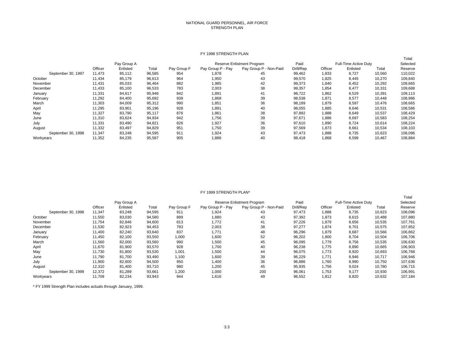#### NATIONAL GUARD PERSONNEL, AIR FORCE STRENGTH PLAN

#### FY 1998 STRENGTH PLAN

|                    |         |             |        |             |                   |                            | Paid      |         |                       |        | Total    |
|--------------------|---------|-------------|--------|-------------|-------------------|----------------------------|-----------|---------|-----------------------|--------|----------|
|                    |         | Pay Group A |        |             |                   | Reserve Enlistment Program |           |         | Full-Time Active Duty |        | Selected |
|                    | Officer | Enlisted    | Total  | Pay Group F | Pay Group P - Pay | Pay Group P - Non-Paid     | Drill/Rep | Officer | Enlisted              | Total  | Reserve  |
| September 30, 1997 | 11,473  | 85,112      | 96,585 | 954         | 1,878             | 45                         | 99,462    | 1,833   | 8,727                 | 10,560 | 110,022  |
| October            | 11,434  | 85,179      | 96,613 | 964         | 1,950             | 43                         | 99,570    | 1,825   | 8,445                 | 10,270 | 109,840  |
| November           | 11,431  | 85,033      | 96,464 | 882         | 1,985             | 42                         | 99,373    | 1,840   | 8,452                 | 10,292 | 109,665  |
| December           | 11,433  | 85,100      | 96,533 | 783         | 2,003             | 38                         | 99,357    | 1,854   | 8,477                 | 10,331 | 109,688  |
| January            | 11,331  | 84,617      | 95,948 | 842         | 1,891             | 41                         | 98,722    | 1,862   | 8,529                 | 10,391 | 109,113  |
| February           | 11,292  | 84,400      | 95,692 | 939         | 1,868             | 39                         | 98,538    | 1,871   | 8,577                 | 10,448 | 108,986  |
| March              | 11,303  | 84,009      | 95,312 | 990         | 1,851             | 36                         | 98,189    | 1,879   | 8,597                 | 10,476 | 108,665  |
| April              | 11,295  | 83,901      | 95,196 | 928         | 1,891             | 40                         | 98,055    | 1,885   | 8,646                 | 10,531 | 108,586  |
| May                | 11,327  | 83,790      | 95,117 | 876         | 1,861             | 38                         | 97,892    | 1,888   | 8,649                 | 10,537 | 108,429  |
| June               | 11,310  | 83,624      | 94,934 | 942         | 1,756             | 39                         | 97,671    | 1,886   | 8,697                 | 10,583 | 108,254  |
| July               | 11,331  | 83,490      | 94,821 | 826         | 1,927             | 36                         | 97,610    | 1,890   | 8.724                 | 10,614 | 108,224  |
| August             | 11,332  | 83,497      | 94,829 | 951         | 1,750             | 39                         | 97,569    | 1,873   | 8,661                 | 10,534 | 108,103  |
| September 30, 1998 | 11,347  | 83,248      | 94,595 | 911         | 1,924             | 43                         | 97,473    | 1,888   | 8,735                 | 10,623 | 108,096  |
| Workyears          | 11,352  | 84,235      | 95,587 | 905         | 1,886             | 40                         | 98.418    | 1,868   | 8,599                 | 10.467 | 108,884  |

#### FY 1999 STRENGTH PLAN\*

|                    |         | Pay Group A |        |             |                   | <b>Reserve Enlistment Program</b> | Paid      |         | Full-Time Active Duty |        | Total<br>Selected |
|--------------------|---------|-------------|--------|-------------|-------------------|-----------------------------------|-----------|---------|-----------------------|--------|-------------------|
|                    | Officer | Enlisted    | Total  | Pay Group F | Pay Group P - Pay | Pay Group P - Non-Paid            | Drill/Rep | Officer | Enlisted              | Total  | Reserve           |
| September 30, 1998 | 11,347  | 83,248      | 94,595 | 911         | 1,924             | 43                                | 97,473    | 1,888   | 8,735                 | 10.623 | 108,096           |
| October            | 11,550  | 83,030      | 94,580 | 889         | 1,880             | 43                                | 97,392    | 1,873   | 8,615                 | 10,488 | 107,880           |
| November           | 11,754  | 82,846      | 94,600 | 813         | 1,772             | 41                                | 97,226    | 1,879   | 8,656                 | 10,535 | 107,761           |
| December           | 11,530  | 82,923      | 94,453 | 783         | 2,003             | 38                                | 97,277    | 1,874   | 8,701                 | 10,575 | 107,852           |
| January            | 11,400  | 82,240      | 93,640 | 837         | 1,771             | 48                                | 96,296    | 1,879   | 8,687                 | 10,566 | 106,862           |
| February           | 11,450  | 82,100      | 93,550 | 1,000       | 1,600             | 52                                | 96,202    | 1,800   | 8,704                 | 10,504 | 106,706           |
| March              | 11,560  | 82,000      | 93,560 | 990         | 1,500             | 45                                | 96,095    | 1,779   | 8,756                 | 10,535 | 106,630           |
| April              | 11,670  | 81,900      | 93,570 | 928         | 1,700             | 40                                | 96,238    | 1,775   | 8,890                 | 10,665 | 106,903           |
| May                | 11,730  | 81,800      | 93,530 | 1,001       | 1,500             | 44                                | 96,075    | 1,773   | 8,920                 | 10,693 | 106,768           |
| June               | 11,790  | 81,700      | 93,490 | 1,100       | 1,600             | 39                                | 96,229    | 1,771   | 8,946                 | 10,717 | 106,946           |
| July               | 11,900  | 82,600      | 94,500 | 950         | 1,400             | 36                                | 96,886    | 1,760   | 8,990                 | 10,750 | 107,636           |
| August             | 12,310  | 81,400      | 93,710 | 980         | 1,200             | 45                                | 95,935    | 1,756   | 9,024                 | 10.780 | 106,715           |
| September 30, 1999 | 12,372  | 81,289      | 93,661 | 1,200       | 1,000             | 200                               | 96,061    | 1,753   | 9,177                 | 10,930 | 106,991           |
| Workyears          | 11,709  | 82,234      | 93,943 | 944         | 1,616             | 49                                | 96,552    | 1,812   | 8,820                 | 10,632 | 107,184           |

\* FY 1999 Strength Plan includes actuals through January, 1999.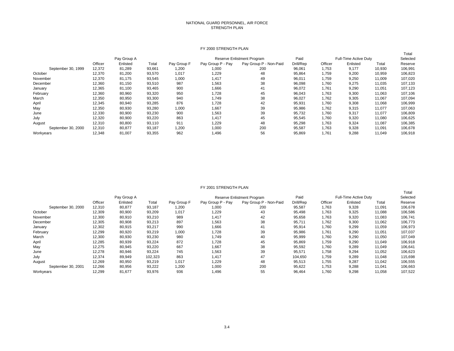#### NATIONAL GUARD PERSONNEL, AIR FORCE STRENGTH PLAN

#### FY 2000 STRENGTH PLAN

|                    |             |          |        |                            | $1.1$ 2000 0 $11$ $1.1$ 0 $11$ $1.1$ $1.1$ |                        |                       |         |          |          |         |
|--------------------|-------------|----------|--------|----------------------------|--------------------------------------------|------------------------|-----------------------|---------|----------|----------|---------|
|                    |             |          |        |                            |                                            |                        |                       |         |          |          | Total   |
|                    | Pay Group A |          |        | Reserve Enlistment Program |                                            |                        | Full-Time Active Duty |         |          | Selected |         |
|                    | Officer     | Enlisted | Total  | Pay Group F                | Pay Group P - Pay                          | Pay Group P - Non-Paid | Drill/Rep             | Officer | Enlisted | Total    | Reserve |
| September 30, 1999 | 12,372      | 81,289   | 93,661 | 1,200                      | 1,000                                      | 200                    | 96,061                | 1,753   | 9.177    | 10,930   | 106,991 |
| October            | 12,370      | 81,200   | 93,570 | 1,017                      | 1,229                                      | 48                     | 95,864                | 1,759   | 9,200    | 10,959   | 106,823 |
| November           | 12,370      | 81,175   | 93,545 | 1,000                      | 1,417                                      | 49                     | 96,011                | 1,759   | 9,250    | 11,009   | 107,020 |
| December           | 12,360      | 81,150   | 93,510 | 987                        | 1,563                                      | 38                     | 96,098                | 1,760   | 9,275    | 11,035   | 107,133 |
| January            | 12,365      | 81,100   | 93,465 | 900                        | 1,666                                      | 41                     | 96,072                | 1,761   | 9,290    | 11,051   | 107,123 |
| February           | 12,360      | 80,960   | 93,320 | 950                        | 1,728                                      | 45                     | 96,043                | 1,763   | 9,300    | 11,063   | 107,106 |
| March              | 12,350      | 80,950   | 93,300 | 940                        | 1,749                                      | 38                     | 96,027                | 1,762   | 9,305    | 11,067   | 107,094 |
| April              | 12,345      | 80,940   | 93,285 | 876                        | 1,728                                      | 42                     | 95,931                | 1,760   | 9,308    | 11,068   | 106,999 |
| May                | 12,350      | 80,930   | 93,280 | 1,000                      | 1,667                                      | 39                     | 95,986                | 1,762   | 9,315    | 11,077   | 107,063 |
| June               | 12,330      | 80,900   | 93,230 | 900                        | 1,563                                      | 39                     | 95,732                | 1,760   | 9,317    | 11.077   | 106,809 |
| July               | 12,320      | 80,900   | 93,220 | 863                        | 1,417                                      | 45                     | 95,545                | 1,760   | 9,320    | 11,080   | 106,625 |
| August             | 12,310      | 80,800   | 93,110 | 911                        | 1,229                                      | 48                     | 95,298                | 1,763   | 9,324    | 11,087   | 106,385 |
| September 30, 2000 | 12,310      | 80,877   | 93,187 | 1,200                      | 1,000                                      | 200                    | 95,587                | 1,763   | 9,328    | 11,091   | 106,678 |
| Workyears          | 12,348      | 81,007   | 93,355 | 962                        | 1,496                                      | 56                     | 95,869                | 1,761   | 9,288    | 11,049   | 106,918 |
|                    |             |          |        |                            |                                            |                        |                       |         |          |          |         |

#### FY 2001 STRENGTH PLAN

Total

|         | Pay Group A |         |             |                   |                        | Paid                       |         |          |        | Selected              |
|---------|-------------|---------|-------------|-------------------|------------------------|----------------------------|---------|----------|--------|-----------------------|
| Officer | Enlisted    | Total   | Pay Group F | Pay Group P - Pay | Pay Group P - Non-Paid | Drill/Rep                  | Officer | Enlisted | Total  | Reserve               |
| 12,310  | 80,877      | 93,187  | 1,200       | 1,000             | 200                    | 95,587                     | 1,763   | 9,328    | 11,091 | 106,678               |
| 12,309  | 80,900      | 93,209  | 1,017       | 1,229             | 43                     | 95,498                     | 1,763   | 9,325    | 11,088 | 106,586               |
| 12,300  | 80,910      | 93,210  | 989         | 1,417             | 42                     | 95,658                     | 1,763   | 9,320    | 11,083 | 106,741               |
| 12,305  | 80,908      | 93,213  | 897         | 1,563             | 38                     | 95,711                     | 1,762   | 9,300    | 11,062 | 106,773               |
| 12,302  | 80,915      | 93,217  | 990         | 1,666             | 41                     | 95,914                     | 1,760   | 9,299    | 11,059 | 106,973               |
| 12,299  | 80,920      | 93,219  | 1,000       | 1,728             | 39                     | 95,986                     | 1,761   | 9,290    | 11,051 | 107,037               |
| 12,300  | 80,930      | 93,230  | 980         | 749، ا            | 40                     | 95,999                     | 1,760   | 9,290    | 11,050 | 107,049               |
| 12,285  | 80,939      | 93,224  | 872         | 1,728             | 45                     | 95,869                     | 1,759   | 9,290    | 11,049 | 106,918               |
| 12,275  | 80,945      | 93,220  | 667         | 1,667             | 38                     | 95,592                     | 1,760   | 9,289    | 11,049 | 106,641               |
| 12,278  | 80,946      | 93,224  | 745         | 1,563             | 39                     | 95,571                     | 1,758   | 9,294    | 11,052 | 106,623               |
| 12,374  | 89,949      | 102,323 | 863         | 1.417             | 47                     | 104,650                    | 1,759   | 9,289    | 11,048 | 115,698               |
| 12,269  | 80,950      | 93,219  | 1,017       | 1,229             | 48                     | 95,513                     | 1,755   | 9,287    | 11,042 | 106,555               |
| 12,266  | 80,956      | 93.222  | 1,200       | 1,000             | 200                    | 95.622                     | 1,753   | 9,288    | 11,041 | 106,663               |
| 12,299  | 81,677      | 93,976  | 936         | 1,496             | 55                     | 96,464                     | 1,760   | 9,298    | 11,058 | 107,522               |
|         |             |         |             |                   |                        | Reserve Enlistment Program |         |          |        | Full-Time Active Duty |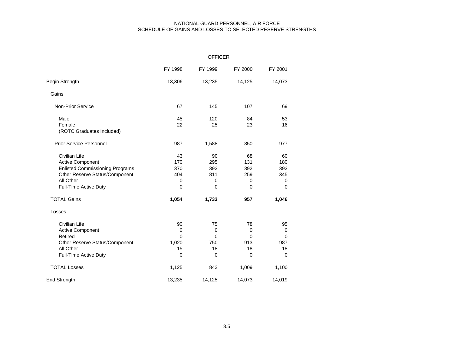## NATIONAL GUARD PERSONNEL, AIR FORCE SCHEDULE OF GAINS AND LOSSES TO SELECTED RESERVE STRENGTHS

|                                                                                                                                                            |                                                   | <b>OFFICER</b>                                  |                                             |                                             |
|------------------------------------------------------------------------------------------------------------------------------------------------------------|---------------------------------------------------|-------------------------------------------------|---------------------------------------------|---------------------------------------------|
|                                                                                                                                                            | FY 1998                                           | FY 1999                                         | FY 2000                                     | FY 2001                                     |
| Begin Strength                                                                                                                                             | 13,306                                            | 13,235                                          | 14,125                                      | 14,073                                      |
| Gains                                                                                                                                                      |                                                   |                                                 |                                             |                                             |
| <b>Non-Prior Service</b>                                                                                                                                   | 67                                                | 145                                             | 107                                         | 69                                          |
| Male<br>Female<br>(ROTC Graduates Included)                                                                                                                | 45<br>22                                          | 120<br>25                                       | 84<br>23                                    | 53<br>16                                    |
| <b>Prior Service Personnel</b>                                                                                                                             | 987                                               | 1,588                                           | 850                                         | 977                                         |
| Civilian Life<br><b>Active Component</b><br><b>Enlisted Commissioning Programs</b><br>Other Reserve Status/Component<br>All Other<br>Full-Time Active Duty | 43<br>170<br>370<br>404<br>0<br>$\mathbf 0$       | 90<br>295<br>392<br>811<br>0<br>$\mathbf 0$     | 68<br>131<br>392<br>259<br>0<br>$\mathbf 0$ | 60<br>180<br>392<br>345<br>0<br>$\mathbf 0$ |
| <b>TOTAL Gains</b>                                                                                                                                         | 1,054                                             | 1,733                                           | 957                                         | 1,046                                       |
| Losses                                                                                                                                                     |                                                   |                                                 |                                             |                                             |
| <b>Civilian Life</b><br>Active Component<br><b>Retired</b><br>Other Reserve Status/Component<br>All Other<br>Full-Time Active Duty                         | 90<br>0<br>$\Omega$<br>1,020<br>15<br>$\mathbf 0$ | 75<br>0<br>$\Omega$<br>750<br>18<br>$\mathbf 0$ | 78<br>0<br>0<br>913<br>18<br>$\mathbf 0$    | 95<br>0<br>$\Omega$<br>987<br>18<br>0       |
| <b>TOTAL Losses</b>                                                                                                                                        | 1,125                                             | 843                                             | 1,009                                       | 1,100                                       |
| <b>End Strength</b>                                                                                                                                        | 13,235                                            | 14,125                                          | 14,073                                      | 14,019                                      |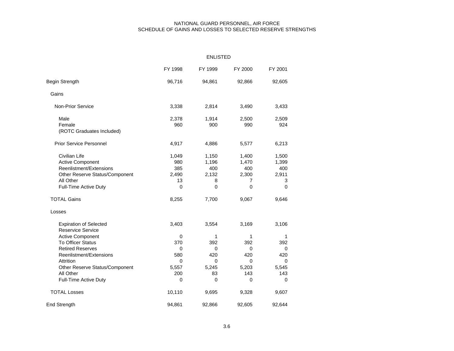## NATIONAL GUARD PERSONNEL, AIR FORCE SCHEDULE OF GAINS AND LOSSES TO SELECTED RESERVE STRENGTHS

|                                                                                                                                                                       | <b>ENLISTED</b>                                  |                                                 |                                                      |                                           |  |  |  |  |
|-----------------------------------------------------------------------------------------------------------------------------------------------------------------------|--------------------------------------------------|-------------------------------------------------|------------------------------------------------------|-------------------------------------------|--|--|--|--|
|                                                                                                                                                                       | FY 1998                                          | FY 1999                                         | FY 2000                                              | FY 2001                                   |  |  |  |  |
| Begin Strength                                                                                                                                                        | 96,716                                           | 94,861                                          | 92,866                                               | 92,605                                    |  |  |  |  |
| Gains                                                                                                                                                                 |                                                  |                                                 |                                                      |                                           |  |  |  |  |
| <b>Non-Prior Service</b>                                                                                                                                              | 3,338                                            | 2,814                                           | 3,490                                                | 3,433                                     |  |  |  |  |
| Male<br>Female<br>(ROTC Graduates Included)                                                                                                                           | 2,378<br>960                                     | 1,914<br>900                                    | 2,500<br>990                                         | 2,509<br>924                              |  |  |  |  |
| <b>Prior Service Personnel</b>                                                                                                                                        | 4,917                                            | 4,886                                           | 5,577                                                | 6,213                                     |  |  |  |  |
| <b>Civilian Life</b><br><b>Active Component</b><br>Reenlistment/Extensions<br>Other Reserve Status/Component<br>All Other<br>Full-Time Active Duty                    | 1,049<br>980<br>385<br>2,490<br>13<br>$\Omega$   | 1,150<br>1,196<br>400<br>2,132<br>8<br>$\Omega$ | 1,400<br>1,470<br>400<br>2,300<br>7<br>$\Omega$      | 1,500<br>1,399<br>400<br>2,911<br>3<br>0  |  |  |  |  |
| <b>TOTAL Gains</b>                                                                                                                                                    | 8,255                                            | 7,700                                           | 9,067                                                | 9,646                                     |  |  |  |  |
| Losses                                                                                                                                                                |                                                  |                                                 |                                                      |                                           |  |  |  |  |
| <b>Expiration of Selected</b><br><b>Reservice Service</b>                                                                                                             | 3,403                                            | 3,554                                           | 3,169                                                | 3,106                                     |  |  |  |  |
| <b>Active Component</b><br><b>To Officer Status</b><br><b>Retired Reserves</b><br>Reenlistment/Extensions<br>Attrition<br>Other Reserve Status/Component<br>All Other | 0<br>370<br>0<br>580<br>$\Omega$<br>5,557<br>200 | 1<br>392<br>0<br>420<br>$\Omega$<br>5,245<br>83 | $\mathbf{1}$<br>392<br>0<br>420<br>0<br>5,203<br>143 | 1<br>392<br>0<br>420<br>0<br>5,545<br>143 |  |  |  |  |
| Full-Time Active Duty<br><b>TOTAL Losses</b>                                                                                                                          | 0<br>10,110                                      | 0<br>9,695                                      | 0<br>9,328                                           | 0<br>9,607                                |  |  |  |  |
| <b>End Strength</b>                                                                                                                                                   | 94,861                                           | 92,866                                          | 92,605                                               | 92,644                                    |  |  |  |  |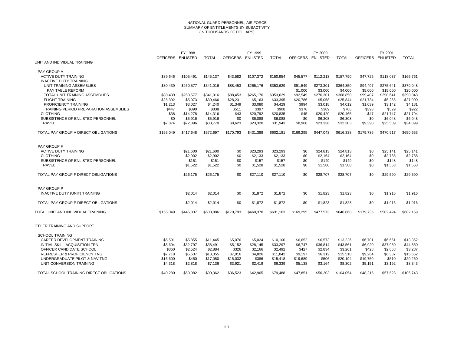#### NATIONAL GUARD PERSONNEL, AIR FORCE SUMMARY OF ENTITLEMENTS BY SUBACTIVITY (IN THOUSANDS OF DOLLARS)

|                                          |           | FY 1998           |              |                   | FY 1999   |              |           | FY 2000           |              |                 | FY 2001         |              |
|------------------------------------------|-----------|-------------------|--------------|-------------------|-----------|--------------|-----------|-------------------|--------------|-----------------|-----------------|--------------|
|                                          |           | OFFICERS ENLISTED | <b>TOTAL</b> | OFFICERS ENLISTED |           | <b>TOTAL</b> |           | OFFICERS ENLISTED | <b>TOTAL</b> | <b>OFFICERS</b> | <b>ENLISTED</b> | <b>TOTAL</b> |
| UNIT AND INDIVIDUAL TRAINING             |           |                   |              |                   |           |              |           |                   |              |                 |                 |              |
| PAY GROUP A                              |           |                   |              |                   |           |              |           |                   |              |                 |                 |              |
| <b>ACTIVE DUTY TRAINING</b>              | \$39.646  | \$105.491         | \$145.137    | \$43,582          | \$107,372 | \$150.954    | \$45,577  | \$112.213         | \$157.790    | \$47,725        | \$118,037       | \$165,761    |
| <b>INACTIVE DUTY TRAINING</b>            |           |                   |              |                   |           |              |           |                   |              |                 |                 |              |
| UNIT TRAINING ASSEMBLIES                 | \$80.439  | \$260,577         | \$341,016    | \$88,453          | \$265,176 | \$353,629    | \$91,549  | \$273,301         | \$364,850    | \$94,407        | \$275,641       | \$370,048    |
| PAY TABLE REFORM                         |           |                   |              |                   |           |              | \$1,000   | \$3,000           | \$4,000      | \$5,000         | \$15,000        | \$20,000     |
| TOTAL UNIT TRAINING ASSEMBLIES           | \$80,439  | \$260,577         | \$341,016    | \$88,453          | \$265,176 | \$353,629    | \$92,549  | \$276,301         | \$368,850    | \$99,407        | \$290,641       | \$390,048    |
| <b>FLIGHT TRAINING</b>                   | \$25,392  | \$5,073           | \$30,466     | \$28,231          | \$5,163   | \$33,395     | \$20,786  | \$5,058           | \$25,844     | \$21,734        | \$5,265         | \$27,000     |
| PROFICIENCY TRAINING                     | \$1,213   | \$3,027           | \$4,240      | \$1,349           | \$3,080   | \$4,429      | \$994     | \$3,018           | \$4,012      | \$1,039         | \$3,142         | \$4,181      |
| TRAINING PERIOD PREPARATION ASSEMBLIES   | \$447     | \$390             | \$838        | \$511             | \$397     | \$908        | \$376     | \$389             | \$766        | \$393           | \$529           | \$922        |
| <b>CLOTHING</b>                          | \$38      | \$14,278          | \$14,316     | \$43              | \$20,792  | \$20,835     | \$45      | \$20,420          | \$20,465     | \$47            | \$21,747        | \$21,794     |
| SUBSISTENCE OF ENLISTED PERSONNEL        | \$0       | \$5.916           | \$5.916      | \$0               | \$6,088   | \$6.088      | \$0       | \$6,308           | \$6.308      | \$0             | \$6,048         | \$6,048      |
| <b>TRAVEL</b>                            | \$7,874   | \$22,896          | \$30,770     | \$8,623           | \$23,320  | \$31,943     | \$8,968   | \$23,336          | \$32,303     | \$9,390         | \$25,509        | \$34,899     |
| TOTAL PAY GROUP A DIRECT OBLIGATIONS     | \$155,049 | \$417,648         | \$572,697    | \$170,793         | \$431,388 | \$602,181    | \$169,295 | \$447,043         | \$616,338    | \$179,736       | \$470,917       | \$650,653    |
|                                          |           |                   |              |                   |           |              |           |                   |              |                 |                 |              |
| <b>PAY GROUP F</b>                       |           |                   |              |                   |           |              |           |                   |              |                 |                 |              |
| <b>ACTIVE DUTY TRAINING</b>              |           | \$21,600          | \$21,600     | \$0               | \$23,293  | \$23,293     | \$0       | \$24,813          | \$24,813     | \$0             | \$25,141        | \$25,141     |
| <b>CLOTHING</b>                          |           | \$2,902           | \$2,902      | \$0               | \$2,133   | \$2,133      | \$0       | \$2,164           | \$2,164      | \$0             | \$2,738         | \$2,738      |
| SUBSISTENCE OF ENLISTED PERSONNEL        |           | \$151             | \$151        | \$0               | \$157     | \$157        | \$0       | \$149             | \$149        | \$0             | \$148           | \$148        |
| <b>TRAVEL</b>                            |           | \$1,522           | \$1,522      | \$0               | \$1,528   | \$1,528      | \$0       | \$1,580           | \$1,580      | \$0             | \$1,563         | \$1,563      |
| TOTAL PAY GROUP F DIRECT OBLIGATIONS     |           | \$26,175          | \$26,175     | \$0               | \$27,110  | \$27,110     | \$0       | \$28,707          | \$28,707     | \$0             | \$29,590        | \$29,590     |
| PAY GROUP P                              |           |                   |              |                   |           |              |           |                   |              |                 |                 |              |
| INACTIVE DUTY (UNIT) TRAINING            |           | \$2,014           | \$2,014      | \$0               | \$1,872   | \$1,872      | \$0       | \$1,823           | \$1,823      | \$0             | \$1,916         | \$1,916      |
|                                          |           |                   |              |                   |           |              |           |                   |              |                 |                 |              |
| TOTAL PAY GROUP P DIRECT OBLIGATIONS     |           | \$2,014           | \$2,014      | \$0               | \$1,872   | \$1,872      | \$0       | \$1,823           | \$1,823      | \$0             | \$1,916         | \$1,916      |
| TOTAL UNIT AND INDIVIDUAL TRAINING       | \$155,049 | \$445,837         | \$600,886    | \$170,793         | \$460,370 | \$631,163    | \$169,295 | \$477,573         | \$646,868    | \$179,736       | \$502,424       | \$682,159    |
| OTHER TRAINING AND SUPPORT               |           |                   |              |                   |           |              |           |                   |              |                 |                 |              |
| <b>SCHOOL TRAINING</b>                   |           |                   |              |                   |           |              |           |                   |              |                 |                 |              |
| CAREER DEVELOPMENT TRAINING              | \$5,591   | \$5,855           | \$11,445     | \$5,076           | \$5,024   | \$10,100     | \$6,652   | \$6,573           | \$13,226     | \$6,701         | \$6,651         | \$13,352     |
| INITIAL SKILL ACQUISITION TRN            | \$5,694   | \$32,797          | \$38,491     | \$5,152           | \$28,145  | \$33,297     | \$6,747   | \$36,814          | \$43,561     | \$6,920         | \$37,930        | \$44,850     |
| OFFICER CANDIDATE SCHOOL                 | \$360     | \$2,524           | \$2,884      | \$326             | \$2,166   | \$2,492      | \$427     | \$2,834           | \$3,261      | \$428           | \$2,858         | \$3,287      |
| <b>REFRESHER &amp; PROFICIENCY TNG</b>   | \$7,718   | \$5,637           | \$13,355     | \$7,016           | \$4,826   | \$11,842     | \$9,197   | \$6,312           | \$15,510     | \$9,264         | \$6,387         | \$15,652     |
| UNDERGRADUATE PILOT & NAV TNG            | \$16,600  | \$450             | \$17,050     | \$15,032          | \$386     | \$15,418     | \$19,689  | \$506             | \$20,194     | \$19,750        | \$510           | \$20,260     |
| UNIT CONVERSION TRAINING                 | \$4,318   | \$2,818           | \$7,136      | \$3,921           | \$2,419   | \$6,339      | \$5,138   | \$3,164           | \$8,302      | \$5,151         | \$3,192         | \$8,343      |
| TOTAL SCHOOL TRAINING DIRECT OBLIGATIONS | \$40,280  | \$50,082          | \$90,362     | \$36,523          | \$42,965  | \$79,488     | \$47,851  | \$56,203          | \$104,054    | \$48,215        | \$57,528        | \$105,743    |
|                                          |           |                   |              |                   |           |              |           |                   |              |                 |                 |              |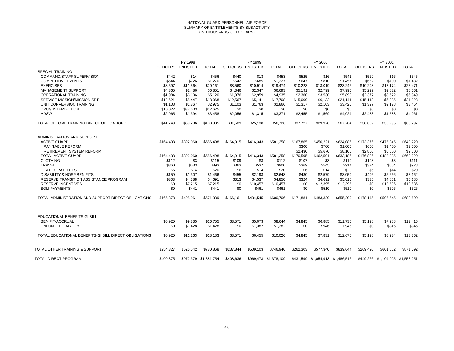#### NATIONAL GUARD PERSONNEL, AIR FORCE SUMMARY OF ENTITLEMENTS BY SUBACTIVITY (IN THOUSANDS OF DOLLARS)

|                                                       |           | FY 1998           |                       |                   | FY 1999   |                       |           | FY 2000           |                                   |                 | FY 2001                           |              |
|-------------------------------------------------------|-----------|-------------------|-----------------------|-------------------|-----------|-----------------------|-----------|-------------------|-----------------------------------|-----------------|-----------------------------------|--------------|
|                                                       |           | OFFICERS ENLISTED | <b>TOTAL</b>          | OFFICERS ENLISTED |           | <b>TOTAL</b>          |           | OFFICERS ENLISTED | <b>TOTAL</b>                      | <b>OFFICERS</b> | <b>ENLISTED</b>                   | <b>TOTAL</b> |
| <b>SPECIAL TRAINING</b>                               |           |                   |                       |                   |           |                       |           |                   |                                   |                 |                                   |              |
| COMMAND/STAFF SUPERVISION                             | \$442     | \$14              | \$456                 | \$440             | \$13      | \$453                 | \$525     | \$16              | \$541                             | \$529           | \$16                              | \$545        |
| <b>COMPETITIVE EVENTS</b>                             | \$544     | \$726             | \$1,270               | \$542             | \$685     | \$1,227               | \$647     | \$810             | \$1,457                           | \$652           | \$780                             | \$1,432      |
| <b>EXERCISES</b>                                      | \$8,597   | \$11,564          | \$20,161              | \$8,560           | \$10,914  | \$19,474              | \$10,223  | \$13,019          | \$23,242                          | \$10,298        | \$13,174                          | \$23,471     |
| <b>MANAGEMENT SUPPORT</b>                             | \$4,365   | \$2,486           | \$6,851               | \$4,346           | \$2,347   | \$6,693               | \$5,191   | \$2,799           | \$7,990                           | \$5,229         | \$2,832                           | \$8,061      |
| <b>OPERATIONAL TRAINING</b>                           | \$1.984   | \$3.136           | \$5.120               | \$1.976           | \$2.959   | \$4.935               | \$2.360   | \$3.530           | \$5.890                           | \$2,377         | \$3,572                           | \$5.949      |
| SERVICE MISSION/MISSION SPT                           | \$12,621  | \$5.447           | \$18,068              | \$12,567          | \$5,141   | \$17,708              | \$15,009  | \$6,132           | \$21,141                          | \$15,118        | \$6,205                           | \$21,323     |
| UNIT CONVERSION TRAINING                              | \$1,108   | \$1,867           | \$2,975               | \$1,103           | \$1,763   | \$2,866               | \$1,317   | \$2,103           | \$3,420                           | \$1,327         | \$2,128                           | \$3,454      |
| DRUG INTERDICTION                                     | \$10,022  | \$32,603          | \$42,625              | \$0               | \$0       | \$0                   | \$0       | \$0               | \$0                               | \$0             | \$0                               | \$0          |
| <b>ADSW</b>                                           | \$2,065   | \$1,394           | \$3,458               | \$2,056           | \$1,315   | \$3,371               | \$2,455   | \$1,569           | \$4,024                           | \$2,473         | \$1,588                           | \$4,061      |
| TOTAL SPECIAL TRAINING DIRECT OBLIGATIONS             | \$41,749  | \$59,236          | \$100,985             | \$31,589          | \$25.138  | \$56,726              | \$37,727  | \$29,978          | \$67,704                          | \$38,002        | \$30.295                          | \$68,297     |
| ADMINISTRATION AND SUPPORT                            |           |                   |                       |                   |           |                       |           |                   |                                   |                 |                                   |              |
| <b>ACTIVE GUARD</b>                                   | \$164,438 | \$392,060         | \$556,498             | \$164,915         | \$416,343 | \$581,258             | \$167,865 | \$456,221         | \$624,086                         | \$173,376       | \$475,345                         | \$648,720    |
| <b>PAY TABLE REFORM</b>                               |           |                   |                       |                   |           |                       | \$300     | \$700             | \$1,000                           | \$600           | \$1,400                           | \$2,000      |
| <b>RETIREMENT SYSTEM REFORM</b>                       |           |                   |                       |                   |           |                       | \$2.430   | \$5.670           | \$8,100                           | \$2.850         | \$6.650                           | \$9,500      |
| <b>TOTAL ACTIVE GUARD</b>                             | \$164,438 | \$392,060         | \$556.498             | \$164,915         | \$416,343 | \$581.258             | \$170,595 | \$462,591         | \$633.186                         | \$176,826       | \$483,395                         | \$660,220    |
| <b>CLOTHING</b>                                       | \$112     | \$3               | \$115                 | \$109             | \$3       | \$112                 | \$107     | \$3               | \$110                             | \$108           | \$3                               | \$111        |
| <b>TRAVEL</b>                                         | \$360     | \$533             | \$893                 | \$363             | \$537     | \$900                 | \$369     | \$545             | \$914                             | \$374           | \$554                             | \$928        |
| <b>DEATH GRATUITIES</b>                               | \$6       | \$14              | \$20                  | \$6               | \$14      | \$20                  | \$6       | \$14              | \$20                              | \$6             | \$14                              | \$20         |
| <b>DISABILITY &amp; HOSP BENIFITS</b>                 | \$159     | \$1,307           | \$1,466               | \$455             | \$2.193   | \$2.648               | \$480     | \$2,579           | \$3.059                           | \$496           | \$2.666                           | \$3,162      |
| RESERVE TRANSITION ASSISTANCE PROGRAM                 | \$303     | \$4,388           | \$4.691               | \$313             | \$4,537   | \$4.850               | \$324     | \$4.691           | \$5.015                           | \$335           | \$4,851                           | \$5,186      |
| <b>RESERVE INCENTIVES</b>                             | \$0       | \$7,215           | \$7,215               | \$0               | \$10,457  | \$10,457              | \$0       | \$12,395          | \$12,395                          | \$0             | \$13,536                          | \$13,536     |
| <b>SGLI PAYMENTS</b>                                  | \$0       | \$441             | \$441                 | \$0               | \$461     | \$461                 | \$0       | \$510             | \$510                             | \$0             | \$526                             | \$526        |
| TOTAL ADMINISTRATION AND SUPPORT DIRECT OBLIGATIONS   | \$165,378 | \$405,961         | \$571,339             | \$166,161         | \$434,545 | \$600,706             | \$171,881 | \$483,329         | \$655,209                         | \$178,145       | \$505,545                         | \$683,690    |
| EDUCATIONAL BENEFITS-GI BILL                          |           |                   |                       |                   |           |                       |           |                   |                                   |                 |                                   |              |
| BENIFIT-ACCRUAL                                       | \$6,920   | \$9,835           | \$16,755              | \$3,571           | \$5,073   | \$8,644               | \$4,845   | \$6,885           | \$11,730                          | \$5,128         | \$7,288                           | \$12,416     |
| UNFUNDED LIABILITY                                    | \$0       | \$1,428           | \$1,428               | \$0               | \$1,382   | \$1,382               | \$0       | \$946             | \$946                             | \$0             | \$946                             | \$946        |
| TOTAL EDUCATIONAL BENEFITS-GI BILL DIRECT OBLIGATIONS | \$6,920   | \$11,263          | \$18,183              | \$3,571           | \$6,455   | \$10,026              | \$4,845   | \$7,831           | \$12,676                          | \$5,128         | \$8,234                           | \$13,362     |
| TOTAL OTHER TRAINING & SUPPORT                        | \$254,327 | \$526,542         | \$780.868             | \$237,844         | \$509,103 | \$746.946             | \$262,303 | \$577,340         | \$839,644                         | \$269,490       | \$601,602                         | \$871,092    |
| TOTAL DIRECT PROGRAM                                  | \$409.375 |                   | \$972,379 \$1,381,754 | \$408.636         |           | \$969,473 \$1,378,109 |           |                   | \$431,599 \$1,054,913 \$1,486,512 |                 | \$449,226 \$1,104,025 \$1,553,251 |              |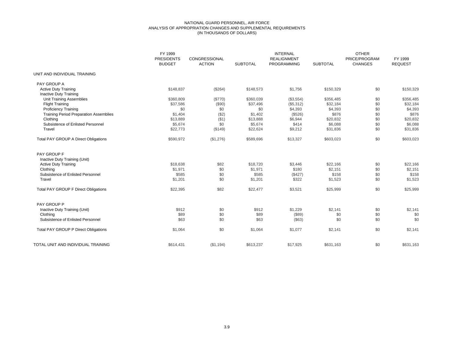#### NATIONAL GUARD PERSONNEL, AIR FORCE ANALYSIS OF APPROPRIATION CHANGES AND SUPPLEMENTAL REQUIREMENTS (IN THOUSANDS OF DOLLARS)

|                                               | FY 1999<br><b>PRESIDENTS</b><br><b>BUDGET</b> | CONGRESSIONAL<br><b>ACTION</b> | <b>SUBTOTAL</b> | <b>INTERNAL</b><br><b>REALIGNMENT</b><br><b>PROGRAMMING</b> | <b>SUBTOTAL</b> | <b>OTHER</b><br>PRICE/PROGRAM<br><b>CHANGES</b> | FY 1999<br><b>REQUEST</b> |
|-----------------------------------------------|-----------------------------------------------|--------------------------------|-----------------|-------------------------------------------------------------|-----------------|-------------------------------------------------|---------------------------|
| UNIT AND INDIVIDUAL TRAINING                  |                                               |                                |                 |                                                             |                 |                                                 |                           |
| PAY GROUP A                                   |                                               |                                |                 |                                                             |                 |                                                 |                           |
| <b>Active Duty Training</b>                   | \$148,837                                     | (\$264)                        | \$148,573       | \$1,756                                                     | \$150,329       | \$0                                             | \$150,329                 |
| <b>Inactive Duty Training</b>                 |                                               |                                |                 |                                                             |                 |                                                 |                           |
| <b>Unit Training Assemblies</b>               | \$360,809                                     | (\$770)                        | \$360,039       | (\$3,554)                                                   | \$356,485       | \$0                                             | \$356,485                 |
| <b>Flight Training</b>                        | \$37,586                                      | (\$90)                         | \$37,496        | (\$5,312)                                                   | \$32,184        | \$0                                             | \$32,184                  |
| <b>Proficiency Training</b>                   | \$0                                           | \$0                            | \$0             | \$4,393                                                     | \$4,393         | \$0                                             | \$4,393                   |
| <b>Training Period Preparation Assemblies</b> | \$1,404                                       | (\$2)                          | \$1,402         | (\$526)                                                     | \$876           | \$0                                             | \$876                     |
| Clothing                                      | \$13,889                                      | ( \$1)                         | \$13,888        | \$6,944                                                     | \$20,832        | \$0                                             | \$20,832                  |
| Subsistence of Enlisted Personnel             | \$5,674                                       | \$0                            | \$5,674         | \$414                                                       | \$6,088         | \$0                                             | \$6,088                   |
| Travel                                        | \$22,773                                      | (\$149)                        | \$22,624        | \$9,212                                                     | \$31,836        | \$0                                             | \$31,836                  |
| <b>Total PAY GROUP A Direct Obligations</b>   | \$590,972                                     | (\$1,276)                      | \$589,696       | \$13,327                                                    | \$603,023       | \$0                                             | \$603,023                 |
| PAY GROUP F                                   |                                               |                                |                 |                                                             |                 |                                                 |                           |
| Inactive Duty Training (Unit)                 |                                               |                                |                 |                                                             |                 |                                                 |                           |
| <b>Active Duty Training</b>                   | \$18,638                                      | \$82                           | \$18,720        | \$3,446                                                     | \$22,166        | \$0                                             | \$22,166                  |
| Clothing                                      | \$1,971                                       | \$0                            | \$1,971         | \$180                                                       | \$2,151         | \$0                                             | \$2,151                   |
| Subsistence of Enlisted Personnel             | \$585                                         | \$0                            | \$585           | (\$427)                                                     | \$158           | \$0                                             | \$158                     |
| Travel                                        | \$1,201                                       | \$0                            | \$1,201         | \$322                                                       | \$1,523         | \$0                                             | \$1,523                   |
| <b>Total PAY GROUP F Direct Obligations</b>   | \$22,395                                      | \$82                           | \$22,477        | \$3,521                                                     | \$25,999        | \$0                                             | \$25,999                  |
| PAY GROUP P                                   |                                               |                                |                 |                                                             |                 |                                                 |                           |
| Inactive Duty Training (Unit)                 | \$912                                         | \$0                            | \$912           | \$1,229                                                     | \$2,141         | \$0                                             | \$2,141                   |
| Clothing                                      | \$89                                          | \$0                            | \$89            | (\$89)                                                      | \$0             | \$0                                             | \$0                       |
| Subsistence of Enlisted Personnel             | \$63                                          | \$0                            | \$63            | (\$63)                                                      | \$0             | \$0                                             | \$0                       |
| <b>Total PAY GROUP P Direct Obligations</b>   | \$1,064                                       | \$0                            | \$1,064         | \$1,077                                                     | \$2,141         | \$0                                             | \$2,141                   |
| TOTAL UNIT AND INDIVIDUAL TRAINING            | \$614.431                                     | (\$1,194)                      | \$613,237       | \$17,925                                                    | \$631,163       | \$0                                             | \$631,163                 |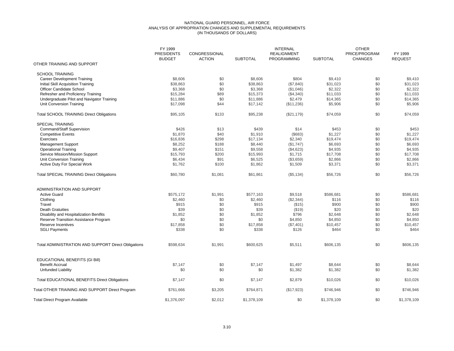#### NATIONAL GUARD PERSONNEL, AIR FORCE ANALYSIS OF APPROPRIATION CHANGES AND SUPPLEMENTAL REQUIREMENTS (IN THOUSANDS OF DOLLARS)

|                                                                                  | FY 1999<br><b>PRESIDENTS</b><br><b>BUDGET</b> | CONGRESSIONAL<br><b>ACTION</b> | <b>SUBTOTAL</b>   | <b>INTERNAL</b><br><b>REALIGNMENT</b><br><b>PROGRAMMING</b> | <b>SUBTOTAL</b>    | <b>OTHER</b><br>PRICE/PROGRAM<br><b>CHANGES</b> | FY 1999<br><b>REQUEST</b> |
|----------------------------------------------------------------------------------|-----------------------------------------------|--------------------------------|-------------------|-------------------------------------------------------------|--------------------|-------------------------------------------------|---------------------------|
| OTHER TRAINING AND SUPPORT                                                       |                                               |                                |                   |                                                             |                    |                                                 |                           |
| <b>SCHOOL TRAINING</b>                                                           |                                               |                                |                   |                                                             |                    |                                                 |                           |
| <b>Career Development Training</b>                                               | \$8,606                                       | \$0                            | \$8,606           | \$804                                                       | \$9,410            | \$0                                             | \$9,410                   |
| Initial Skill Acquisition Training                                               | \$38,863                                      | \$0                            | \$38,863          | (\$7,840)                                                   | \$31,023           | \$0                                             | \$31,023                  |
| Officer Candidate School                                                         | \$3,368                                       | \$0                            | \$3,368           | (\$1,046)                                                   | \$2,322            | \$0                                             | \$2,322                   |
| Refresher and Proficiency Training                                               | \$15,284                                      | \$89                           | \$15,373          | (\$4,340)                                                   | \$11,033           | \$0                                             | \$11,033                  |
| Undergraduate Pilot and Navigator Training                                       | \$11,886                                      | \$0                            | \$11,886          | \$2,479                                                     | \$14,365           | \$0                                             | \$14,365                  |
| Unit Conversion Training                                                         | \$17,098                                      | \$44                           | \$17,142          | (\$11,236)                                                  | \$5,906            | \$0                                             | \$5,906                   |
| <b>Total SCHOOL TRAINING Direct Obligations</b>                                  | \$95,105                                      | \$133                          | \$95,238          | (\$21,179)                                                  | \$74,059           | \$0                                             | \$74,059                  |
| <b>SPECIAL TRAINING</b>                                                          |                                               |                                |                   |                                                             |                    |                                                 |                           |
| Command/Staff Supervision                                                        | \$426                                         | \$13                           | \$439             | \$14                                                        | \$453              | \$0                                             | \$453                     |
| <b>Competitive Events</b>                                                        | \$1,870                                       | \$40                           | \$1,910           | (\$683)                                                     | \$1,227            | \$0                                             | \$1,227                   |
| Exercises                                                                        | \$16,836                                      | \$298                          | \$17,134          | \$2,340                                                     | \$19,474           | \$0                                             | \$19,474                  |
| <b>Management Support</b>                                                        | \$8,252                                       | \$188                          | \$8,440           | (\$1,747)                                                   | \$6,693            | \$0                                             | \$6,693                   |
| <b>Operational Training</b>                                                      | \$9,407                                       | \$151                          | \$9,558           | (\$4,623)                                                   | \$4,935            | \$0                                             | \$4,935                   |
| Service Mission/Mission Support                                                  | \$15,793                                      | \$200                          | \$15,993          | \$1,715                                                     | \$17,708           | \$0                                             | \$17,708                  |
| Unit Conversion Training                                                         | \$6,434                                       | \$91                           | \$6,525           | (\$3,659)                                                   | \$2,866            | \$0                                             | \$2,866                   |
| Active Duty For Special Work                                                     | \$1,762                                       | \$100                          | \$1,862           | \$1,509                                                     | \$3,371            | \$0                                             | \$3,371                   |
| <b>Total SPECIAL TRAINING Direct Obligations</b>                                 | \$60,780                                      | \$1,081                        | \$61,861          | (\$5,134)                                                   | \$56,726           | \$0                                             | \$56,726                  |
| ADMINISTRATION AND SUPPORT                                                       |                                               |                                |                   |                                                             |                    |                                                 |                           |
| <b>Active Guard</b>                                                              | \$575,172                                     | \$1,991                        | \$577,163         | \$9,518                                                     | \$586,681          | \$0                                             | \$586,681                 |
| Clothing                                                                         | \$2,460                                       | \$0                            | \$2,460           | (\$2,344)                                                   | \$116              | \$0                                             | \$116                     |
| Travel                                                                           | \$915                                         | \$0                            | \$915             | (\$15)                                                      | \$900              | \$0                                             | \$900                     |
| <b>Death Gratuities</b>                                                          | \$39                                          | \$0                            | \$39              | (\$19)                                                      | \$20               | \$0                                             | \$20                      |
|                                                                                  | \$1,852                                       | \$0                            | \$1,852           | \$796                                                       |                    | \$0                                             | \$2,648                   |
| Disability and Hospitalization Benifits<br>Reserve Transition Assistance Program | \$0                                           | \$0                            | \$0               | \$4,850                                                     | \$2,648<br>\$4,850 | \$0                                             | \$4,850                   |
|                                                                                  |                                               |                                |                   |                                                             |                    |                                                 |                           |
| Reserve Incentives<br><b>SGLI Payments</b>                                       | \$17,858<br>\$338                             | \$0<br>\$0                     | \$17,858<br>\$338 | (\$7,401)<br>\$126                                          | \$10,457<br>\$464  | \$0<br>\$0                                      | \$10,457<br>\$464         |
|                                                                                  |                                               |                                |                   |                                                             |                    |                                                 |                           |
| <b>Total ADMINISTRATION AND SUPPORT Direct Obligations</b>                       | \$598,634                                     | \$1,991                        | \$600,625         | \$5,511                                                     | \$606,135          | \$0                                             | \$606,135                 |
| <b>EDUCATIONAL BENEFITS (GI Bill)</b>                                            |                                               |                                |                   |                                                             |                    |                                                 |                           |
| <b>Benefit Accrual</b>                                                           | \$7,147                                       | \$0                            | \$7,147           | \$1,497                                                     | \$8,644            | \$0                                             | \$8,644                   |
| Unfunded Liability                                                               | \$0                                           | \$0                            | \$0               | \$1,382                                                     | \$1,382            | \$0                                             | \$1,382                   |
| Total EDUCATIONAL BENEFITS Direct Obligations                                    | \$7,147                                       | \$0                            | \$7,147           | \$2,879                                                     | \$10,026           | \$0                                             | \$10,026                  |
| Total OTHER TRAINING AND SUPPORT Direct Program                                  | \$761,666                                     | \$3,205                        | \$764,871         | (\$17,923)                                                  | \$746,946          | \$0                                             | \$746,946                 |
| <b>Total Direct Program Available</b>                                            | \$1,376,097                                   | \$2,012                        | \$1,378,109       | \$0                                                         | \$1,378,109        | \$0                                             | \$1,378,109               |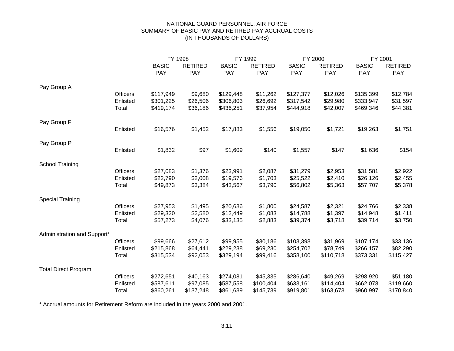# NATIONAL GUARD PERSONNEL, AIR FORCE SUMMARY OF BASIC PAY AND RETIRED PAY ACCRUAL COSTS (IN THOUSANDS OF DOLLARS)

|                             |                 |                            | FY 1998               | FY 1999                    |                              |                            | FY 2000               | FY 2001             |                              |
|-----------------------------|-----------------|----------------------------|-----------------------|----------------------------|------------------------------|----------------------------|-----------------------|---------------------|------------------------------|
|                             |                 | <b>BASIC</b><br><b>PAY</b> | <b>RETIRED</b><br>PAY | <b>BASIC</b><br><b>PAY</b> | <b>RETIRED</b><br><b>PAY</b> | <b>BASIC</b><br><b>PAY</b> | <b>RETIRED</b><br>PAY | <b>BASIC</b><br>PAY | <b>RETIRED</b><br><b>PAY</b> |
| Pay Group A                 |                 |                            |                       |                            |                              |                            |                       |                     |                              |
|                             | <b>Officers</b> | \$117,949                  | \$9,680               | \$129,448                  | \$11,262                     | \$127,377                  | \$12,026              | \$135,399           | \$12,784                     |
|                             | Enlisted        | \$301,225                  | \$26,506              | \$306,803                  | \$26,692                     | \$317,542                  | \$29,980              | \$333,947           | \$31,597                     |
|                             | Total           | \$419,174                  | \$36,186              | \$436,251                  | \$37,954                     | \$444,918                  | \$42,007              | \$469,346           | \$44,381                     |
| Pay Group F                 |                 |                            |                       |                            |                              |                            |                       |                     |                              |
|                             | Enlisted        | \$16,576                   | \$1,452               | \$17,883                   | \$1,556                      | \$19,050                   | \$1,721               | \$19,263            | \$1,751                      |
| Pay Group P                 |                 |                            |                       |                            |                              |                            |                       |                     |                              |
|                             | Enlisted        | \$1,832                    | \$97                  | \$1,609                    | \$140                        | \$1,557                    | \$147                 | \$1,636             | \$154                        |
| <b>School Training</b>      |                 |                            |                       |                            |                              |                            |                       |                     |                              |
|                             | <b>Officers</b> | \$27,083                   | \$1,376               | \$23,991                   | \$2,087                      | \$31,279                   | \$2,953               | \$31,581            | \$2,922                      |
|                             | Enlisted        | \$22,790                   | \$2,008               | \$19,576                   | \$1,703                      | \$25,522                   | \$2,410               | \$26,126            | \$2,455                      |
|                             | Total           | \$49,873                   | \$3,384               | \$43,567                   | \$3,790                      | \$56,802                   | \$5,363               | \$57,707            | \$5,378                      |
| <b>Special Training</b>     |                 |                            |                       |                            |                              |                            |                       |                     |                              |
|                             | <b>Officers</b> | \$27,953                   | \$1,495               | \$20,686                   | \$1,800                      | \$24,587                   | \$2,321               | \$24,766            | \$2,338                      |
|                             | Enlisted        | \$29,320                   | \$2,580               | \$12,449                   | \$1,083                      | \$14,788                   | \$1,397               | \$14,948            | \$1,411                      |
|                             | Total           | \$57,273                   | \$4,076               | \$33,135                   | \$2,883                      | \$39,374                   | \$3,718               | \$39,714            | \$3,750                      |
| Administration and Support* |                 |                            |                       |                            |                              |                            |                       |                     |                              |
|                             | <b>Officers</b> | \$99,666                   | \$27,612              | \$99,955                   | \$30,186                     | \$103,398                  | \$31,969              | \$107,174           | \$33,136                     |
|                             | Enlisted        | \$215,868                  | \$64,441              | \$229,238                  | \$69,230                     | \$254,702                  | \$78,749              | \$266,157           | \$82,290                     |
|                             | Total           | \$315,534                  | \$92,053              | \$329,194                  | \$99,416                     | \$358,100                  | \$110,718             | \$373,331           | \$115,427                    |
| <b>Total Direct Program</b> |                 |                            |                       |                            |                              |                            |                       |                     |                              |
|                             | <b>Officers</b> | \$272,651                  | \$40,163              | \$274,081                  | \$45,335                     | \$286,640                  | \$49,269              | \$298,920           | \$51,180                     |
|                             | Enlisted        | \$587,611                  | \$97,085              | \$587,558                  | \$100,404                    | \$633,161                  | \$114,404             | \$662,078           | \$119,660                    |
|                             | Total           | \$860,261                  | \$137,248             | \$861,639                  | \$145,739                    | \$919,801                  | \$163,673             | \$960,997           | \$170,840                    |

\* Accrual amounts for Retirement Reform are included in the years 2000 and 2001.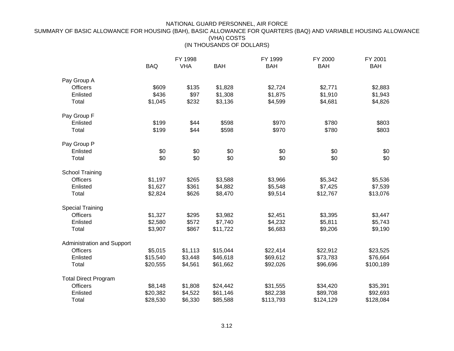# NATIONAL GUARD PERSONNEL, AIR FORCE

# SUMMARY OF BASIC ALLOWANCE FOR HOUSING (BAH), BASIC ALLOWANCE FOR QUARTERS (BAQ) AND VARIABLE HOUSING ALLOWANCE (VHA) COSTS (IN THOUSANDS OF DOLLARS)

|                             |            | FY 1998    |            | FY 1999    | FY 2000    | FY 2001    |
|-----------------------------|------------|------------|------------|------------|------------|------------|
|                             | <b>BAQ</b> | <b>VHA</b> | <b>BAH</b> | <b>BAH</b> | <b>BAH</b> | <b>BAH</b> |
|                             |            |            |            |            |            |            |
| Pay Group A                 |            |            |            |            |            |            |
| <b>Officers</b>             | \$609      | \$135      | \$1,828    | \$2,724    | \$2,771    | \$2,883    |
| Enlisted                    | \$436      | \$97       | \$1,308    | \$1,875    | \$1,910    | \$1,943    |
| Total                       | \$1,045    | \$232      | \$3,136    | \$4,599    | \$4,681    | \$4,826    |
| Pay Group F                 |            |            |            |            |            |            |
| Enlisted                    | \$199      | \$44       | \$598      | \$970      | \$780      | \$803      |
| Total                       | \$199      | \$44       | \$598      | \$970      | \$780      | \$803      |
|                             |            |            |            |            |            |            |
| Pay Group P                 |            |            |            |            |            |            |
| Enlisted                    | \$0        | \$0        | \$0        | \$0        | \$0        | \$0        |
| Total                       | \$0        | \$0        | \$0        | \$0        | \$0        | \$0        |
| <b>School Training</b>      |            |            |            |            |            |            |
| <b>Officers</b>             | \$1,197    | \$265      | \$3,588    | \$3,966    | \$5,342    | \$5,536    |
| Enlisted                    | \$1,627    | \$361      | \$4,882    | \$5,548    | \$7,425    | \$7,539    |
| Total                       | \$2,824    | \$626      | \$8,470    | \$9,514    | \$12,767   | \$13,076   |
|                             |            |            |            |            |            |            |
| <b>Special Training</b>     |            |            |            |            |            |            |
| <b>Officers</b>             | \$1,327    | \$295      | \$3,982    | \$2,451    | \$3,395    | \$3,447    |
| Enlisted                    | \$2,580    | \$572      | \$7,740    | \$4,232    | \$5,811    | \$5,743    |
| Total                       | \$3,907    | \$867      | \$11,722   | \$6,683    | \$9,206    | \$9,190    |
| Administration and Support  |            |            |            |            |            |            |
| <b>Officers</b>             | \$5,015    | \$1,113    | \$15,044   | \$22,414   | \$22,912   | \$23,525   |
| Enlisted                    | \$15,540   | \$3,448    | \$46,618   | \$69,612   | \$73,783   | \$76,664   |
| Total                       | \$20,555   | \$4,561    | \$61,662   | \$92,026   | \$96,696   | \$100,189  |
|                             |            |            |            |            |            |            |
| <b>Total Direct Program</b> |            |            |            |            |            |            |
| <b>Officers</b>             | \$8,148    | \$1,808    | \$24,442   | \$31,555   | \$34,420   | \$35,391   |
| Enlisted                    | \$20,382   | \$4,522    | \$61,146   | \$82,238   | \$89,708   | \$92,693   |
| Total                       | \$28,530   | \$6,330    | \$85,588   | \$113,793  | \$124,129  | \$128,084  |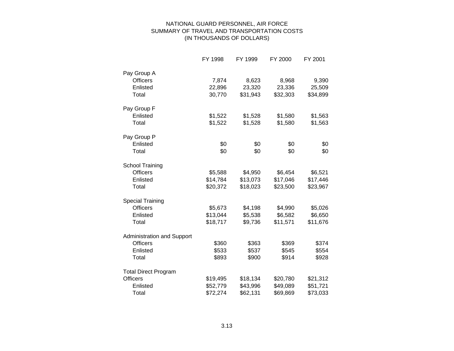# NATIONAL GUARD PERSONNEL, AIR FORCE SUMMARY OF TRAVEL AND TRANSPORTATION COSTS (IN THOUSANDS OF DOLLARS)

|                             | FY 1998  | FY 1999  | FY 2000  | FY 2001  |
|-----------------------------|----------|----------|----------|----------|
| Pay Group A                 |          |          |          |          |
| <b>Officers</b>             | 7,874    | 8,623    | 8,968    | 9,390    |
| Enlisted                    | 22,896   | 23,320   | 23,336   | 25,509   |
| Total                       | 30,770   | \$31,943 | \$32,303 | \$34,899 |
| Pay Group F                 |          |          |          |          |
| Enlisted                    | \$1,522  | \$1,528  | \$1,580  | \$1,563  |
| Total                       | \$1,522  | \$1,528  | \$1,580  | \$1,563  |
| Pay Group P                 |          |          |          |          |
| Enlisted                    | \$0      | \$0      | \$0      | \$0      |
| Total                       | \$0      | \$0      | \$0      | \$0      |
| <b>School Training</b>      |          |          |          |          |
| <b>Officers</b>             | \$5,588  | \$4,950  | \$6,454  | \$6,521  |
| Enlisted                    | \$14,784 | \$13,073 | \$17,046 | \$17,446 |
| Total                       | \$20,372 | \$18,023 | \$23,500 | \$23,967 |
| <b>Special Training</b>     |          |          |          |          |
| <b>Officers</b>             | \$5,673  | \$4,198  | \$4,990  | \$5,026  |
| Enlisted                    | \$13,044 | \$5,538  | \$6,582  | \$6,650  |
| Total                       | \$18,717 | \$9,736  | \$11,571 | \$11,676 |
| Administration and Support  |          |          |          |          |
| <b>Officers</b>             | \$360    | \$363    | \$369    | \$374    |
| Enlisted                    | \$533    | \$537    | \$545    | \$554    |
| Total                       | \$893    | \$900    | \$914    | \$928    |
| <b>Total Direct Program</b> |          |          |          |          |
| <b>Officers</b>             | \$19,495 | \$18,134 | \$20,780 | \$21,312 |
| Enlisted                    | \$52,779 | \$43,996 | \$49,089 | \$51,721 |
| Total                       | \$72,274 | \$62,131 | \$69,869 | \$73,033 |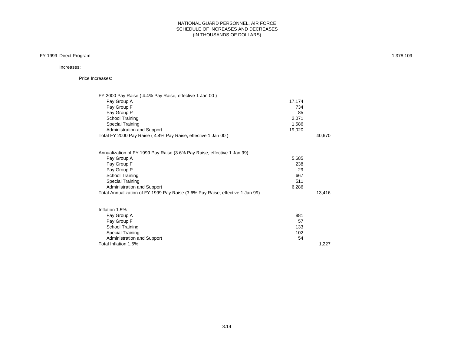## FY 1999 Direct Program 1,378,109

## Increases:

Price Increases:

| FY 2000 Pay Raise (4.4% Pay Raise, effective 1 Jan 00)                        |        |        |
|-------------------------------------------------------------------------------|--------|--------|
| Pay Group A                                                                   | 17,174 |        |
| Pay Group F                                                                   | 734    |        |
| Pay Group P                                                                   | 85     |        |
| School Training                                                               | 2,071  |        |
| <b>Special Training</b>                                                       | 1,586  |        |
| Administration and Support                                                    | 19,020 |        |
| Total FY 2000 Pay Raise (4.4% Pay Raise, effective 1 Jan 00)                  |        | 40,670 |
| Annualization of FY 1999 Pay Raise (3.6% Pay Raise, effective 1 Jan 99)       |        |        |
| Pay Group A                                                                   | 5,685  |        |
| Pay Group F                                                                   | 238    |        |
| Pay Group P                                                                   | 29     |        |
| School Training                                                               | 667    |        |
| Special Training                                                              | 511    |        |
| Administration and Support                                                    | 6,286  |        |
| Total Annualization of FY 1999 Pay Raise (3.6% Pay Raise, effective 1 Jan 99) |        | 13,416 |
| Inflation 1.5%                                                                |        |        |
| Pay Group A                                                                   | 881    |        |
| Pay Group F                                                                   | 57     |        |
| School Training                                                               | 133    |        |
| Special Training                                                              | 102    |        |
| Administration and Support                                                    | 54     |        |

Total Inflation 1.5% 1,227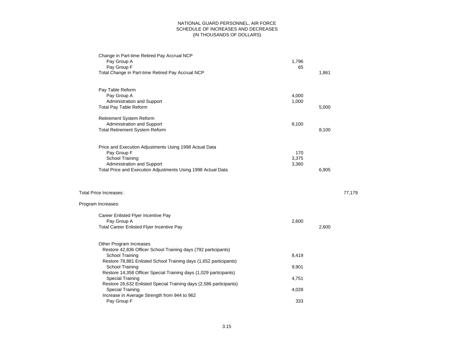## NATIONAL GUARD PERSONNEL, AIR FORCE SCHEDULE OF INCREASES AND DECREASES (IN THOUSANDS OF DOLLARS)

| Change in Part-time Retired Pay Accrual NCP<br>Pay Group A<br>Pay Group F<br>Total Change in Part-time Retired Pay Accrual NCP                                                                    | 1,796<br>65             | 1,861          |
|---------------------------------------------------------------------------------------------------------------------------------------------------------------------------------------------------|-------------------------|----------------|
| Pay Table Reform<br>Pay Group A<br>Administration and Support<br><b>Total Pay Table Reform</b><br>Retirement System Reform<br>Administration and Support<br><b>Total Retirement System Reform</b> | 4,000<br>1,000<br>8,100 | 5,000<br>8,100 |
| Price and Execution Adjustments Using 1998 Actual Data<br>Pay Group F<br>School Training<br>Administration and Support<br>Total Price and Execution Adjustments Using 1998 Actual Data            | 170<br>3,375<br>3,360   | 6,905          |
| <b>Total Price Increases:</b>                                                                                                                                                                     |                         | 77,179         |
| Program Increases:                                                                                                                                                                                |                         |                |
| Career Enlisted Flyer Incentive Pay<br>Pay Group A<br>Total Career Enlisted Flyer Incentive Pay                                                                                                   | 2,600                   | 2,600          |
| Other Program Increases<br>Restore 42,836 Officer School Training days (792 participants)<br>School Training<br>Restore 78,881 Enlisted School Training days (1,652 participants)                 | 8,419                   |                |
| School Training<br>Restore 14,358 Officer Special Training days (1,029 participants)                                                                                                              | 9,901                   |                |
| <b>Special Training</b><br>Restore 26,632 Enlisted Special Training days (2,586 participants)                                                                                                     | 4,751                   |                |
| <b>Special Training</b><br>Increase in Average Strength from 944 to 962                                                                                                                           | 4,028                   |                |
| Pay Group F                                                                                                                                                                                       | 333                     |                |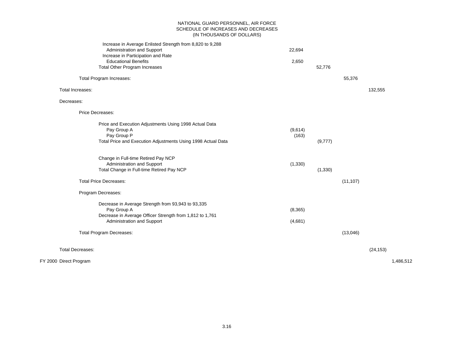## NATIONAL GUARD PERSONNEL, AIR FORCE SCHEDULE OF INCREASES AND DECREASES (IN THOUSANDS OF DOLLARS)

| Increase in Average Enlisted Strength from 8,820 to 9,288    |          |           |           |
|--------------------------------------------------------------|----------|-----------|-----------|
| Administration and Support                                   | 22,694   |           |           |
| Increase in Participation and Rate                           |          |           |           |
| <b>Educational Benefits</b>                                  | 2,650    |           |           |
| Total Other Program Increases                                |          | 52,776    |           |
| Total Program Increases:                                     |          | 55,376    |           |
| Total Increases:                                             |          |           | 132,555   |
| Decreases:                                                   |          |           |           |
| <b>Price Decreases:</b>                                      |          |           |           |
| Price and Execution Adjustments Using 1998 Actual Data       |          |           |           |
| Pay Group A                                                  | (9,614)  |           |           |
| Pay Group P                                                  | (163)    |           |           |
| Total Price and Execution Adjustments Using 1998 Actual Data |          | (9,777)   |           |
| Change in Full-time Retired Pay NCP                          |          |           |           |
| Administration and Support                                   | (1, 330) |           |           |
| Total Change in Full-time Retired Pay NCP                    |          | (1, 330)  |           |
| <b>Total Price Decreases:</b>                                |          | (11, 107) |           |
| Program Decreases:                                           |          |           |           |
| Decrease in Average Strength from 93,943 to 93,335           |          |           |           |
| Pay Group A                                                  | (8, 365) |           |           |
| Decrease in Average Officer Strength from 1,812 to 1,761     |          |           |           |
| Administration and Support                                   | (4,681)  |           |           |
| <b>Total Program Decreases:</b>                              |          | (13,046)  |           |
| <b>Total Decreases:</b>                                      |          |           | (24, 153) |
|                                                              |          |           |           |
| FY 2000 Direct Program                                       |          |           | 1,486,512 |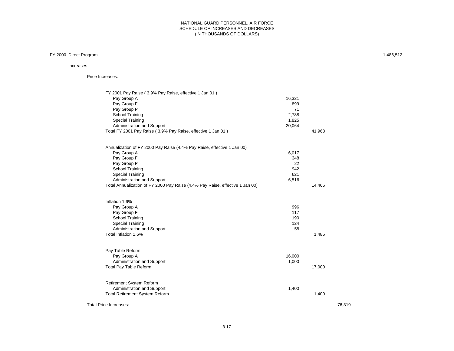## FY 2000 Direct Program 1,486,512

## Increases:

Price Increases:

| FY 2001 Pay Raise (3.9% Pay Raise, effective 1 Jan 01)                        |        |        |        |
|-------------------------------------------------------------------------------|--------|--------|--------|
| Pay Group A                                                                   | 16,321 |        |        |
| Pay Group F                                                                   | 899    |        |        |
| Pay Group P                                                                   | 71     |        |        |
| School Training                                                               | 2,788  |        |        |
| <b>Special Training</b>                                                       | 1,825  |        |        |
| Administration and Support                                                    | 20,064 |        |        |
| Total FY 2001 Pay Raise (3.9% Pay Raise, effective 1 Jan 01)                  |        | 41,968 |        |
| Annualization of FY 2000 Pay Raise (4.4% Pay Raise, effective 1 Jan 00)       |        |        |        |
| Pay Group A                                                                   | 6,017  |        |        |
| Pay Group F                                                                   | 348    |        |        |
| Pay Group P                                                                   | 22     |        |        |
| School Training                                                               | 942    |        |        |
| <b>Special Training</b>                                                       | 621    |        |        |
| Administration and Support                                                    | 6,516  |        |        |
| Total Annualization of FY 2000 Pay Raise (4.4% Pay Raise, effective 1 Jan 00) |        | 14,466 |        |
| Inflation 1.6%                                                                |        |        |        |
| Pay Group A                                                                   | 996    |        |        |
| Pay Group F                                                                   | 117    |        |        |
| School Training                                                               | 190    |        |        |
| <b>Special Training</b>                                                       | 124    |        |        |
| Administration and Support                                                    | 58     |        |        |
| Total Inflation 1.6%                                                          |        | 1,485  |        |
| Pay Table Reform                                                              |        |        |        |
| Pay Group A                                                                   | 16,000 |        |        |
| Administration and Support                                                    | 1,000  |        |        |
| <b>Total Pay Table Reform</b>                                                 |        | 17,000 |        |
| Retirement System Reform                                                      |        |        |        |
| Administration and Support                                                    | 1,400  |        |        |
| <b>Total Retirement System Reform</b>                                         |        | 1,400  |        |
| <b>Total Price Increases:</b>                                                 |        |        | 76,319 |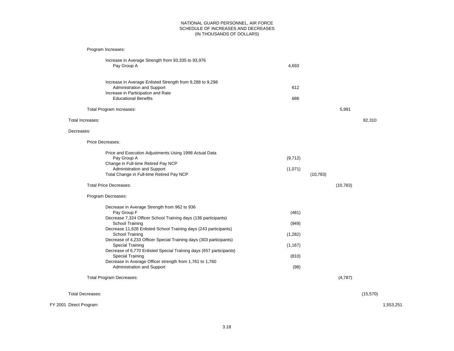## NATIONAL GUARD PERSONNEL, AIR FORCE SCHEDULE OF INCREASES AND DECREASES (IN THOUSANDS OF DOLLARS)

| Program Increases:                                                                                                                                                                                                                                                                                                                                                                                                                                                                                                                                                      |                                                        |           |           |           |
|-------------------------------------------------------------------------------------------------------------------------------------------------------------------------------------------------------------------------------------------------------------------------------------------------------------------------------------------------------------------------------------------------------------------------------------------------------------------------------------------------------------------------------------------------------------------------|--------------------------------------------------------|-----------|-----------|-----------|
| Increase in Average Strength from 93,335 to 93,976<br>Pay Group A                                                                                                                                                                                                                                                                                                                                                                                                                                                                                                       | 4,693                                                  |           |           |           |
| Increase in Average Enlisted Strength from 9,288 to 9,298<br>Administration and Support<br>Increase in Participation and Rate<br><b>Educational Benefits</b>                                                                                                                                                                                                                                                                                                                                                                                                            | 612<br>686                                             |           |           |           |
| Total Program Increases:                                                                                                                                                                                                                                                                                                                                                                                                                                                                                                                                                |                                                        |           | 5,991     |           |
| Total Increases:                                                                                                                                                                                                                                                                                                                                                                                                                                                                                                                                                        |                                                        |           |           | 82,310    |
| Decreases:                                                                                                                                                                                                                                                                                                                                                                                                                                                                                                                                                              |                                                        |           |           |           |
| <b>Price Decreases:</b>                                                                                                                                                                                                                                                                                                                                                                                                                                                                                                                                                 |                                                        |           |           |           |
| Price and Execution Adjustments Using 1998 Actual Data<br>Pay Group A<br>Change in Full-time Retired Pay NCP<br>Administration and Support<br>Total Change in Full-time Retired Pay NCP                                                                                                                                                                                                                                                                                                                                                                                 | (9,712)<br>(1,071)                                     | (10, 783) |           |           |
| <b>Total Price Decreases:</b>                                                                                                                                                                                                                                                                                                                                                                                                                                                                                                                                           |                                                        |           | (10, 783) |           |
| Program Decreases:                                                                                                                                                                                                                                                                                                                                                                                                                                                                                                                                                      |                                                        |           |           |           |
| Decrease in Average Strength from 962 to 936<br>Pay Group F<br>Decrease 7,324 Officer School Training days (136 participants)<br>School Training<br>Decrease 11,628 Enlisted School Training days (243 participants)<br>School Training<br>Decrease of 4,233 Officer Special Training days (303 participants)<br><b>Special Training</b><br>Decrease of 6,770 Enlisted Special Training days (657 participants)<br><b>Special Training</b><br>Decrease in Average Officer strength from 1,761 to 1,760<br>Administration and Support<br><b>Total Program Decreases:</b> | (481)<br>(949)<br>(1,282)<br>(1, 167)<br>(810)<br>(98) |           | (4,787)   |           |
| <b>Total Decreases:</b>                                                                                                                                                                                                                                                                                                                                                                                                                                                                                                                                                 |                                                        |           |           | (15, 570) |

FY 2001 Direct Program 1,553,251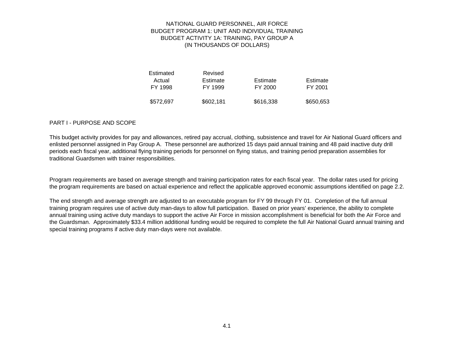# NATIONAL GUARD PERSONNEL, AIR FORCE BUDGET PROGRAM 1: UNIT AND INDIVIDUAL TRAINING BUDGET ACTIVITY 1A: TRAINING, PAY GROUP A (IN THOUSANDS OF DOLLARS)

| Estimated | Revised   |           |           |
|-----------|-----------|-----------|-----------|
| Actual    | Estimate  | Estimate  | Estimate  |
| FY 1998   | FY 1999   | FY 2000   | FY 2001   |
| \$572,697 | \$602,181 | \$616,338 | \$650,653 |

## PART I - PURPOSE AND SCOPE

This budget activity provides for pay and allowances, retired pay accrual, clothing, subsistence and travel for Air National Guard officers and enlisted personnel assigned in Pay Group A. These personnel are authorized 15 days paid annual training and 48 paid inactive duty drill periods each fiscal year, additional flying training periods for personnel on flying status, and training period preparation assemblies for traditional Guardsmen with trainer responsibilities.

Program requirements are based on average strength and training participation rates for each fiscal year. The dollar rates used for pricing the program requirements are based on actual experience and reflect the applicable approved economic assumptions identified on page 2.2.

The end strength and average strength are adjusted to an executable program for FY 99 through FY 01. Completion of the full annual training program requires use of active duty man-days to allow full participation. Based on prior years' experience, the ability to complete annual training using active duty mandays to support the active Air Force in mission accomplishment is beneficial for both the Air Force and the Guardsman. Approximately \$33.4 million additional funding would be required to complete the full Air National Guard annual training and special training programs if active duty man-days were not available.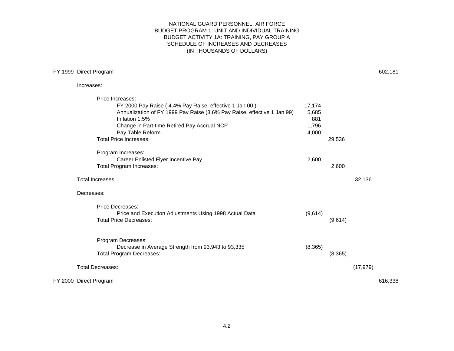## NATIONAL GUARD PERSONNEL, AIR FORCE BUDGET PROGRAM 1: UNIT AND INDIVIDUAL TRAINING BUDGET ACTIVITY 1A: TRAINING, PAY GROUP A SCHEDULE OF INCREASES AND DECREASES (IN THOUSANDS OF DOLLARS)

# FY 1999 Direct Program 602,181

# Increases:

| Price Increases:                                                                          |              |          |           |         |
|-------------------------------------------------------------------------------------------|--------------|----------|-----------|---------|
| FY 2000 Pay Raise (4.4% Pay Raise, effective 1 Jan 00)                                    | 17,174       |          |           |         |
| Annualization of FY 1999 Pay Raise (3.6% Pay Raise, effective 1 Jan 99)<br>Inflation 1.5% | 5,685<br>881 |          |           |         |
| Change in Part-time Retired Pay Accrual NCP                                               | 1,796        |          |           |         |
| Pay Table Reform                                                                          | 4,000        |          |           |         |
| <b>Total Price Increases:</b>                                                             |              | 29,536   |           |         |
| Program Increases:                                                                        |              |          |           |         |
| Career Enlisted Flyer Incentive Pay                                                       | 2,600        |          |           |         |
| Total Program Increases:                                                                  |              | 2,600    |           |         |
| Total Increases:                                                                          |              |          | 32,136    |         |
| Decreases:                                                                                |              |          |           |         |
| <b>Price Decreases:</b>                                                                   |              |          |           |         |
| Price and Execution Adjustments Using 1998 Actual Data                                    | (9,614)      |          |           |         |
| <b>Total Price Decreases:</b>                                                             |              | (9,614)  |           |         |
| Program Decreases:                                                                        |              |          |           |         |
| Decrease in Average Strength from 93,943 to 93,335                                        | (8, 365)     |          |           |         |
| <b>Total Program Decreases:</b>                                                           |              | (8, 365) |           |         |
| <b>Total Decreases:</b>                                                                   |              |          | (17, 979) |         |
|                                                                                           |              |          |           |         |
| FY 2000 Direct Program                                                                    |              |          |           | 616,338 |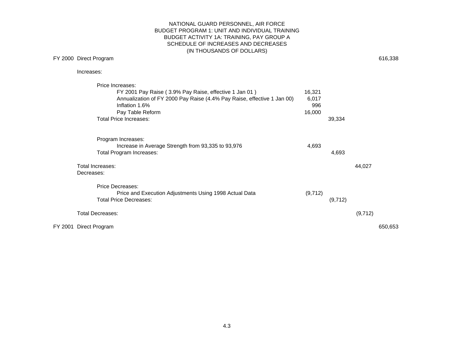# NATIONAL GUARD PERSONNEL, AIR FORCE BUDGET PROGRAM 1: UNIT AND INDIVIDUAL TRAINING BUDGET ACTIVITY 1A: TRAINING, PAY GROUP A SCHEDULE OF INCREASES AND DECREASES (IN THOUSANDS OF DOLLARS)

| FY 2000 Direct Program                                                                                                                                                                                                       |                                  |         |         | 616,338 |
|------------------------------------------------------------------------------------------------------------------------------------------------------------------------------------------------------------------------------|----------------------------------|---------|---------|---------|
| Increases:                                                                                                                                                                                                                   |                                  |         |         |         |
| Price Increases:<br>FY 2001 Pay Raise (3.9% Pay Raise, effective 1 Jan 01)<br>Annualization of FY 2000 Pay Raise (4.4% Pay Raise, effective 1 Jan 00)<br>Inflation 1.6%<br>Pay Table Reform<br><b>Total Price Increases:</b> | 16,321<br>6,017<br>996<br>16,000 | 39,334  |         |         |
| Program Increases:<br>Increase in Average Strength from 93,335 to 93,976<br>Total Program Increases:                                                                                                                         | 4,693                            | 4,693   |         |         |
| Total Increases:<br>Decreases:                                                                                                                                                                                               |                                  |         | 44,027  |         |
| Price Decreases:<br>Price and Execution Adjustments Using 1998 Actual Data<br><b>Total Price Decreases:</b>                                                                                                                  | (9, 712)                         | (9,712) |         |         |
| <b>Total Decreases:</b>                                                                                                                                                                                                      |                                  |         | (9,712) |         |
| FY 2001 Direct Program                                                                                                                                                                                                       |                                  |         |         | 650,653 |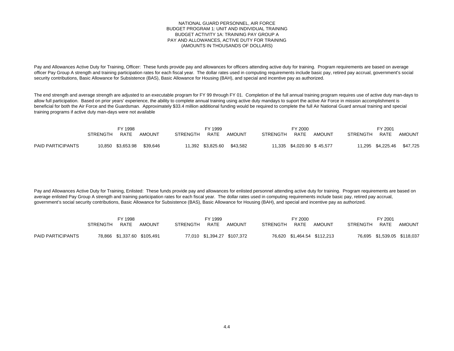#### NATIONAL GUARD PERSONNEL, AIR FORCE BUDGET PROGRAM 1: UNIT AND INDIVIDUAL TRAINING BUDGET ACTIVITY 1A: TRAINING PAY GROUP A PAY AND ALLOWANCES, ACTIVE DUTY FOR TRAINING (AMOUNTS IN THOUSANDS OF DOLLARS)

Pay and Allowances Active Duty for Training, Officer: These funds provide pay and allowances for officers attending active duty for training. Program requirements are based on average officer Pay Group A strength and training participation rates for each fiscal year. The dollar rates used in computing requirements include basic pay, retired pay accrual, government's social security contributions, Basic Allowance for Subsistence (BAS), Basic Allowance for Housing (BAH), and special and incentive pay as authorized.

The end strength and average strength are adjusted to an executable program for FY 99 through FY 01. Completion of the full annual training program requires use of active duty man-days to allow full participation. Based on prior years' experience, the ability to complete annual training using active duty mandays to suport the active Air Force in mission accomplishment is beneficial for both the Air Force and the Guardsman. Approximately \$33.4 million additional funding would be required to complete the full Air National Guard annual training and special training programs if active duty man-days were not available

|                   | °Y 1998         |                   |               |                 | FY 1999           |               |                 | FY 2000 |                            |                 | FY 2001 |                            |  |  |
|-------------------|-----------------|-------------------|---------------|-----------------|-------------------|---------------|-----------------|---------|----------------------------|-----------------|---------|----------------------------|--|--|
|                   | <b>STRENGTH</b> | RATE              | <b>AMOUNT</b> | <b>STRENGTH</b> | RATE              | <b>AMOUNT</b> | <b>STRENGTH</b> | RATE    | <b>AMOUNT</b>              | <b>STRENGTH</b> | RATE    | <b>AMOUNT</b>              |  |  |
| PAID PARTICIPANTS |                 | 10,850 \$3,653.98 | \$39.646      |                 | 11.392 \$3.825.60 | \$43.582      |                 |         | 11,335 \$4,020.90 \$45,577 |                 |         | 11,295 \$4,225.46 \$47,725 |  |  |

Pay and Allowances Active Duty for Training, Enlisted: These funds provide pay and allowances for enlisted personnel attending active duty for training. Program requirements are based on average enlisted Pay Group A strength and training participation rates for each fiscal year. The dollar rates used in computing requirements include basic pay, retired pay accrual, government's social security contributions, Basic Allowance for Subsistence (BAS), Basic Allowance for Housing (BAH), and special and incentive pay as authorized.

|                   | FY 1998         |                             |        |          | FY 1999                     |        |                 | FY 2000 |                             |                 | FY 2001                     |               |  |  |
|-------------------|-----------------|-----------------------------|--------|----------|-----------------------------|--------|-----------------|---------|-----------------------------|-----------------|-----------------------------|---------------|--|--|
|                   | <b>STRENGTH</b> | RATE                        | AMOUNT | STRENGTH | <b>RATE</b>                 | AMOUNT | <b>STRENGTH</b> | RATE    | AMOUNT                      | <b>STRENGTH</b> | <b>RATE</b>                 | <b>AMOUNT</b> |  |  |
| PAID PARTICIPANTS |                 | 78,866 \$1,337.60 \$105,491 |        |          | 77,010 \$1,394.27 \$107,372 |        |                 |         | 76,620 \$1,464.54 \$112,213 |                 | 76,695 \$1,539.05 \$118,037 |               |  |  |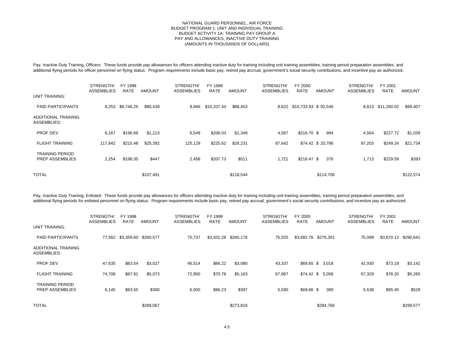#### NATIONAL GUARD PERSONNEL, AIR FORCE BUDGET PROGRAM 1: UNIT AND INDIVIDUAL TRAINING BUDGET ACTIVITY 1A: TRAINING PAY GROUP A PAY AND ALLOWANCES, INACTIVE DUTY TRAINING (AMOUNTS IN THOUSANDS OF DOLLARS)

Pay, Inactive Duty Training, Officers: These funds provide pay allowances for officers attending inactive duty for training including unit training assemblies, training period preparation assemblies, and additional flying periods for officer personnel on flying status. Program requirements include basic pay, retired pay accrual, government's social security contributions, and incentive pay as authorized.

|                                                  | STRENGTH/<br><b>ASSEMBLIES</b> | FY 1998<br>RATE | <b>AMOUNT</b> | STRENGTH/<br><b>ASSEMBLIES</b> | FY 1999<br><b>RATE</b> | <b>AMOUNT</b> | STRENGTH/<br><b>ASSEMBLIES</b> | FY 2000<br><b>RATE</b>     | <b>AMOUNT</b>     | STRENGTH/<br><b>ASSEMBLIES</b> | FY 2001<br><b>RATE</b> | <b>AMOUNT</b> |
|--------------------------------------------------|--------------------------------|-----------------|---------------|--------------------------------|------------------------|---------------|--------------------------------|----------------------------|-------------------|--------------------------------|------------------------|---------------|
| <b>UNIT TRAINING:</b>                            |                                |                 |               |                                |                        |               |                                |                            |                   |                                |                        |               |
| <b>PAID PARTICIPANTS</b>                         | 8,253                          | \$9,746.25      | \$80,439      | 8,666                          | \$10,207.44            | \$88,453      |                                | 8,622 \$10,733.93 \$92,549 |                   | 8,813                          | \$11,280.02            | \$99,407      |
| <b>ADDITIONAL TRAINING</b><br><b>ASSEMBLIES:</b> |                                |                 |               |                                |                        |               |                                |                            |                   |                                |                        |               |
| <b>PROF DEV</b>                                  | 6,167                          | \$196.69        | \$1,213       | 6,549                          | \$206.03               | \$1,349       | 4,587                          | $$216.70$ \$               | 994               | 4,564                          | \$227.72               | \$1,039       |
| <b>FLIGHT TRAINING</b>                           | 117.842                        | \$215.48        | \$25,392      | 125,129                        | \$225.62               | \$28,231      | 87,642                         |                            | \$74.42 \$ 20,786 | 87,203                         | \$249.24               | \$21,734      |
| <b>TRAINING PERIOD</b><br><b>PREP ASSEMBLIES</b> | 2,254                          | \$198.35        | \$447         | 2,458                          | \$207.73               | \$511         | 1,721                          | $$218.47$ \$               | 376               | 1,713                          | \$229.59               | \$393         |
| <b>TOTAL</b>                                     |                                |                 | \$107,491     |                                |                        | \$118,544     |                                |                            | \$114,706         |                                |                        | \$122,574     |

Pay, Inactive Duty Training, Enlisted: These funds provide pay allowances for officers attending inactive duty for training including unit training assemblies, training period preparation assemblies, and additional flying periods for enlisted personnel on flying status. Program requirements include basic pay, retired pay accrual, government's social security contributions, and incentive pay as authorized.

|                                                  | STRENGTH/<br><b>ASSEMBLIES</b> | FY 1998<br>RATE             | <b>AMOUNT</b> | STRENGTH/<br><b>ASSEMBLIES</b> | FY 1999<br><b>RATE</b> | <b>AMOUNT</b> | STRENGTH/<br><b>ASSEMBLIES</b> | FY 2000<br><b>RATE</b> | <b>AMOUNT</b>        | STRENGTH/<br><b>ASSEMBLIES</b> | FY 2001<br><b>RATE</b> | <b>AMOUNT</b> |
|--------------------------------------------------|--------------------------------|-----------------------------|---------------|--------------------------------|------------------------|---------------|--------------------------------|------------------------|----------------------|--------------------------------|------------------------|---------------|
| <b>UNIT TRAINING:</b>                            |                                |                             |               |                                |                        |               |                                |                        |                      |                                |                        |               |
| <b>PAID PARTICIPANTS</b>                         |                                | 77,562 \$3,359.60 \$260,577 |               | 75,737                         | \$3,501.28             | \$265,176     | 75,025                         |                        | \$3,682.76 \$276,301 | 75,099                         | \$3,870.12 \$290,641   |               |
| <b>ADDITIONAL TRAINING</b><br><b>ASSEMBLIES:</b> |                                |                             |               |                                |                        |               |                                |                        |                      |                                |                        |               |
| PROF DEV                                         | 47,635                         | \$63.54                     | \$3,027       | 46,514                         | \$66.22                | \$3,080       | 43,337                         |                        | \$69.65 \$ 3,018     | 42,930                         | \$73.19                | \$3,142       |
| <b>FLIGHT TRAINING</b>                           | 74,708                         | \$67.91                     | \$5,073       | 72,950                         | \$70.78                | \$5,163       | 67,967                         |                        | \$74.42 \$ 5,058     | 67,329                         | \$78.20                | \$5,265       |
| <b>TRAINING PERIOD</b><br><b>PREP ASSEMBLIES</b> | 6,145                          | \$63.55                     | \$390         | 6,000                          | \$66.23                | \$397         | 5,590                          | $$69.66$ \$            | 389                  | 5,538                          | \$95.45                | \$529         |
| <b>TOTAL</b>                                     |                                |                             | \$269,067     |                                |                        | \$273,816     |                                |                        | \$284,766            |                                |                        | \$299,577     |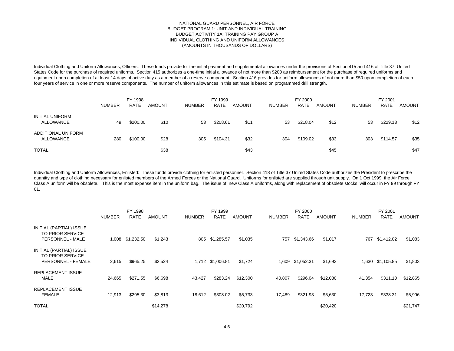#### NATIONAL GUARD PERSONNEL, AIR FORCE BUDGET PROGRAM 1: UNIT AND INDIVIDUAL TRAINING BUDGET ACTIVITY 1A: TRAINING PAY GROUP A INDIVIDUAL CLOTHING AND UNIFORM ALLOWANCES (AMOUNTS IN THOUSANDS OF DOLLARS)

Individual Clothing and Uniform Allowances, Officers: These funds provide for the initial payment and supplemental allowances under the provisions of Section 415 and 416 of Title 37, United States Code for the purchase of required uniforms. Section 415 authorizes a one-time initial allowance of not more than \$200 as reimbursement for the purchase of required uniforms and equipment upon completion of at least 14 days of active duty as a member of a reserve component. Section 416 provides for uniform allowances of not more than \$50 upon completion of each four years of service in one or more reserve components. The number of uniform allowances in this estimate is based on programmed drill strength.

|                                     | <b>NUMBER</b> | FY 1998<br><b>RATE</b> | <b>AMOUNT</b> | <b>NUMBER</b> | FY 1999<br>RATE | <b>AMOUNT</b> | <b>NUMBER</b> | FY 2000<br><b>RATE</b> | <b>AMOUNT</b> | <b>NUMBER</b> | FY 2001<br><b>RATE</b> | <b>AMOUNT</b> |
|-------------------------------------|---------------|------------------------|---------------|---------------|-----------------|---------------|---------------|------------------------|---------------|---------------|------------------------|---------------|
| <b>INITIAL UNIFORM</b><br>ALLOWANCE | 49            | \$200.00               | \$10          | 53            | \$208.61        | \$11          | 53            | \$218.04               | \$12          | 53            | \$229.13               | \$12          |
| ADDITIONAL UNIFORM<br>ALLOWANCE     | 280           | \$100.00               | \$28          | 305           | \$104.31        | \$32          | 304           | \$109.02               | \$33          | 303           | \$114.57               | \$35          |
| <b>TOTAL</b>                        |               |                        | \$38          |               |                 | \$43          |               |                        | \$45          |               |                        | \$47          |

Individual Clothing and Uniform Allowances, Enlisted: These funds provide clothing for enlisted personnel. Section 418 of Title 37 United States Code authorizes the President to prescribe the quantity and type of clothing necessary for enlisted members of the Armed Forces or the National Guard. Uniforms for enlisted are supplied through unit supply. On 1 Oct 1999, the Air Force Class A uniform will be obsolete. This is the most expense item in the uniform bag. The issue of new Class A uniforms, along with replacement of obsolete stocks, will occur in FY 99 through FY 01.

|                                                                                 | <b>NUMBER</b> | FY 1998<br><b>RATE</b> | <b>AMOUNT</b> | <b>NUMBER</b> | FY 1999<br><b>RATE</b> | <b>AMOUNT</b> | <b>NUMBER</b> | FY 2000<br><b>RATE</b> | <b>AMOUNT</b> | <b>NUMBER</b> | FY 2001<br><b>RATE</b> | <b>AMOUNT</b> |
|---------------------------------------------------------------------------------|---------------|------------------------|---------------|---------------|------------------------|---------------|---------------|------------------------|---------------|---------------|------------------------|---------------|
| INITIAL (PARTIAL) ISSUE<br><b>TO PRIOR SERVICE</b><br>PERSONNEL - MALE          | 1,008         | \$1,232.50             | \$1,243       | 805           | \$1,285.57             | \$1,035       | 757           | \$1,343.66             | \$1,017       | 767           | \$1,412.02             | \$1,083       |
| INITIAL (PARTIAL) ISSUE<br><b>TO PRIOR SERVICE</b><br><b>PERSONNEL - FEMALE</b> | 2,615         | \$965.25               | \$2,524       |               | 1,712 \$1,006.81       | \$1,724       | 1,609         | \$1,052.31             | \$1,693       | 1,630         | \$1,105.85             | \$1,803       |
| <b>REPLACEMENT ISSUE</b><br>MALE                                                | 24,665        | \$271.55               | \$6,698       | 43,427        | \$283.24               | \$12,300      | 40,807        | \$296.04               | \$12,080      | 41,354        | \$311.10               | \$12,865      |
| <b>REPLACEMENT ISSUE</b><br><b>FEMALE</b>                                       | 12,913        | \$295.30               | \$3,813       | 18,612        | \$308.02               | \$5,733       | 17,489        | \$321.93               | \$5,630       | 17,723        | \$338.31               | \$5,996       |
| <b>TOTAL</b>                                                                    |               |                        | \$14,278      |               |                        | \$20,792      |               |                        | \$20,420      |               |                        | \$21,747      |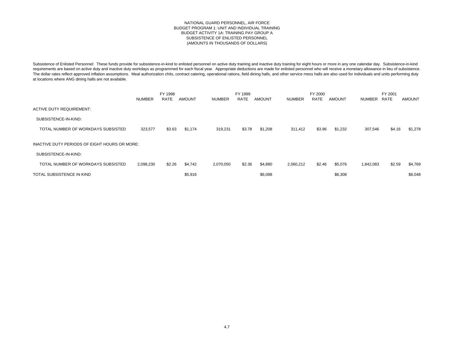#### NATIONAL GUARD PERSONNEL, AIR FORCE BUDGET PROGRAM 1: UNIT AND INDIVIDUAL TRAINING BUDGET ACTIVITY 1A: TRAINING PAY GROUP A SUBSISTENCE OF ENLISTED PERSONNEL (AMOUNTS IN THOUSANDS OF DOLLARS)

Subsistence of Enlisted Personnel: These funds provide for subsistence-in-kind to enlisted personnel on active duty training and inactive duty training for eight hours or more in any one calendar day. Subsistence-in-kind requirements are based on active duty and inactive duty workdays as programmed for each fiscal year. Appropriate deductions are made for enlisted personnel who will receive a monetary allowance in lieu of subsistence. The dollar rates reflect approved inflation assumptions. Meal authorization chits, contract catering, operational rations, field dining halls, and other service mess halls are also used for individuals and units performing at locations where ANG dining halls are not available.

|                                                                       | <b>NUMBER</b> | FY 1998<br><b>RATE</b> | <b>AMOUNT</b> | <b>NUMBER</b> | FY 1999<br>RATE | <b>AMOUNT</b> | <b>NUMBER</b> | FY 2000<br><b>RATE</b> | <b>AMOUNT</b> | <b>NUMBER</b> | FY 2001<br>RATE | <b>AMOUNT</b> |
|-----------------------------------------------------------------------|---------------|------------------------|---------------|---------------|-----------------|---------------|---------------|------------------------|---------------|---------------|-----------------|---------------|
| <b>ACTIVE DUTY REQUIREMENT:</b>                                       |               |                        |               |               |                 |               |               |                        |               |               |                 |               |
| SUBSISTENCE-IN-KIND:                                                  |               |                        |               |               |                 |               |               |                        |               |               |                 |               |
| TOTAL NUMBER OF WORKDAYS SUBSISTED                                    | 323,577       | \$3.63                 | \$1,174       | 319,231       | \$3.78          | \$1,208       | 311,412       | \$3.96                 | \$1,232       | 307,546       | \$4.16          | \$1,278       |
| INACTIVE DUTY PERIODS OF EIGHT HOURS OR MORE:<br>SUBSISTENCE-IN-KIND: |               |                        |               |               |                 |               |               |                        |               |               |                 |               |
| TOTAL NUMBER OF WORKDAYS SUBSISTED                                    | 2,098,230     | \$2.26                 | \$4,742       | 2,070,050     | \$2.36          | \$4,880       | 2,060,212     | \$2.46                 | \$5,076       | 1,842,083     | \$2.59          | \$4,769       |
| TOTAL SUBSISTENCE IN KIND                                             |               |                        | \$5,916       |               |                 | \$6,088       |               |                        | \$6,308       |               |                 | \$6,048       |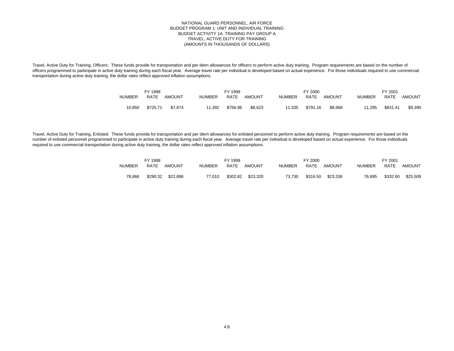#### NATIONAL GUARD PERSONNEL, AIR FORCE BUDGET PROGRAM 1: UNIT AND INDIVIDUAL TRAINING BUDGET ACTIVITY 1A: TRAINING PAY GROUP A TRAVEL, ACTIVE DUTY FOR TRAINING (AMOUNTS IN THOUSANDS OF DOLLARS)

Travel, Active Duty for Training, Officers: These funds provide for transportation and per diem allowances for officers to perform active duty training. Program requirements are based on the number of officers programmed to participate in active duty training during each fiscal year. Average travel rate per individual is developed based on actual experience. For those individuals required to use commercial transportation during active duty training, the dollar rates reflect approved inflation assumptions.

|               | FY 1998  |         |               | FY 1999     |         |               | FY 2000     |         |               | FY 2001  |               |
|---------------|----------|---------|---------------|-------------|---------|---------------|-------------|---------|---------------|----------|---------------|
| <b>NUMBER</b> | RATE     | AMOUNT  | <b>NUMBER</b> | <b>RATE</b> | AMOUNT  | <b>NUMBER</b> | <b>RATE</b> | AMOUNT  | <b>NUMBER</b> | RATE     | <b>AMOUNT</b> |
| 10.850        | \$725.71 | \$7.874 | 1.392         | \$756.96    | \$8.623 | 11.335        | \$791.16    | \$8.968 | 11.295        | \$831.41 | \$9,390       |

Travel, Active Duty for Training, Enlisted: These funds provide for transportation and per diem allowances for enlisted personnel to perform active duty training. Program requirements are based on the number of enlisted personnel programmed to participate in active duty training during each fiscal year. Average travel rate per individual is developed based on actual experience. For those individuals required to use commercial transportation during active duty training, the dollar rates reflect approved inflation assumptions.

|               | FY 1998     |               |               | FY 1999  |               |               | FY 2000     |               |               | FY 2001     |          |
|---------------|-------------|---------------|---------------|----------|---------------|---------------|-------------|---------------|---------------|-------------|----------|
| <b>NUMBER</b> | <b>RATE</b> | <b>AMOUNT</b> | <b>NUMBER</b> | RATE     | <b>AMOUNT</b> | <b>NUMBER</b> | <b>RATE</b> | <b>AMOUNT</b> | <b>NUMBER</b> | <b>RATE</b> | AMOUNT   |
| 78.866        | \$290.32    | \$22.896      | 77.010        | \$302.82 | \$23.320      | 73.730        | \$316.50    | \$23.336      | 76.695        | \$332.60    | \$25,509 |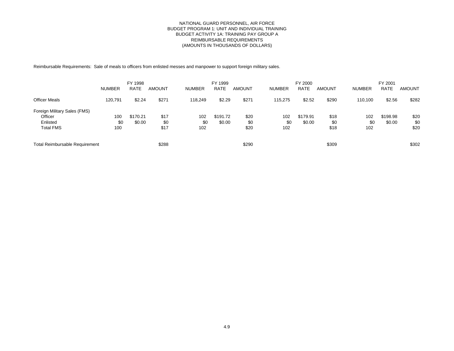## NATIONAL GUARD PERSONNEL, AIR FORCE BUDGET PROGRAM 1: UNIT AND INDIVIDUAL TRAINING BUDGET ACTIVITY 1A: TRAINING PAY GROUP A REIMBURSABLE REQUIREMENTS (AMOUNTS IN THOUSANDS OF DOLLARS)

Reimbursable Requirements: Sale of meals to officers from enlisted messes and manpower to support foreign military sales.

|                                       | <b>NUMBER</b> | FY 1998<br><b>RATE</b> | <b>AMOUNT</b> | <b>NUMBER</b> | FY 1999<br><b>RATE</b> | <b>AMOUNT</b> | <b>NUMBER</b> | FY 2000<br><b>RATE</b> | <b>AMOUNT</b> | <b>NUMBER</b> | FY 2001<br><b>RATE</b> | <b>AMOUNT</b> |
|---------------------------------------|---------------|------------------------|---------------|---------------|------------------------|---------------|---------------|------------------------|---------------|---------------|------------------------|---------------|
| <b>Officer Meals</b>                  | 120,791       | \$2.24                 | \$271         | 118,249       | \$2.29                 | \$271         | 115,275       | \$2.52                 | \$290         | 110,100       | \$2.56                 | \$282         |
| Foreign Military Sales (FMS)          |               |                        |               |               |                        |               |               |                        |               |               |                        |               |
| Officer                               | 100           | \$170.21               | \$17          | 102           | \$191.72               | \$20          | 102           | \$179.91               | \$18          | 102           | \$198.98               | \$20          |
| Enlisted                              | \$0           | \$0.00                 | \$0           | \$0           | \$0.00                 | \$0           | \$0           | \$0.00                 | \$0           | \$0           | \$0.00                 | \$0           |
| <b>Total FMS</b>                      | 100           |                        | \$17          | 102           |                        | \$20          | 102           |                        | \$18          | 102           |                        | \$20          |
| <b>Total Reimbursable Requirement</b> |               |                        | \$288         |               |                        | \$290         |               |                        | \$309         |               |                        | \$302         |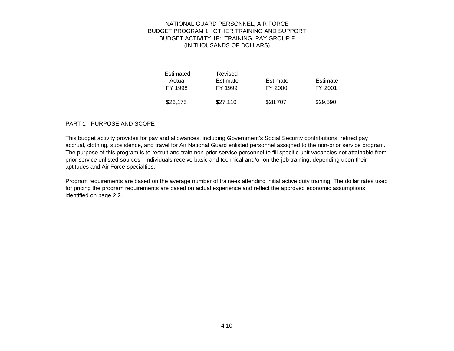# NATIONAL GUARD PERSONNEL, AIR FORCE BUDGET PROGRAM 1: OTHER TRAINING AND SUPPORT BUDGET ACTIVITY 1F: TRAINING, PAY GROUP F (IN THOUSANDS OF DOLLARS)

| Estimated | Revised  |          |          |
|-----------|----------|----------|----------|
| Actual    | Estimate | Estimate | Estimate |
| FY 1998   | FY 1999  | FY 2000  | FY 2001  |
|           |          |          |          |
| \$26,175  | \$27,110 | \$28,707 | \$29,590 |

## PART 1 - PURPOSE AND SCOPE

This budget activity provides for pay and allowances, including Government's Social Security contributions, retired pay accrual, clothing, subsistence, and travel for Air National Guard enlisted personnel assigned to the non-prior service program. The purpose of this program is to recruit and train non-prior service personnel to fill specific unit vacancies not attainable from prior service enlisted sources. Individuals receive basic and technical and/or on-the-job training, depending upon their aptitudes and Air Force specialties.

Program requirements are based on the average number of trainees attending initial active duty training. The dollar rates used for pricing the program requirements are based on actual experience and reflect the approved economic assumptions identified on page 2.2.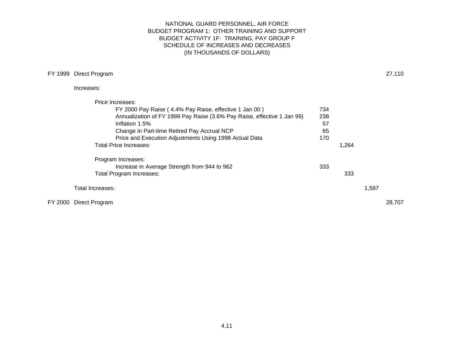# NATIONAL GUARD PERSONNEL, AIR FORCE BUDGET PROGRAM 1: OTHER TRAINING AND SUPPORT BUDGET ACTIVITY 1F: TRAINING, PAY GROUP F SCHEDULE OF INCREASES AND DECREASES (IN THOUSANDS OF DOLLARS)

# FY 1999 Direct Program 27,110

## Increases:

|         | Price Increases:                                                        |     |       |       |        |
|---------|-------------------------------------------------------------------------|-----|-------|-------|--------|
|         | FY 2000 Pay Raise (4.4% Pay Raise, effective 1 Jan 00)                  | 734 |       |       |        |
|         | Annualization of FY 1999 Pay Raise (3.6% Pay Raise, effective 1 Jan 99) | 238 |       |       |        |
|         | Inflation 1.5%                                                          | 57  |       |       |        |
|         | Change in Part-time Retired Pay Accrual NCP                             | 65  |       |       |        |
|         | Price and Execution Adjustments Using 1998 Actual Data                  | 170 |       |       |        |
|         | <b>Total Price Increases:</b>                                           |     | 1,264 |       |        |
|         | Program Increases:                                                      |     |       |       |        |
|         | Increase in Average Strength from 944 to 962                            | 333 |       |       |        |
|         | Total Program Increases:                                                |     | 333   |       |        |
|         | Total Increases:                                                        |     |       | 1,597 |        |
| FY 2000 | Direct Program                                                          |     |       |       | 28,707 |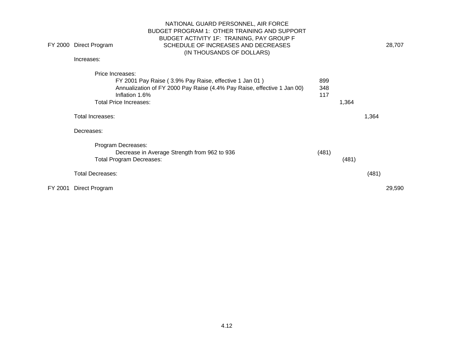| FY 2000 | <b>Direct Program</b>   | NATIONAL GUARD PERSONNEL, AIR FORCE<br>BUDGET PROGRAM 1: OTHER TRAINING AND SUPPORT<br>BUDGET ACTIVITY 1F: TRAINING, PAY GROUP F<br>SCHEDULE OF INCREASES AND DECREASES              |                   |       |       | 28,707 |
|---------|-------------------------|--------------------------------------------------------------------------------------------------------------------------------------------------------------------------------------|-------------------|-------|-------|--------|
|         | Increases:              | (IN THOUSANDS OF DOLLARS)                                                                                                                                                            |                   |       |       |        |
|         | Price Increases:        | FY 2001 Pay Raise (3.9% Pay Raise, effective 1 Jan 01)<br>Annualization of FY 2000 Pay Raise (4.4% Pay Raise, effective 1 Jan 00)<br>Inflation 1.6%<br><b>Total Price Increases:</b> | 899<br>348<br>117 | 1,364 |       |        |
|         | Total Increases:        |                                                                                                                                                                                      |                   |       | 1,364 |        |
|         | Decreases:              |                                                                                                                                                                                      |                   |       |       |        |
|         |                         | Program Decreases:<br>Decrease in Average Strength from 962 to 936<br><b>Total Program Decreases:</b>                                                                                | (481)             | (481) |       |        |
|         | <b>Total Decreases:</b> |                                                                                                                                                                                      |                   |       | (481) |        |
| FY 2001 | Direct Program          |                                                                                                                                                                                      |                   |       |       | 29,590 |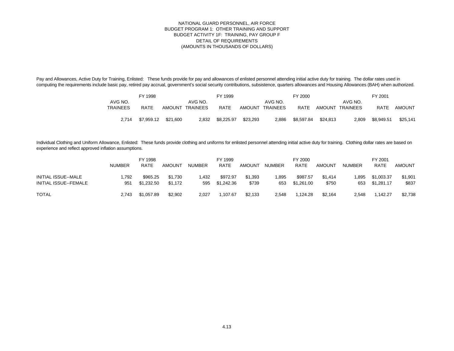## NATIONAL GUARD PERSONNEL, AIR FORCE BUDGET PROGRAM 1: OTHER TRAINING AND SUPPORT BUDGET ACTIVITY 1F: TRAINING, PAY GROUP F DETAIL OF REQUIREMENTS (AMOUNTS IN THOUSANDS OF DOLLARS)

Pay and Allowances, Active Duty for Training, Enlisted: These funds provide for pay and allowances of enlisted personnel attending initial active duty for training. The dollar rates used in computing the requirements include basic pay, retired pay accrual, government's social security contributions, subsistence, quarters allowances and Housing Allowances (BAH) when authorized.

|                 | FY 1998    |               |          | FY 1999     |               |          | FY 2000     |          |          | FY 2001    |          |
|-----------------|------------|---------------|----------|-------------|---------------|----------|-------------|----------|----------|------------|----------|
| AVG NO.         |            |               | AVG NO.  |             |               | AVG NO.  |             |          | AVG NO.  |            |          |
| <b>TRAINEES</b> | RATE       | <b>AMOUNT</b> | TRAINEES | <b>RATE</b> | <b>AMOUNT</b> | TRAINEES | <b>RATE</b> | AMOUNT   | TRAINEES | RATE       | AMOUNT   |
|                 |            |               |          |             |               |          |             |          |          |            |          |
| 2.714           | \$7,959.12 | \$21.600      | 2.832    | \$8.225.97  | \$23.293      | 2.886    | \$8.597.84  | \$24.813 | 2.809    | \$8.949.51 | \$25,141 |

Individual Clothing and Uniform Allowance, Enlisted: These funds provide clothing and uniforms for enlisted personnel attending initial active duty for training. Clothing dollar rates are based on experience and reflect approved inflation assumptions.

|                       | FY 1998       |             |         |               | FY 1999     |         |               | FY 2000    |               | FY 2001       |             |               |  |
|-----------------------|---------------|-------------|---------|---------------|-------------|---------|---------------|------------|---------------|---------------|-------------|---------------|--|
|                       | <b>NUMBER</b> | <b>RATE</b> | AMOUNT  | <b>NUMBER</b> | <b>RATE</b> | AMOUNT  | <b>NUMBER</b> | RATE       | <b>AMOUNT</b> | <b>NUMBER</b> | <b>RATE</b> | <b>AMOUNT</b> |  |
| INITIAL ISSUE--MALE   | .792          | \$965.25    | \$1.730 | .432          | \$972.97    | \$1.393 | .895          | \$987.57   | \$1.414       | 1.895         | \$1.003.37  | \$1,901       |  |
| INITIAL ISSUE--FEMALE | 951           | \$1.232.50  | \$1.172 | 595           | \$1.242.36  | \$739   | 653           | \$1.261.00 | \$750         | 653           | \$1.281.17  | \$837         |  |
| <b>TOTAL</b>          | 2.743         | \$1,057.89  | \$2,902 | 2,027         | .107.67     | \$2,133 | 2,548         | 1.124.28   | \$2,164       | 2,548         | 1.142.27    | \$2,738       |  |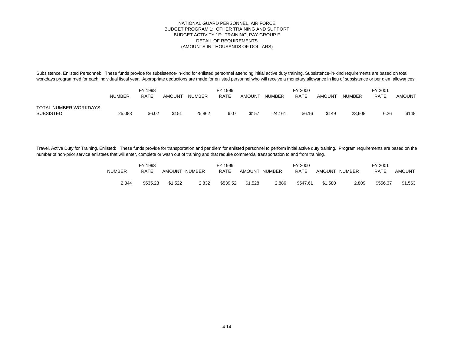Subsistence, Enlisted Personnel: These funds provide for subsistence-In-kind for enlisted personnel attending initial active duty training. Subsistence-in-kind requirements are based on total workdays programmed for each individual fiscal year. Appropriate deductions are made for enlisted personnel who will receive a monetary allowance in lieu of subsistence or per diem allowances.

|                                           | NUMBER | FY 1998<br><b>RATE</b> | AMOUNT | <b>NUMBER</b> | FY 1999<br><b>RATE</b> | <b>AMOUNT</b> | <b>NUMBER</b> | FY 2000<br><b>RATE</b> | <b>AMOUNT</b> | <b>NUMBER</b> | FY 2001<br><b>RATE</b> | <b>AMOUNT</b> |
|-------------------------------------------|--------|------------------------|--------|---------------|------------------------|---------------|---------------|------------------------|---------------|---------------|------------------------|---------------|
| TOTAL NUMBER WORKDAYS<br><b>SUBSISTED</b> | 25,083 | \$6.02                 | \$151  | 25,862        | 6.07                   | \$157         | 24,161        | \$6.16                 | \$149         | 23,608        | 6.26                   | \$148         |

Travel, Active Duty for Training, Enlisted: These funds provide for transportation and per diem for enlisted personnel to perform initial active duty training. Program requirements are based on the number of non-prior service enlistees that will enter, complete or wash out of training and that require commercial transportation to and from training.

|               | FY 1998     |               |        | FY 1999  |               |               | FY 2000     |               |               | <sup>⊏</sup> Y 2001 |               |
|---------------|-------------|---------------|--------|----------|---------------|---------------|-------------|---------------|---------------|---------------------|---------------|
| <b>NUMBER</b> | <b>RATE</b> | <b>AMOUNT</b> | NUMBER | RATE     | <b>AMOUNT</b> | <b>NUMBER</b> | <b>RATE</b> | <b>AMOUNT</b> | <b>NUMBER</b> | <b>RATE</b>         | <b>AMOUNT</b> |
| 2,844         | \$535.23    | \$1,522       | 2,832  | \$539.52 | \$1,528       | 2,886         | \$547.61    | \$1.580       | 2,809         | \$556.37            | \$1,563       |
|               |             |               |        |          |               |               |             |               |               |                     |               |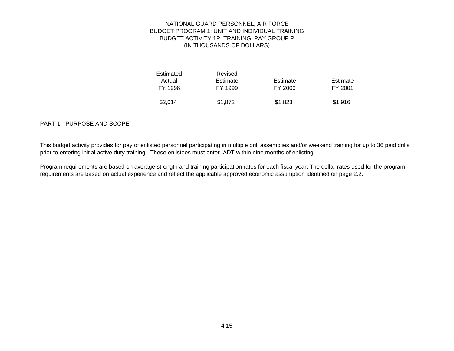## NATIONAL GUARD PERSONNEL, AIR FORCE BUDGET PROGRAM 1: UNIT AND INDIVIDUAL TRAINING BUDGET ACTIVITY 1P: TRAINING, PAY GROUP P (IN THOUSANDS OF DOLLARS)

| Estimated | Revised  |          |          |
|-----------|----------|----------|----------|
| Actual    | Estimate | Estimate | Estimate |
| FY 1998   | FY 1999  | FY 2000  | FY 2001  |
| \$2,014   | \$1,872  | \$1,823  | \$1,916  |

## PART 1 - PURPOSE AND SCOPE

This budget activity provides for pay of enlisted personnel participating in multiple drill assemblies and/or weekend training for up to 36 paid drills prior to entering initial active duty training. These enlistees must enter IADT within nine months of enlisting.

Program requirements are based on average strength and training participation rates for each fiscal year. The dollar rates used for the program requirements are based on actual experience and reflect the applicable approved economic assumption identified on page 2.2.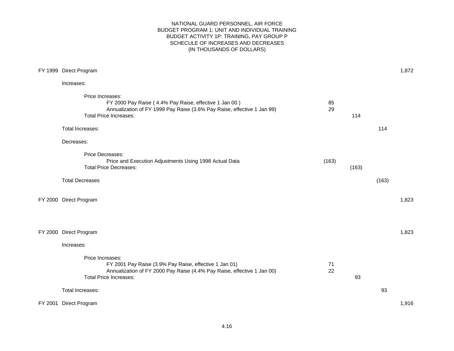## NATIONAL GUARD PERSONNEL, AIR FORCE BUDGET PROGRAM 1: UNIT AND INDIVIDUAL TRAINING BUDGET ACTIVITY 1P: TRAINING, PAY GROUP P SCHECULE OF INCREASES AND DECREASES (IN THOUSANDS OF DOLLARS)

| FY 1999 Direct Program                                                                                                                                                                 |          |       |       | 1,872 |
|----------------------------------------------------------------------------------------------------------------------------------------------------------------------------------------|----------|-------|-------|-------|
| Increases:                                                                                                                                                                             |          |       |       |       |
| Price Increases:<br>FY 2000 Pay Raise (4.4% Pay Raise, effective 1 Jan 00)<br>Annualization of FY 1999 Pay Raise (3.6% Pay Raise, effective 1 Jan 99)<br><b>Total Price Increases:</b> | 85<br>29 | 114   |       |       |
| Total Increases:                                                                                                                                                                       |          |       | 114   |       |
| Decreases:                                                                                                                                                                             |          |       |       |       |
| Price Decreases:<br>Price and Execution Adjustments Using 1998 Actual Data<br><b>Total Price Decreases:</b>                                                                            | (163)    | (163) |       |       |
| <b>Total Decreases</b>                                                                                                                                                                 |          |       | (163) |       |
| FY 2000 Direct Program                                                                                                                                                                 |          |       |       | 1,823 |
| FY 2000 Direct Program                                                                                                                                                                 |          |       |       | 1,823 |
| Increases:                                                                                                                                                                             |          |       |       |       |
| Price Increases:<br>FY 2001 Pay Raise (3.9% Pay Raise, effective 1 Jan 01)<br>Annualization of FY 2000 Pay Raise (4.4% Pay Raise, effective 1 Jan 00)<br><b>Total Price Increases:</b> | 71<br>22 | 93    |       |       |
| Total Increases:                                                                                                                                                                       |          |       | 93    |       |
| FY 2001 Direct Program                                                                                                                                                                 |          |       |       | 1,916 |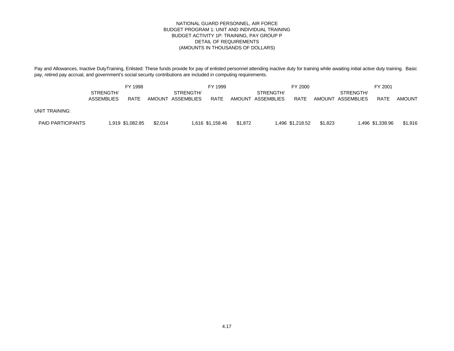### NATIONAL GUARD PERSONNEL, AIR FORCE BUDGET PROGRAM 1: UNIT AND INDIVIDUAL TRAINING BUDGET ACTIVITY 1P: TRAINING, PAY GROUP P DETAIL OF REQUIREMENTS (AMOUNTS IN THOUSANDS OF DOLLARS)

Pay and Allowances, Inactive DutyTraining, Enlisted: These funds provide for pay of enlisted personnel attending inactive duty for training while awaiting initial active duty training. Basic pay, retired pay accrual, and government's social security contributions are included in computing requirements.

|                          |                                | FY 1998          |         |                         | FY 1999          |         |                         | FY 2000          |         |                         | FY 2001          |         |
|--------------------------|--------------------------------|------------------|---------|-------------------------|------------------|---------|-------------------------|------------------|---------|-------------------------|------------------|---------|
|                          | STRENGTH/<br><b>ASSEMBLIES</b> | RATF             | AMOUNT  | STRENGTH/<br>ASSEMBLIES | RATE             | AMOUNT  | STRENGTH/<br>ASSEMBLIES | <b>RATE</b>      | AMOUNT  | STRENGTH/<br>ASSEMBLIES | RATE             | AMOUNT  |
| UNIT TRAINING:           |                                |                  |         |                         |                  |         |                         |                  |         |                         |                  |         |
| <b>PAID PARTICIPANTS</b> |                                | 1,919 \$1,082.85 | \$2.014 |                         | 1,616 \$1,158.46 | \$1.872 |                         | 1,496 \$1,218.52 | \$1.823 |                         | 1,496 \$1,338.96 | \$1,916 |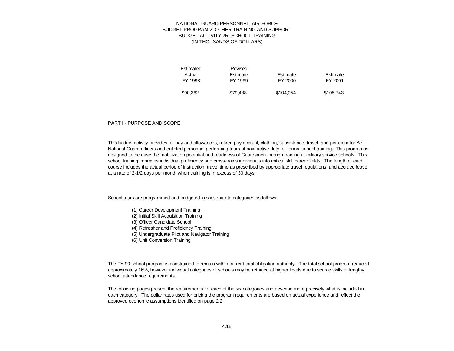| Estimated | Revised  |           |           |
|-----------|----------|-----------|-----------|
| Actual    | Estimate | Estimate  | Estimate  |
| FY 1998   | FY 1999  | FY 2000   | FY 2001   |
| \$90,362  | \$79.488 | \$104.054 | \$105,743 |

PART I - PURPOSE AND SCOPE

This budget activity provides for pay and allowances, retired pay accrual, clothing, subsistence, travel, and per diem for Air National Guard officers and enlisted personnel performing tours of paid active duty for formal school training. This program is designed to increase the mobilization potential and readiness of Guardsmen through training at military service schools. This school training improves individual proficiency and cross-trains individuals into critical skill career fields. The length of each course includes the actual period of instruction, travel time as prescribed by appropriate travel regulations, and accrued leave at a rate of 2-1/2 days per month when training is in excess of 30 days.

School tours are programmed and budgeted in six separate categories as follows:

- (1) Career Development Training
- (2) Initial Skill Acquisition Training
- (3) Officer Candidate School
- (4) Refresher and Proficiency Training
- (5) Undergraduate Pilot and Navigator Training
- (6) Unit Conversion Training

The FY 99 school program is constrained to remain within current total obligation authority. The total school program reduced approximately 16%, however individual categories of schools may be retained at higher levels due to scarce skills or lengthy school attendance requirements.

The following pages present the requirements for each of the six categories and describe more precisely what is included in each category. The dollar rates used for pricing the program requirements are based on actual experience and reflect the approved economic assumptions identified on page 2.2.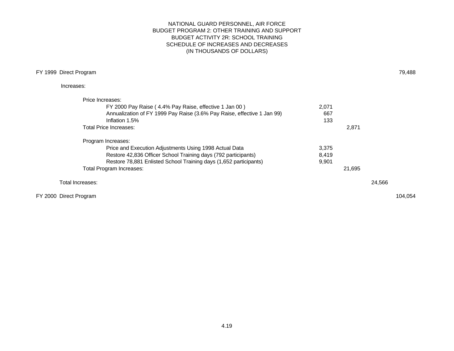## NATIONAL GUARD PERSONNEL, AIR FORCE BUDGET PROGRAM 2: OTHER TRAINING AND SUPPORT BUDGET ACTIVITY 2R: SCHOOL TRAINING SCHEDULE OF INCREASES AND DECREASES (IN THOUSANDS OF DOLLARS)

# FY 1999 Direct Program 79,488 Increases: Price Increases: FY 2000 Pay Raise ( 4.4% Pay Raise, effective 1 Jan 00 ) 2,071 Annualization of FY 1999 Pay Raise (3.6% Pay Raise, effective 1 Jan 99) 667  $Inflation 1.5%$  133 Total Price Increases: 2,871 Program Increases: Price and Execution Adjustments Using 1998 Actual Data 3,375 Restore 42,836 Officer School Training days (792 participants) 8,419 Restore 78,881 Enlisted School Training days (1,652 participants) 9,901 Total Program Increases: 21,695 Total Increases: 24,566 FY 2000 Direct Program 104,054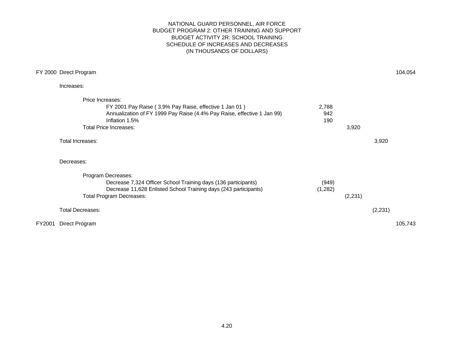## NATIONAL GUARD PERSONNEL, AIR FORCE BUDGET PROGRAM 2: OTHER TRAINING AND SUPPORT BUDGET ACTIVITY 2R: SCHOOL TRAINING SCHEDULE OF INCREASES AND DECREASES (IN THOUSANDS OF DOLLARS)

|        | FY 2000 Direct Program                                                                                                                                                                                                       |                     |          |          | 104,054 |
|--------|------------------------------------------------------------------------------------------------------------------------------------------------------------------------------------------------------------------------------|---------------------|----------|----------|---------|
|        | Increases:                                                                                                                                                                                                                   |                     |          |          |         |
|        | Price Increases:<br>FY 2001 Pay Raise (3.9% Pay Raise, effective 1 Jan 01)<br>Annualization of FY 1999 Pay Raise (4.4% Pay Raise, effective 1 Jan 99)<br>Inflation 1.5%<br><b>Total Price Increases:</b><br>Total Increases: | 2,788<br>942<br>190 | 3,920    | 3,920    |         |
|        | Decreases:                                                                                                                                                                                                                   |                     |          |          |         |
|        | Program Decreases:<br>Decrease 7,324 Officer School Training days (136 participants)<br>Decrease 11,628 Enlisted School Training days (243 participants)<br><b>Total Program Decreases:</b>                                  | (949)<br>(1,282)    | (2, 231) |          |         |
|        | <b>Total Decreases:</b>                                                                                                                                                                                                      |                     |          | (2, 231) |         |
| FY2001 | Direct Program                                                                                                                                                                                                               |                     |          |          | 105,743 |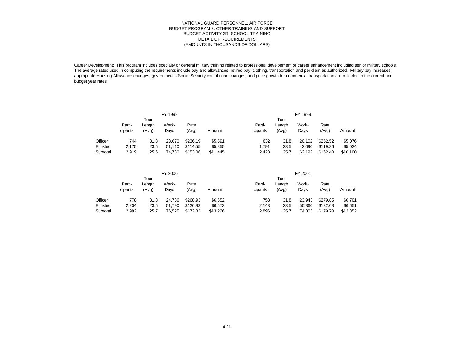Career Development: This program includes specialty or general military training related to professional development or career enhancement including senior military schools. The average rates used in computing the requirements include pay and allowances, retired pay, clothing, transportation and per diem as authorized. Military pay increases, appropriate Housing Allowance changes, government's Social Security contribution changes, and price growth for commercial transportation are reflected in the current and budget year rates.

|          |                   |                         | FY 1998       |               |          | FY 1999           |                         |               |               |          |  |
|----------|-------------------|-------------------------|---------------|---------------|----------|-------------------|-------------------------|---------------|---------------|----------|--|
|          | Parti-<br>cipants | Tour<br>Length<br>(Avg) | Work-<br>Days | Rate<br>(Avg) | Amount   | Parti-<br>cipants | Tour<br>Lenath<br>(Avg) | Work-<br>Days | Rate<br>(Avg) | Amount   |  |
| Officer  | 744               | 31.8                    | 23.670        | \$236.19      | \$5,591  | 632               | 31.8                    | 20.102        | \$252.52      | \$5,076  |  |
| Enlisted | 2,175             | 23.5                    | 51.110        | \$114.55      | \$5,855  | 1.791             | 23.5                    | 42.090        | \$119.36      | \$5,024  |  |
| Subtotal | 2,919             | 25.6                    | 74.780        | \$153.06      | \$11.445 | 2.423             | 25.7                    | 62.192        | \$162.40      | \$10,100 |  |

|          |                   |                         | FY 2000       |               |          | FY 2001           |                         |               |               |          |  |
|----------|-------------------|-------------------------|---------------|---------------|----------|-------------------|-------------------------|---------------|---------------|----------|--|
|          | Parti-<br>cipants | Tour<br>Length<br>(Avg) | Work-<br>Days | Rate<br>(Avg) | Amount   | Parti-<br>cipants | Tour<br>Lenath<br>(Avg) | Work-<br>Days | Rate<br>(Avg) | Amount   |  |
| Officer  | 778               | 31.8                    | 24.736        | \$268.93      | \$6,652  | 753               | 31.8                    | 23.943        | \$279.85      | \$6,701  |  |
| Enlisted | 2.204             | 23.5                    | 51.790        | \$126.93      | \$6,573  | 2.143             | 23.5                    | 50.360        | \$132.08      | \$6,651  |  |
| Subtotal | 2.982             | 25.7                    | 76.525        | \$172.83      | \$13,226 | 2.896             | 25.7                    | 74.303        | \$179.70      | \$13.352 |  |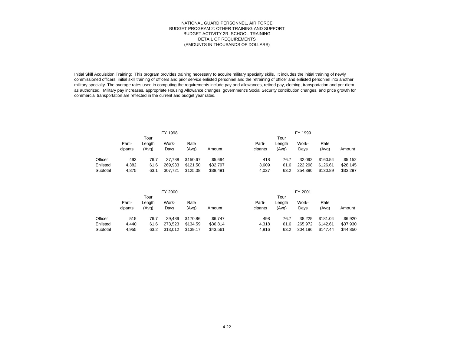Initial Skill Acquisition Training: This program provides training necessary to acquire military specialty skills. It includes the initial training of newly commissioned officers, initial skill training of officers and prior service enlisted personnel and the retraining of officer and enlisted personnel into another military specialty. The average rates used in computing the requirements include pay and allowances, retired pay, clothing, transportation and per diem as authorized. Military pay increases, appropriate Housing Allowance changes, government's Social Security contribution changes, and price growth for commercial transportation are reflected in the current and budget year rates.

|          |                   |                 | FY 1999       |               |          |                   |                 |               |               |          |  |  |
|----------|-------------------|-----------------|---------------|---------------|----------|-------------------|-----------------|---------------|---------------|----------|--|--|
|          |                   | Tour            |               |               |          | Tour              |                 |               |               |          |  |  |
|          | Parti-<br>cipants | Lenath<br>(Avg) | Work-<br>Days | Rate<br>(Avg) | Amount   | Parti-<br>cipants | Lenath<br>(Avg) | Work-<br>Days | Rate<br>(Avg) | Amount   |  |  |
| Officer  | 493               | 76.7            | 37.788        | \$150.67      | \$5,694  | 418               | 76.7            | 32.092        | \$160.54      | \$5,152  |  |  |
| Enlisted | 4.382             | 61.6            | 269.933       | \$121.50      | \$32,797 | 3.609             | 61.6            | 222.298       | \$126.61      | \$28.145 |  |  |
| Subtotal | 4.875             | 63.1            | 307.721       | \$125.08      | \$38.491 | 4.027             | 63.2            | 254.390       | \$130.89      | \$33.297 |  |  |

|          |                   |                         | FY 2000       |               | FY 2001  |                   |                         |               |               |          |
|----------|-------------------|-------------------------|---------------|---------------|----------|-------------------|-------------------------|---------------|---------------|----------|
|          | Parti-<br>cipants | Tour<br>Length<br>(Avg) | Work-<br>Davs | Rate<br>(Avg) | Amount   | Parti-<br>cipants | Tour<br>Length<br>(Avg) | Work-<br>Days | Rate<br>(Avg) | Amount   |
| Officer  | 515               | 76.7                    | 39.489        | \$170.86      | \$6.747  | 498               | 76.7                    | 38.225        | \$181.04      | \$6,920  |
| Enlisted | 4.440             | 61.6                    | 273.523       | \$134.59      | \$36,814 | 4.318             | 61.6                    | 265.972       | \$142.61      | \$37,930 |
| Subtotal | 4.955             | 63.2                    | 313.012       | \$139.17      | \$43,561 | 4,816             | 63.2                    | 304.196       | \$147.44      | \$44,850 |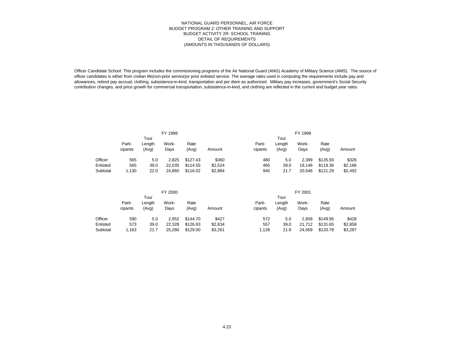Officer Candidate School: This program includes the commissioning programs of the Air National Guard (ANG) Academy of Military Science (AMS). The source of officer candidates is either from civilian life(non-prior service)or prior enlisted service. The average rates used in computing the requirements include pay and allowances, retired pay accrual, clothing, subsistence-in-kind, transportation and per diem as authorized. Military pay increases, government's Social Security contribution changes, and price growth for commercial transportation, subsistence-in-kind, and clothing are reflected in the current and budget year rates.

|          |         |                | FY 1998 |          |         | FY 1999 |                 |               |               |         |  |
|----------|---------|----------------|---------|----------|---------|---------|-----------------|---------------|---------------|---------|--|
|          | Parti-  | Tour<br>∟ength | Work-   | Rate     |         | Parti-  | Tour            |               |               |         |  |
|          | cipants | (Avg)          | Days    | (Avg)    | Amount  | cipants | Lenath<br>(Avg) | Work-<br>Days | Rate<br>(Ava) | Amount  |  |
| Officer  | 565     | 5.0            | 2.825   | \$127.43 | \$360   | 480     | 5.0             | 2.399         | \$135.93      | \$326   |  |
| Enlisted | 565     | 39.0           | 22.035  | \$114.55 | \$2,524 | 465     | 39.0            | 18.146        | \$119.36      | \$2,166 |  |
| Subtotal | 1.130   | 22.0           | 24.860  | \$116.02 | \$2,884 | 945     | 21.7            | 20.546        | \$121.29      | \$2,492 |  |

|          |                   |                         | FY 2000       |               |         | FY 2001           |                         |               |               |         |
|----------|-------------------|-------------------------|---------------|---------------|---------|-------------------|-------------------------|---------------|---------------|---------|
|          | Parti-<br>cipants | Tour<br>Lenath<br>(Avg) | Work-<br>Days | Rate<br>(Avg) | Amount  | Parti-<br>cipants | Tour<br>Lenath<br>(Avg) | Work-<br>Days | Rate<br>(Avg) | Amount  |
| Officer  | 590               | 5.0                     | 2.952         | \$144.70      | \$427   | 572               | 5.0                     | 2.858         | \$149.95      | \$428   |
| Enlisted | 573               | 39.0                    | 22.328        | \$126.93      | \$2,834 | 557               | 39.0                    | 21.712        | \$131.65      | \$2,858 |
| Subtotal | 1,163             | 21.7                    | 25.280        | \$129.00      | \$3,261 | 1,128             | 21.8                    | 24.569        | \$133.78      | \$3,287 |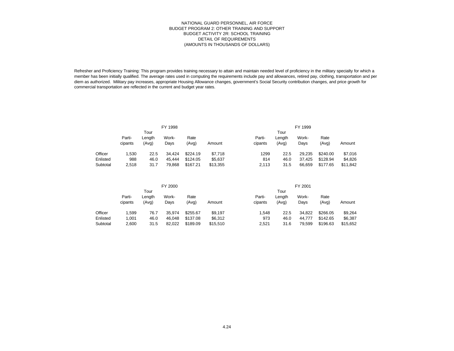Refresher and Proficiency Training: This program provides training necessary to attain and maintain needed level of proficiency in the military specialty for which a member has been initially qualified. The average rates used in computing the requirements include pay and allowances, retired pay, clothing, transportation and per diem as authorized. Military pay increases, appropriate Housing Allowance changes, government's Social Security contribution changes, and price growth for commercial transportation are reflected in the current and budget year rates.

|          | FY 1998                           |               |                 |          |          |        | FY 1999        |        |          |          |  |  |
|----------|-----------------------------------|---------------|-----------------|----------|----------|--------|----------------|--------|----------|----------|--|--|
|          | Tour<br>Work-<br>Parti-<br>Length |               |                 | Rate     |          | Parti- | Tour<br>Length | Work-  | Rate     | Amount   |  |  |
|          | cipants                           | (Avg)<br>Days | (Avg)<br>Amount | cipants  | (Avg)    | Days   | (Avg)          |        |          |          |  |  |
| Officer  | 1.530                             | 22.5          | 34.424          | \$224.19 | \$7,718  | 1299   | 22.5           | 29.235 | \$240.00 | \$7,016  |  |  |
| Enlisted | 988                               | 46.0          | 45.444          | \$124.05 | \$5,637  | 814    | 46.0           | 37.425 | \$128.94 | \$4,826  |  |  |
| Subtotal | 2,518                             | 31.7          | 79.868          | \$167.21 | \$13.355 | 2,113  | 31.5           | 66.659 | \$177.65 | \$11,842 |  |  |

|          |                   |                         | FY 2000       |               |          | FY 2001           |                         |               |               |          |
|----------|-------------------|-------------------------|---------------|---------------|----------|-------------------|-------------------------|---------------|---------------|----------|
|          | Parti-<br>cipants | Tour<br>Lenath<br>(Avg) | Work-<br>Days | Rate<br>(Avg) | Amount   | Parti-<br>cipants | Tour<br>Lenath<br>(Avg) | Work-<br>Days | Rate<br>(Avg) | Amount   |
| Officer  | 1.599             | 76.7                    | 35.974        | \$255.67      | \$9,197  | 1,548             | 22.5                    | 34.822        | \$266.05      | \$9,264  |
| Enlisted | 1.001             | 46.0                    | 46.048        | \$137.08      | \$6,312  | 973               | 46.0                    | 44.777        | \$142.65      | \$6,387  |
| Subtotal | 2,600             | 31.5                    | 82.022        | \$189.09      | \$15,510 | 2,521             | 31.6                    | 79.599        | \$196.63      | \$15,652 |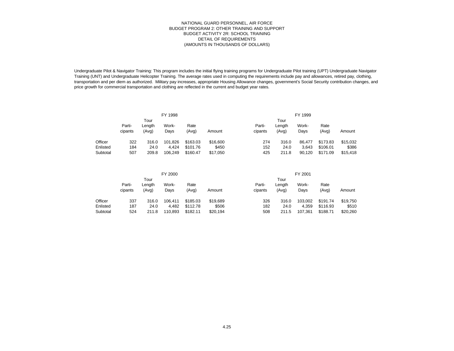Undergraduate Pilot & Navigator Training: This program includes the initial flying training programs for Undergraduate Pilot training (UPT) Undergraduate Navigator Training (UNT) and Undergraduate Helicopter Training. The average rates used in computing the requirements include pay and allowances, retired pay, clothing, transportation and per diem as authorized. Military pay increases, appropriate Housing Allowance changes, government's Social Security contribution changes, and price growth for commercial transportation and clothing are reflected in the current and budget year rates.

|                                 | FY 1998           |                         |                             |                                  |                               |                   | FY 1999                 |                           |                                  |                               |  |
|---------------------------------|-------------------|-------------------------|-----------------------------|----------------------------------|-------------------------------|-------------------|-------------------------|---------------------------|----------------------------------|-------------------------------|--|
|                                 | Parti-<br>cipants | Tour<br>Length<br>(Avg) | Work-<br>Days               | Rate<br>(Avg)                    | Amount                        | Parti-<br>cipants | Tour<br>Length<br>(Avg) | Work-<br>Days             | Rate<br>(Avg)                    | Amount                        |  |
| Officer<br>Enlisted<br>Subtotal | 322<br>184<br>507 | 316.0<br>24.0<br>209.8  | 101.826<br>4.424<br>106.249 | \$163.03<br>\$101.76<br>\$160.47 | \$16,600<br>\$450<br>\$17.050 | 274<br>152<br>425 | 316.0<br>24.0<br>211.8  | 86.477<br>3.643<br>90.120 | \$173.83<br>\$106.01<br>\$171.09 | \$15,032<br>\$386<br>\$15,418 |  |

|          |                   |                         | FY 2000       |               |          |                   | FY 2001                 |               |               |          |  |  |
|----------|-------------------|-------------------------|---------------|---------------|----------|-------------------|-------------------------|---------------|---------------|----------|--|--|
|          | Parti-<br>cipants | Tour<br>Lenath<br>(Avg) | Work-<br>Days | Rate<br>(Avg) | Amount   | Parti-<br>cipants | Tour<br>Lenath<br>(Avg) | Work-<br>Days | Rate<br>(Avg) | Amount   |  |  |
| Officer  | 337               | 316.0                   | 106.411       | \$185.03      | \$19,689 | 326               | 316.0                   | 103.002       | \$191.74      | \$19,750 |  |  |
| Enlisted | 187               | 24.0                    | 4.482         | \$112.78      | \$506    | 182               | 24.0                    | 4.359         | \$116.93      | \$510    |  |  |
| Subtotal | 524               | 211.8                   | 110.893       | \$182.11      | \$20,194 | 508               | 211.5                   | 107.361       | \$188.71      | \$20,260 |  |  |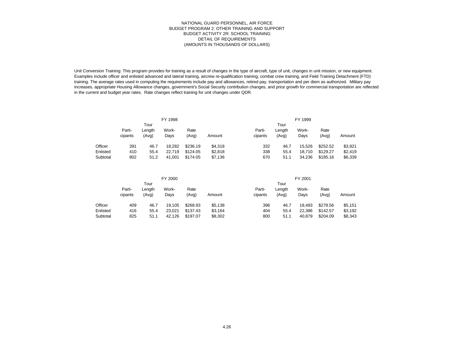Unit Conversion Training: This program provides for training as a result of changes in the type of aircraft, type of unit, changes in unit mission, or new equipment. Examples include officer and enlisted advanced and lateral training, aircrew re-qualification training, combat crew training, and Field Training Detachment (FTD) training. The average rates used in computing the requirements include pay and allowances, retired pay, transportation and per diem as authorized. Military pay increases, appropriate Housing Allowance changes, government's Social Security contribution changes, and price growth for commercial transportation are reflected in the current and budget year rates. Rate changes reflect training for unit changes under QDR.

|          | FY 1998           |                         |               |               |         |                   | FY 1999                 |               |               |         |  |
|----------|-------------------|-------------------------|---------------|---------------|---------|-------------------|-------------------------|---------------|---------------|---------|--|
|          | Parti-<br>cipants | Tour<br>Length<br>(Avg) | Work-<br>Days | Rate<br>(Avg) | Amount  | Parti-<br>cipants | Tour<br>Lenath<br>(Avg) | Work-<br>Days | Rate<br>(Avg) | Amount  |  |
| Officer  | 391               | 46.7                    | 18.282        | \$236.19      | \$4,318 | 332               | 46.7                    | 15.526        | \$252.52      | \$3,921 |  |
| Enlisted | 410               | 55.4                    | 22.719        | \$124.05      | \$2,818 | 338               | 55.4                    | 18.710        | \$129.27      | \$2,419 |  |
| Subtotal | 802               | 51.2                    | 41.001        | \$174.05      | \$7,136 | 670               | 51.1                    | 34.236        | \$185.16      | \$6,339 |  |

|          |                   |                         | FY 2000       |               |         | FY 2001           |                         |               |               |         |
|----------|-------------------|-------------------------|---------------|---------------|---------|-------------------|-------------------------|---------------|---------------|---------|
|          | Parti-<br>cipants | Tour<br>Lenath<br>(Avg) | Work-<br>Days | Rate<br>(Avg) | Amount  | Parti-<br>cipants | Tour<br>∟ength<br>(Avg) | Work-<br>Days | Rate<br>(Avg) | Amount  |
| Officer  | 409               | 46.7                    | 19,105        | \$268.93      | \$5,138 | 396               | 46.7                    | 18.493        | \$278.56      | \$5,151 |
| Enlisted | 416               | 55.4                    | 23.021        | \$137.43      | \$3,164 | 404               | 55.4                    | 22.386        | \$142.57      | \$3,192 |
| Subtotal | 825               | 51.1                    | 42.126        | \$197.07      | \$8,302 | 800               | 51.1                    | 40.879        | \$204.09      | \$8,343 |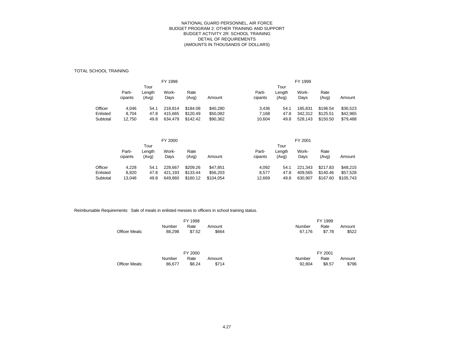#### TOTAL SCHOOL TRAINING

|          | FY 1998           |                         |               |               |          |                   | FY 1999                 |               |               |          |  |
|----------|-------------------|-------------------------|---------------|---------------|----------|-------------------|-------------------------|---------------|---------------|----------|--|
|          | Parti-<br>cipants | Tour<br>Lenath<br>(Avg) | Work-<br>Days | Rate<br>(Avg) | Amount   | Parti-<br>cipants | Tour<br>Length<br>(Avg) | Work-<br>Days | Rate<br>(Avg) | Amount   |  |
| Officer  | 4.046             | 54.1                    | 218.814       | \$184.08      | \$40,280 | 3.436             | 54.1                    | 185.831       | \$196.54      | \$36,523 |  |
| Enlisted | 8.704             | 47.8                    | 415.665       | \$120.49      | \$50,082 | 7.168             | 47.8                    | 342.312       | \$125.51      | \$42.965 |  |
| Subtotal | 12,750            | 49.8                    | 634.479       | \$142.42      | \$90,362 | 10.604            | 49.8                    | 528.143       | \$150.50      | \$79,488 |  |

|          | FY 2000 |        |         |          |           |         | FY 2001 |         |          |           |  |  |
|----------|---------|--------|---------|----------|-----------|---------|---------|---------|----------|-----------|--|--|
|          |         | Tour   |         |          |           |         | Tour    |         |          |           |  |  |
|          | Parti-  | Length | Work-   | Rate     |           | Parti-  | Length  | Work-   | Rate     |           |  |  |
|          | cipants | (Avg)  | Days    | (Avg)    | Amount    | cipants | (Avg)   | Days    | (Avg)    | Amount    |  |  |
| Officer  | 4.228   | 54.1   | 228.667 | \$209.26 | \$47.851  | 4.092   | 54.1    | 221.343 | \$217.83 | \$48.215  |  |  |
| Enlisted | 8,820   | 47.8   | 421.193 | \$133.44 | \$56,203  | 8.577   | 47.8    | 409.565 | \$140.46 | \$57,528  |  |  |
| Subtotal | 13.048  | 49.8   | 649.860 | \$160.12 | \$104.054 | 12,669  | 49.8    | 630.907 | \$167.60 | \$105.743 |  |  |

Reimbursable Requirements: Sale of meals in enlisted messes to officers in school training status.

| <b>Officer Meals:</b> | Number<br>88,298 | FY 1998<br>Rate<br>\$7.52 | Amount<br>\$664 | Number<br>67,176 | FY 1999<br>Rate<br>\$7.78 | Amount<br>\$522 |
|-----------------------|------------------|---------------------------|-----------------|------------------|---------------------------|-----------------|
| <b>Officer Meals:</b> | Number<br>86,677 | FY 2000<br>Rate<br>\$8.24 | Amount<br>\$714 | Number<br>92,804 | FY 2001<br>Rate<br>\$8.57 | Amount<br>\$796 |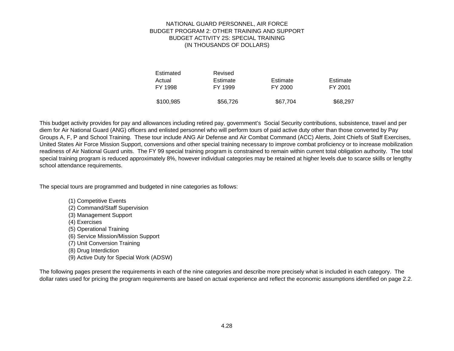| Estimated | Revised  |          |          |  |  |  |
|-----------|----------|----------|----------|--|--|--|
| Actual    | Estimate | Estimate | Estimate |  |  |  |
| FY 1998   | FY 1999  | FY 2000  | FY 2001  |  |  |  |
| \$100,985 | \$56,726 | \$67,704 | \$68,297 |  |  |  |

This budget activity provides for pay and allowances including retired pay, government's Social Security contributions, subsistence, travel and per diem for Air National Guard (ANG) officers and enlisted personnel who will perform tours of paid active duty other than those converted by Pay Groups A, F, P and School Training. These tour include ANG Air Defense and Air Combat Command (ACC) Alerts, Joint Chiefs of Staff Exercises, United States Air Force Mission Support, conversions and other special training necessary to improve combat proficiency or to increase mobilization readiness of Air National Guard units. The FY 99 special training program is constrained to remain within current total obligation authority. The total special training program is reduced approximately 8%, however individual categories may be retained at higher levels due to scarce skills or lengthy school attendance requirements.

The special tours are programmed and budgeted in nine categories as follows:

- (1) Competitive Events
- (2) Command/Staff Supervision
- (3) Management Support
- (4) Exercises
- (5) Operational Training
- (6) Service Mission/Mission Support
- (7) Unit Conversion Training
- (8) Drug Interdiction
- (9) Active Duty for Special Work (ADSW)

The following pages present the requirements in each of the nine categories and describe more precisely what is included in each category. The dollar rates used for pricing the program requirements are based on actual experience and reflect the economic assumptions identified on page 2.2.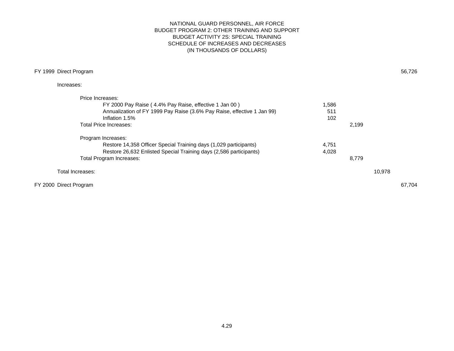## NATIONAL GUARD PERSONNEL, AIR FORCE BUDGET PROGRAM 2: OTHER TRAINING AND SUPPORT BUDGET ACTIVITY 2S: SPECIAL TRAINING SCHEDULE OF INCREASES AND DECREASES (IN THOUSANDS OF DOLLARS)

| FY 1999 Direct Program                                                                                                                                                                    |                     |       |        | 56,726 |
|-------------------------------------------------------------------------------------------------------------------------------------------------------------------------------------------|---------------------|-------|--------|--------|
| Increases:                                                                                                                                                                                |                     |       |        |        |
| Price Increases:<br>FY 2000 Pay Raise (4.4% Pay Raise, effective 1 Jan 00)<br>Annualization of FY 1999 Pay Raise (3.6% Pay Raise, effective 1 Jan 99)<br>Inflation 1.5%                   | 1,586<br>511<br>102 |       |        |        |
| <b>Total Price Increases:</b>                                                                                                                                                             |                     | 2,199 |        |        |
| Program Increases:<br>Restore 14,358 Officer Special Training days (1,029 participants)<br>Restore 26,632 Enlisted Special Training days (2,586 participants)<br>Total Program Increases: | 4,751<br>4,028      | 8,779 |        |        |
| Total Increases:                                                                                                                                                                          |                     |       | 10,978 |        |
| FY 2000 Direct Program                                                                                                                                                                    |                     |       |        | 67,704 |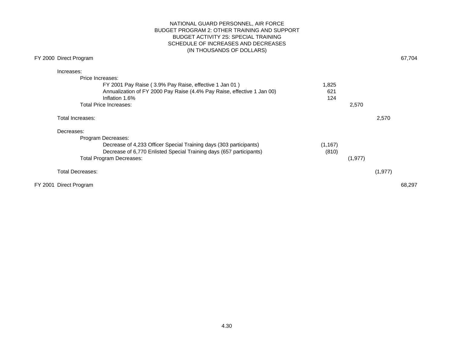## NATIONAL GUARD PERSONNEL, AIR FORCE BUDGET PROGRAM 2: OTHER TRAINING AND SUPPORT BUDGET ACTIVITY 2S: SPECIAL TRAINING SCHEDULE OF INCREASES AND DECREASES (IN THOUSANDS OF DOLLARS)

| FY 2000 Direct Program |                                                                         |          |          |          | 67,704 |
|------------------------|-------------------------------------------------------------------------|----------|----------|----------|--------|
| Increases:             |                                                                         |          |          |          |        |
| Price Increases:       |                                                                         |          |          |          |        |
|                        | FY 2001 Pay Raise (3.9% Pay Raise, effective 1 Jan 01)                  | 1,825    |          |          |        |
|                        | Annualization of FY 2000 Pay Raise (4.4% Pay Raise, effective 1 Jan 00) | 621      |          |          |        |
|                        | Inflation 1.6%                                                          | 124      |          |          |        |
|                        | <b>Total Price Increases:</b>                                           |          | 2,570    |          |        |
| Total Increases:       |                                                                         |          |          | 2,570    |        |
| Decreases:             |                                                                         |          |          |          |        |
|                        | Program Decreases:                                                      |          |          |          |        |
|                        | Decrease of 4,233 Officer Special Training days (303 participants)      | (1, 167) |          |          |        |
|                        | Decrease of 6,770 Enlisted Special Training days (657 participants)     | (810)    |          |          |        |
|                        | <b>Total Program Decreases:</b>                                         |          | (1, 977) |          |        |
| Total Decreases:       |                                                                         |          |          | (1, 977) |        |
| FY 2001 Direct Program |                                                                         |          |          |          | 68,297 |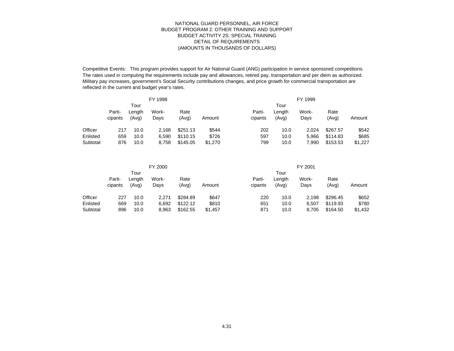Competitive Events: This program provides support for Air National Guard (ANG) participation in service sponsored competitions. The rates used in computing the requirements include pay and allowances, retired pay, transportation and per diem as authorized. Military pay increases, government's Social Security contributions changes, and price growth for commercial transportation are reflected in the current and budget year's rates.

|                      |                   |                         | FY 1998        |                      |                  |                   | FY 1999                 |                |                      |                  |  |  |
|----------------------|-------------------|-------------------------|----------------|----------------------|------------------|-------------------|-------------------------|----------------|----------------------|------------------|--|--|
|                      | Parti-<br>cipants | Tour<br>Length<br>(Avg) | Work-<br>Davs  | Rate<br>(Avg)        | Amount           | Parti-<br>cipants | Tour<br>Length<br>(Avg) | Work-<br>Days  | Rate<br>(Avg)        | Amount           |  |  |
| Officer              | 217               | 10.0                    | 2,168          | \$251.13             | \$544            | 202               | 10.0                    | 2.024          | \$267.57             | \$542            |  |  |
| Enlisted<br>Subtotal | 659<br>876        | 10.0<br>10.0            | 6.590<br>8,758 | \$110.15<br>\$145.05 | \$726<br>\$1,270 | 597<br>799        | 10.0<br>10.0            | 5.966<br>7,990 | \$114.83<br>\$153.53 | \$685<br>\$1,227 |  |  |

|          |                   |                 | FY 2000       |               |         | FY 2001           |                 |               |               |         |  |  |
|----------|-------------------|-----------------|---------------|---------------|---------|-------------------|-----------------|---------------|---------------|---------|--|--|
|          |                   | Tour            |               |               |         | Tour              |                 |               |               |         |  |  |
|          | Parti-<br>cipants | Length<br>(Avg) | Work-<br>Days | Rate<br>(Avg) | Amount  | Parti-<br>cipants | Length<br>(Avg) | Work-<br>Days | Rate<br>(Avg) | Amount  |  |  |
| Officer  | 227               | 10.0            | 2.271         | \$284.89      | \$647   | 220               | 10.0            | 2.198         | \$296.45      | \$652   |  |  |
| Enlisted | 669               | 10.0            | 6,692         | \$122.12      | \$810   | 651               | 10.0            | 6.507         | \$119.93      | \$780   |  |  |
| Subtotal | 896               | 10.0            | 8,963         | \$162.55      | \$1,457 | 871               | 10.0            | 8,705         | \$164.50      | \$1,432 |  |  |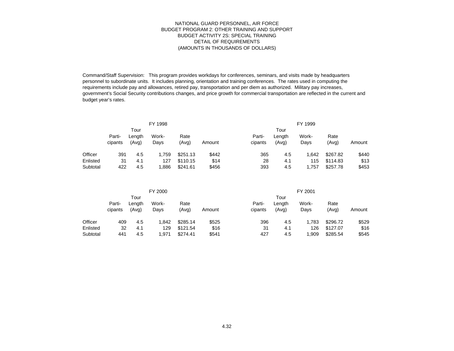Command/Staff Supervision: This program provides workdays for conferences, seminars, and visits made by headquarters personnel to subordinate units. It includes planning, orientation and training conferences. The rates used in computing the requirements include pay and allowances, retired pay, transportation and per diem as authorized. Military pay increases, government's Social Security contributions changes, and price growth for commercial transportation are reflected in the current and budget year's rates.

|          |         |        | FY 1998 |          |        | FY 1999 |        |       |          |        |  |  |
|----------|---------|--------|---------|----------|--------|---------|--------|-------|----------|--------|--|--|
|          |         | Tour   |         |          |        | Tour    |        |       |          |        |  |  |
|          | Parti-  | Length | Work-   | Rate     |        | Parti-  | Length | Work- | Rate     |        |  |  |
|          | cipants | (Avg)  | Days    | (Avg)    | Amount | cipants | (Avg)  | Days  | (Avg)    | Amount |  |  |
| Officer  | 391     | 4.5    | 1.759   | \$251.13 | \$442  | 365     | 4.5    | .642  | \$267.82 | \$440  |  |  |
| Enlisted | 31      | 4.1    | 127     | \$110.15 | \$14   | 28      | 4.1    | 115   | \$114.83 | \$13   |  |  |
| Subtotal | 422     | 4.5    | ,886    | \$241.61 | \$456  | 393     | 4.5    | .757  | \$257.78 | \$453  |  |  |

|          |         |        | FY 2000 |          |        |         | FY 2001 |       |          |        |  |  |
|----------|---------|--------|---------|----------|--------|---------|---------|-------|----------|--------|--|--|
|          |         | Tour   |         |          |        | Tour    |         |       |          |        |  |  |
|          | Parti-  | Length | Work-   | Rate     |        | Parti-  | Length  | Work- | Rate     |        |  |  |
|          | cipants | (Avg)  | Days    | (Avg)    | Amount | cipants | (Avg)   | Days  | (Avg)    | Amount |  |  |
| Officer  | 409     | 4.5    | .842    | \$285.14 | \$525  | 396     | 4.5     | 1,783 | \$296.72 | \$529  |  |  |
| Enlisted | 32      | 4.1    | 129     | \$121.54 | \$16   | 31      | 4.1     | 126   | \$127.07 | \$16   |  |  |
| Subtotal | 441     | 4.5    | .971    | \$274.41 | \$541  | 427     | 4.5     | .909  | \$285.54 | \$545  |  |  |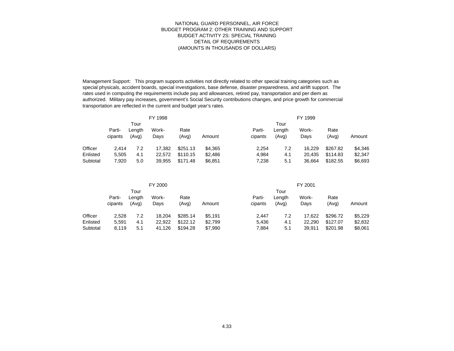Management Support: This program supports activities not directly related to other special training categories such as special physicals, accident boards, special investigations, base defense, disaster preparedness, and airlift support. The rates used in computing the requirements include pay and allowances, retired pay, transportation and per diem as authorized. Military pay increases, government's Social Security contributions changes, and price growth for commercial transportation are reflected in the current and budget year's rates.

|          |         |        | FY 1998 |          |         | FY 1999 |        |        |          |         |  |  |
|----------|---------|--------|---------|----------|---------|---------|--------|--------|----------|---------|--|--|
|          |         | Tour   |         |          |         | Tour    |        |        |          |         |  |  |
|          | Parti-  | Length | Work-   | Rate     |         | Parti-  | Length | Work-  | Rate     |         |  |  |
|          | cipants | (Avg)  | Days    | (Avg)    | Amount  | cipants | (Avg)  | Days   | (Avg)    | Amount  |  |  |
| Officer  | 2.414   | 7.2    | 17,382  | \$251.13 | \$4,365 | 2.254   | 7.2    | 16.229 | \$267.82 | \$4,346 |  |  |
| Enlisted | 5.505   | 4.1    | 22.572  | \$110.15 | \$2,486 | 4,984   | 4.1    | 20.435 | \$114.83 | \$2,347 |  |  |
| Subtotal | 7,920   | 5.0    | 39,955  | \$171.48 | \$6,851 | 7,238   | 5.1    | 36,664 | \$182.55 | \$6,693 |  |  |

|          | FY 2000 |        |        |          |         |         | FY 2001 |        |          |         |  |  |
|----------|---------|--------|--------|----------|---------|---------|---------|--------|----------|---------|--|--|
|          |         | Tour   |        |          |         | Tour    |         |        |          |         |  |  |
|          | Parti-  | Length | Work-  | Rate     |         | Parti-  | Length  | Work-  | Rate     |         |  |  |
|          | cipants | (Avg)  | Davs   | (Avg)    | Amount  | cipants | (Avg)   | Days   | (Avg)    | Amount  |  |  |
| Officer  | 2.528   | 7.2    | 18.204 | \$285.14 | \$5.191 | 2.447   | 7.2     | 17.622 | \$296.72 | \$5,229 |  |  |
| Enlisted | 5.591   | 4.1    | 22.922 | \$122.12 | \$2,799 | 5,436   | 4.1     | 22,290 | \$127.07 | \$2,832 |  |  |
| Subtotal | 8,119   | 5.1    | 41,126 | \$194.28 | \$7,990 | 7,884   | 5.1     | 39,911 | \$201.98 | \$8,061 |  |  |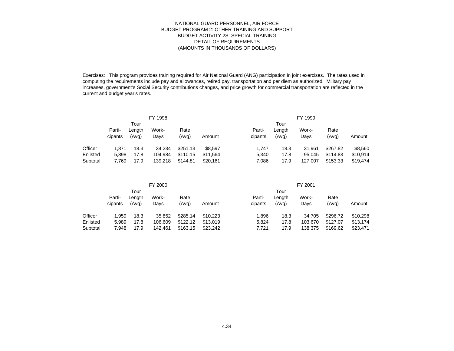Exercises: This program provides training required for Air National Guard (ANG) participation in joint exercises. The rates used in computing the requirements include pay and allowances, retired pay, transportation and per diem as authorized. Military pay increases, government's Social Security contributions changes, and price growth for commercial transportation are reflected in the current and budget year's rates.

|                      |                   |                 | FY 1998            |                      |                      | FY 1999           |                 |                   |                      |                      |  |  |
|----------------------|-------------------|-----------------|--------------------|----------------------|----------------------|-------------------|-----------------|-------------------|----------------------|----------------------|--|--|
|                      |                   | Tour            |                    |                      |                      | Tour              |                 |                   |                      |                      |  |  |
|                      | Parti-<br>cipants | Length<br>(Avg) | Work-<br>Davs      | Rate<br>(Avg)        | Amount               | Parti-<br>cipants | Length<br>(Avg) | Work-<br>Days     | Rate<br>(Avg)        | Amount               |  |  |
| Officer              | 1.871             | 18.3            | 34,234             | \$251.13             | \$8,597              | 1.747             | 18.3            | 31.961            | \$267.82             | \$8,560              |  |  |
| Enlisted<br>Subtotal | 5.898<br>7.769    | 17.8<br>17.9    | 104.984<br>139,218 | \$110.15<br>\$144.81 | \$11.564<br>\$20,161 | 5,340<br>7,086    | 17.8<br>17.9    | 95.045<br>127,007 | \$114.83<br>\$153.33 | \$10,914<br>\$19,474 |  |  |

|          |         |        | FY 2000 |          |          | FY 2001 |        |         |          |          |  |  |
|----------|---------|--------|---------|----------|----------|---------|--------|---------|----------|----------|--|--|
|          |         | Tour   |         |          |          | Tour    |        |         |          |          |  |  |
|          | Parti-  | Lenath | Work-   | Rate     |          | Parti-  | Lenath | Work-   | Rate     |          |  |  |
|          | cipants | (Avg)  | Days    | (Avg)    | Amount   | cipants | (Avg)  | Days    | (Avg)    | Amount   |  |  |
| Officer  | 1.959   | 18.3   | 35.852  | \$285.14 | \$10,223 | 1.896   | 18.3   | 34.705  | \$296.72 | \$10.298 |  |  |
| Enlisted | 5.989   | 17.8   | 106.609 | \$122.12 | \$13.019 | 5,824   | 17.8   | 103.670 | \$127.07 | \$13,174 |  |  |
| Subtotal | 7.948   | 17.9   | 142,461 | \$163.15 | \$23,242 | 7,721   | 17.9   | 138,375 | \$169.62 | \$23,471 |  |  |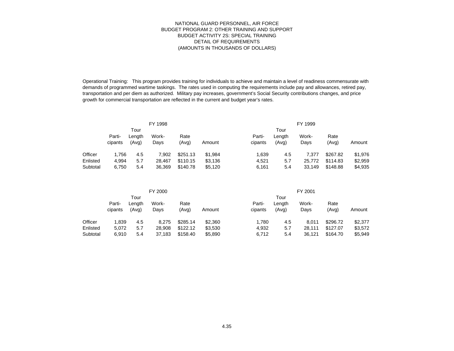Operational Training: This program provides training for individuals to achieve and maintain a level of readiness commensurate with demands of programmed wartime taskings. The rates used in computing the requirements include pay and allowances, retired pay, transportation and per diem as authorized. Military pay increases, government's Social Security contributions changes, and price growth for commercial transportation are reflected in the current and budget year's rates.

|          |         |        | FY 1998 |          |         | FY 1999 |        |        |          |         |  |  |
|----------|---------|--------|---------|----------|---------|---------|--------|--------|----------|---------|--|--|
|          |         | Tour   |         |          |         | Tour    |        |        |          |         |  |  |
|          | Parti-  | Length | Work-   | Rate     |         | Parti-  | Length | Work-  | Rate     |         |  |  |
|          | cipants | (Avg)  | Days    | (Avg)    | Amount  | cipants | (Avg)  | Days   | (Avg)    | Amount  |  |  |
| Officer  | 1.756   | 4.5    | 7.902   | \$251.13 | \$1,984 | 1,639   | 4.5    | 7.377  | \$267.82 | \$1,976 |  |  |
| Enlisted | 4.994   | 5.7    | 28.467  | \$110.15 | \$3,136 | 4.521   | 5.7    | 25.772 | \$114.83 | \$2,959 |  |  |
| Subtotal | 6,750   | 5.4    | 36,369  | \$140.78 | \$5,120 | 6.161   | 5.4    | 33.149 | \$148.88 | \$4,935 |  |  |

|          |         |        | FY 2000 |          |         | FY 2001 |        |        |          |         |  |  |
|----------|---------|--------|---------|----------|---------|---------|--------|--------|----------|---------|--|--|
|          |         | Tour   |         |          |         | Tour    |        |        |          |         |  |  |
|          | Parti-  | Length | Work-   | Rate     |         | Parti-  | Lenath | Work-  | Rate     |         |  |  |
|          | cipants | (Avg)  | Days    | (Avg)    | Amount  | cipants | (Avg)  | Days   | (Avg)    | Amount  |  |  |
| Officer  | 1.839   | 4.5    | 8.275   | \$285.14 | \$2,360 | 1.780   | 4.5    | 8.011  | \$296.72 | \$2,377 |  |  |
| Enlisted | 5.072   | 5.7    | 28,908  | \$122.12 | \$3,530 | 4,932   | 5.7    | 28,111 | \$127.07 | \$3,572 |  |  |
| Subtotal | 6.910   | 5.4    | 37,183  | \$158.40 | \$5,890 | 6,712   | 5.4    | 36.121 | \$164.70 | \$5,949 |  |  |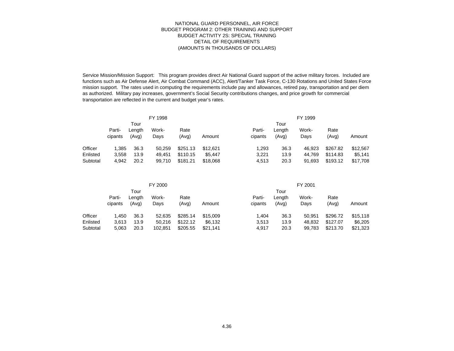Service Mission/Mission Support: This program provides direct Air National Guard support of the active military forces. Included are functions such as Air Defense Alert, Air Combat Command (ACC), Alert/Tanker Task Force, C-130 Rotations and United States Force mission support. The rates used in computing the requirements include pay and allowances, retired pay, transportation and per diem as authorized. Military pay increases, government's Social Security contributions changes, and price growth for commercial transportation are reflected in the current and budget year's rates.

|                      |                   |                 | FY 1998          |                      |                     | FY 1999           |                 |                  |                      |                     |  |  |
|----------------------|-------------------|-----------------|------------------|----------------------|---------------------|-------------------|-----------------|------------------|----------------------|---------------------|--|--|
|                      |                   | Tour            |                  |                      |                     | Tour              |                 |                  |                      |                     |  |  |
|                      | Parti-<br>cipants | Lenath<br>(Avg) | Work-<br>Davs    | Rate<br>(Avg)        | Amount              | Parti-<br>cipants | Length<br>(Avg) | Work-<br>Days    | Rate<br>(Avg)        | Amount              |  |  |
| Officer              | 1,385             | 36.3            | 50,259           | \$251.13             | \$12.621            | 1.293             | 36.3            | 46.923           | \$267.82             | \$12,567            |  |  |
| Enlisted<br>Subtotal | 3,558<br>4.942    | 13.9<br>20.2    | 49.451<br>99,710 | \$110.15<br>\$181.21 | \$5.447<br>\$18,068 | 3.221<br>4,513    | 13.9<br>20.3    | 44.769<br>91,693 | \$114.83<br>\$193.12 | \$5,141<br>\$17,708 |  |  |

|          |         |        | FY 2000 |          |          |         |        | FY 2001 |          |          |
|----------|---------|--------|---------|----------|----------|---------|--------|---------|----------|----------|
|          |         | Tour   |         |          |          |         | Tour   |         |          |          |
|          | Parti-  | Length | Work-   | Rate     |          | Parti-  | ∟ength | Work-   | Rate     |          |
|          | cipants | (Avg)  | Davs    | (Avg)    | Amount   | cipants | (Avg)  | Days    | (Avg)    | Amount   |
| Officer  | 1.450   | 36.3   | 52,635  | \$285.14 | \$15,009 | 1.404   | 36.3   | 50.951  | \$296.72 | \$15,118 |
| Enlisted | 3.613   | 13.9   | 50.216  | \$122.12 | \$6,132  | 3,513   | 13.9   | 48.832  | \$127.07 | \$6,205  |
| Subtotal | 5,063   | 20.3   | 102,851 | \$205.55 | \$21,141 | 4,917   | 20.3   | 99.783  | \$213.70 | \$21,323 |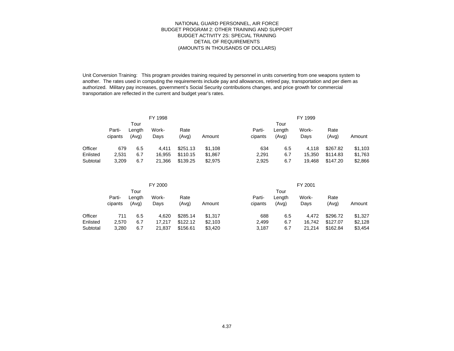Unit Conversion Training: This program provides training required by personnel in units converting from one weapons system to another. The rates used in computing the requirements include pay and allowances, retired pay, transportation and per diem as authorized. Military pay increases, government's Social Security contributions changes, and price growth for commercial transportation are reflected in the current and budget year's rates.

|          |         |        | FY 1998 |          |         |         |        | FY 1999 |          |         |
|----------|---------|--------|---------|----------|---------|---------|--------|---------|----------|---------|
|          |         | Tour   |         |          |         |         | Tour   |         |          |         |
|          | Parti-  | ∟ength | Work-   | Rate     |         | Parti-  | Length | Work-   | Rate     |         |
|          | cipants | (Avg)  | Davs    | (Avg)    | Amount  | cipants | (Avg)  | Days    | (Avg)    | Amount  |
| Officer  | 679     | 6.5    | 4.411   | \$251.13 | \$1.108 | 634     | 6.5    | 4.118   | \$267.82 | \$1,103 |
| Enlisted | 2,531   | 6.7    | 16,955  | \$110.15 | \$1,867 | 2,291   | 6.7    | 15.350  | \$114.83 | \$1,763 |
| Subtotal | 3,209   | 6.7    | 21,366  | \$139.25 | \$2,975 | 2,925   | 6.7    | 19.468  | \$147.20 | \$2,866 |

|          |         |                | FY 2000 |          |         |         |                | FY 2001 |          |         |
|----------|---------|----------------|---------|----------|---------|---------|----------------|---------|----------|---------|
|          | Parti-  | Tour<br>Length | Work-   | Rate     |         | Parti-  | Tour<br>Length | Work-   | Rate     |         |
|          | cipants | (Avg)          | Davs    | (Avg)    | Amount  | cipants | (Avg)          | Days    | (Avg)    | Amount  |
| Officer  | 711     | 6.5            | 4.620   | \$285.14 | \$1,317 | 688     | 6.5            | 4.472   | \$296.72 | \$1,327 |
| Enlisted | 2.570   | 6.7            | 17.217  | \$122.12 | \$2,103 | 2,499   | 6.7            | 16.742  | \$127.07 | \$2,128 |
| Subtotal | 3,280   | 6.7            | 21,837  | \$156.61 | \$3,420 | 3,187   | 6.7            | 21.214  | \$162.84 | \$3,454 |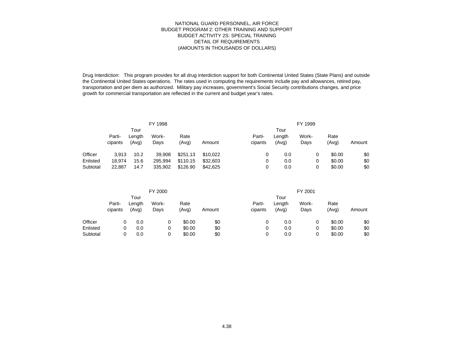Drug Interdiction: This program provides for all drug interdiction support for both Continental United States (State Plans) and outside the Continental United States operations. The rates used in computing the requirements include pay and allowances, retired pay, transportation and per diem as authorized. Military pay increases, government's Social Security contributions changes, and price growth for commercial transportation are reflected in the current and budget year's rates.

|          |                   |                         | FY 1998       |               |          |                   |                         | FY 1999       |               |        |
|----------|-------------------|-------------------------|---------------|---------------|----------|-------------------|-------------------------|---------------|---------------|--------|
|          | Parti-<br>cipants | Tour<br>Lenath<br>(Avg) | Work-<br>Days | Rate<br>(Avg) | Amount   | Parti-<br>cipants | Tour<br>Length<br>(Avg) | Work-<br>Days | Rate<br>(Avg) | Amount |
| Officer  | 3.913             | 10.2                    | 39.908        | \$251.13      | \$10.022 | 0                 | 0.0                     |               | \$0.00        | \$0    |
| Enlisted | 18.974            | 15.6                    | 295.994       | \$110.15      | \$32,603 | 0                 | 0.0                     |               | \$0.00        | \$0    |
| Subtotal | 22,887            | 14.7                    | 335,902       | \$126.90      | \$42,625 | 0                 | 0.0                     |               | \$0.00        | \$0    |

|          |                   |                 |     | FY 2000       |               |        |                   |                 | FY 2001       |               |        |
|----------|-------------------|-----------------|-----|---------------|---------------|--------|-------------------|-----------------|---------------|---------------|--------|
|          |                   | Tour            |     |               |               |        |                   | Tour            |               |               |        |
|          | Parti-<br>cipants | Length<br>(Avg) |     | Work-<br>Days | Rate<br>(Avg) | Amount | Parti-<br>cipants | Length<br>(Avg) | Work-<br>Days | Rate<br>(Avg) | Amount |
| Officer  |                   |                 | 0.0 |               | \$0.00        | \$0    | 0                 | 0.0             |               | \$0.00        | \$0    |
| Enlisted |                   |                 | 0.0 |               | \$0.00        | \$0    | 0                 | 0.0             |               | \$0.00        | \$0    |
| Subtotal |                   |                 | 0.0 |               | \$0.00        | \$0    | 0                 | 0.0             |               | \$0.00        | \$0    |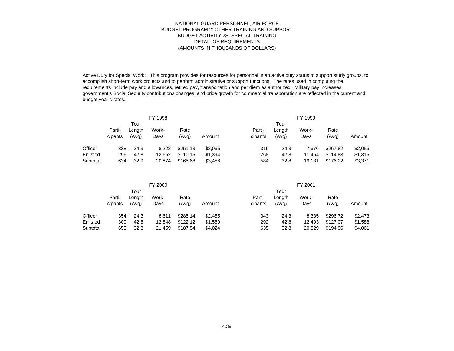Active Duty for Special Work: This program provides for resources for personnel in an active duty status to support study groups, to accomplish short-term work projects and to perform administrative or support functions. The rates used in computing the requirements include pay and allowances, retired pay, transportation and per diem as authorized. Military pay increases, government's Social Security contributions changes, and price growth for commercial transportation are reflected in the current and budget year's rates.

|          |                   |                 | FY 1998       |               |         |                   |                 | FY 1999       |               |         |
|----------|-------------------|-----------------|---------------|---------------|---------|-------------------|-----------------|---------------|---------------|---------|
|          |                   | Tour            |               |               |         |                   | Tour            |               |               |         |
|          | Parti-<br>cipants | Length<br>(Avg) | Work-<br>Davs | Rate<br>(Avg) | Amount  | Parti-<br>cipants | Length<br>(Avg) | Work-<br>Days | Rate<br>(Avg) | Amount  |
| Officer  | 338               | 24.3            | 8,222         | \$251.13      | \$2,065 | 316               | 24.3            | 7.676         | \$267.82      | \$2,056 |
| Enlisted | 296               | 42.8            | 12,652        | \$110.15      | \$1,394 | 268               | 42.8            | 11.454        | \$114.83      | \$1,315 |
| Subtotal | 634               | 32.9            | 20.874        | \$165.68      | \$3,458 | 584               | 32.8            | 19,131        | \$176.22      | \$3,371 |

|          |         |                | FY 2000 |          |         |         |                | FY 2001 |          |         |
|----------|---------|----------------|---------|----------|---------|---------|----------------|---------|----------|---------|
|          | Parti-  | Tour<br>Length | Work-   | Rate     |         | Parti-  | Tour<br>Length | Work-   | Rate     |         |
|          | cipants | (Avg)          | Days    | (Avg)    | Amount  | cipants | (Avg)          | Days    | (Avg)    | Amount  |
| Officer  | 354     | 24.3           | 8.611   | \$285.14 | \$2.455 | 343     | 24.3           | 8.335   | \$296.72 | \$2,473 |
| Enlisted | 300     | 42.8           | 12.848  | \$122.12 | \$1,569 | 292     | 42.8           | 12.493  | \$127.07 | \$1,588 |
| Subtotal | 655     | 32.8           | 21,459  | \$187.54 | \$4,024 | 635     | 32.8           | 20,829  | \$194.96 | \$4,061 |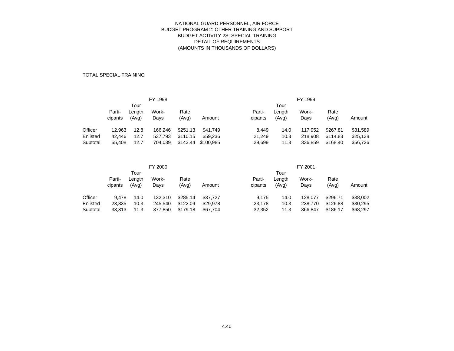TOTAL SPECIAL TRAINING

|          |         |        | FY 1998 |          |           |         |        | FY 1999 |          |          |
|----------|---------|--------|---------|----------|-----------|---------|--------|---------|----------|----------|
|          |         | Tour   |         |          |           |         | Tour   |         |          |          |
|          | Parti-  | Lenath | Work-   | Rate     |           | Parti-  | Lenath | Work-   | Rate     |          |
|          | cipants | (Avg)  | Days    | (Avg)    | Amount    | cipants | (Avg)  | Days    | (Avg)    | Amount   |
| Officer  | 12.963  | 12.8   | 166.246 | \$251.13 | \$41.749  | 8.449   | 14.0   | 117.952 | \$267.81 | \$31,589 |
| Enlisted | 42.446  | 12.7   | 537.793 | \$110.15 | \$59,236  | 21,249  | 10.3   | 218,908 | \$114.83 | \$25,138 |
| Subtotal | 55.408  | 12.7   | 704.039 | \$143.44 | \$100.985 | 29,699  | 11.3   | 336,859 | \$168.40 | \$56,726 |

|          |                   |                 | FY 2000       |               |          |                   |                 | FY 2001       |               |          |
|----------|-------------------|-----------------|---------------|---------------|----------|-------------------|-----------------|---------------|---------------|----------|
|          |                   | Tour            |               |               |          |                   | Tour            |               |               |          |
|          | Parti-<br>cipants | Length<br>(Avg) | Work-<br>Davs | Rate<br>(Avg) | Amount   | Parti-<br>cipants | Length<br>(Avg) | Work-<br>Days | Rate<br>(Avg) | Amount   |
| Officer  | 9.478             | 14.0            | 132.310       | \$285.14      | \$37.727 | 9.175             | 14.0            | 128.077       | \$296.71      | \$38,002 |
| Enlisted | 23.835            | 10.3            | 245.540       | \$122.09      | \$29,978 | 23.178            | 10.3            | 238,770       | \$126.88      | \$30,295 |
| Subtotal | 33.313            | 11.3            | 377,850       | \$179.18      | \$67.704 | 32,352            | 11.3            | 366.847       | \$186.17      | \$68,297 |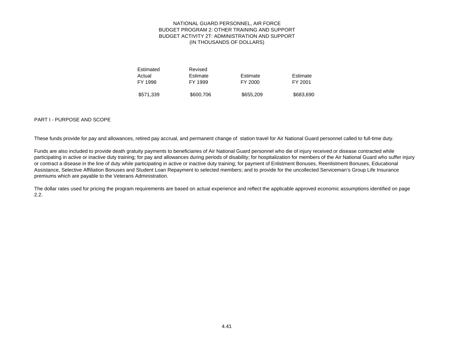## NATIONAL GUARD PERSONNEL, AIR FORCE BUDGET PROGRAM 2: OTHER TRAINING AND SUPPORT BUDGET ACTIVITY 2T: ADMINISTRATION AND SUPPORT (IN THOUSANDS OF DOLLARS)

| Estimated | Revised   |           |           |
|-----------|-----------|-----------|-----------|
| Actual    | Estimate  | Estimate  | Estimate  |
| FY 1998   | FY 1999   | FY 2000   | FY 2001   |
|           |           |           |           |
| \$571,339 | \$600,706 | \$655,209 | \$683,690 |

### PART I - PURPOSE AND SCOPE

These funds provide for pay and allowances, retired pay accrual, and permanent change of station travel for Air National Guard personnel called to full-time duty.

Funds are also included to provide death gratuity payments to beneficiaries of Air National Guard personnel who die of injury received or disease contracted while participating in active or inactive duty training; for pay and allowances during periods of disability; for hospitalization for members of the Air National Guard who suffer injury or contract a disease in the line of duty while participating in active or inactive duty training; for payment of Enlistment Bonuses, Reenlistment Bonuses, Educational Assistance, Selective Affiliation Bonuses and Student Loan Repayment to selected members; and to provide for the uncollected Serviceman's Group Life Insurance premiums which are payable to the Veterans Administration.

The dollar rates used for pricing the program requirements are based on actual experience and reflect the applicable approved economic assumptions identified on page 2.2.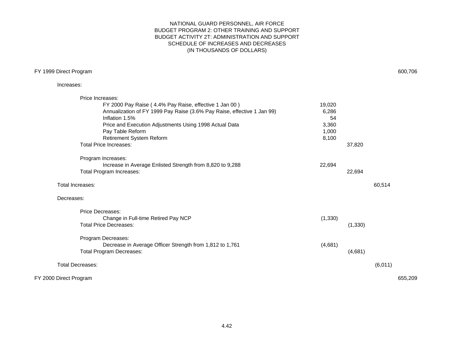## NATIONAL GUARD PERSONNEL, AIR FORCE BUDGET PROGRAM 2: OTHER TRAINING AND SUPPORT BUDGET ACTIVITY 2T: ADMINISTRATION AND SUPPORT SCHEDULE OF INCREASES AND DECREASES (IN THOUSANDS OF DOLLARS)

## FY 1999 Direct Program 600,706

## Increases:

| 37,820   |  |
|----------|--|
|          |  |
|          |  |
| 22,694   |  |
| 60,514   |  |
|          |  |
|          |  |
|          |  |
| (1, 330) |  |
|          |  |
|          |  |
| (4,681)  |  |
| (6,011)  |  |
| 655,209  |  |
|          |  |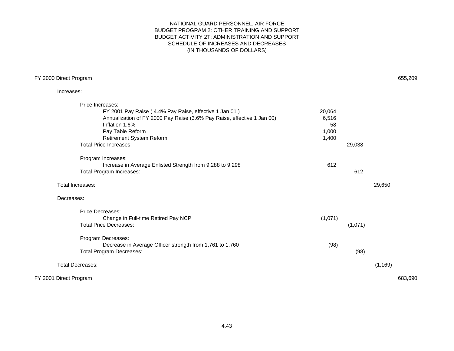## NATIONAL GUARD PERSONNEL, AIR FORCE BUDGET PROGRAM 2: OTHER TRAINING AND SUPPORT BUDGET ACTIVITY 2T: ADMINISTRATION AND SUPPORT SCHEDULE OF INCREASES AND DECREASES (IN THOUSANDS OF DOLLARS)

## FY 2000 Direct Program 655,209

Increases:

| Price Increases:<br>FY 2001 Pay Raise (4.4% Pay Raise, effective 1 Jan 01)<br>Annualization of FY 2000 Pay Raise (3.6% Pay Raise, effective 1 Jan 00)<br>Inflation 1.6%<br>Pay Table Reform<br>Retirement System Reform<br><b>Total Price Increases:</b> | 20,064<br>6,516<br>58<br>1,000<br>1,400 | 29,038  |        |
|----------------------------------------------------------------------------------------------------------------------------------------------------------------------------------------------------------------------------------------------------------|-----------------------------------------|---------|--------|
| Program Increases:<br>Increase in Average Enlisted Strength from 9,288 to 9,298<br>Total Program Increases:<br>Total Increases:                                                                                                                          | 612                                     | 612     | 29,650 |
| Decreases:                                                                                                                                                                                                                                               |                                         |         |        |
| Price Decreases:<br>Change in Full-time Retired Pay NCP<br><b>Total Price Decreases:</b>                                                                                                                                                                 | (1,071)                                 | (1,071) |        |
| Program Decreases:<br>Decrease in Average Officer strength from 1,761 to 1,760                                                                                                                                                                           | (98)                                    | (98)    |        |

Total Decreases: (1,169)

FY 2001 Direct Program 683,690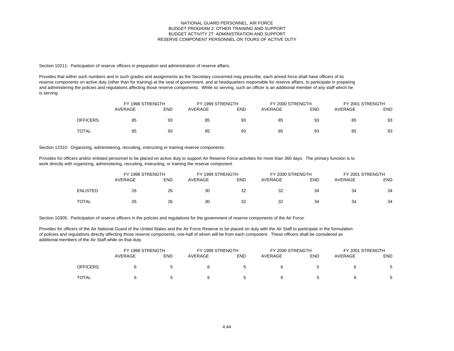Section 10211: Participation of reserve officers in preparation and administration of reserve affairs.

Provides that within such numbers and in such grades and assignments as the Secretary concerned may prescribe, each armed force shall have officers of its reserve components on active duty (other than for training) at the seat of government, and at headquarters responsible for reserve affairs, to participate in preparing and administering the policies and regulations affecting those reserve components. While so serving, such an officer is an additional member of any staff which he is serving.

|                 | FY 1998 STRENGTH |            | FY 1999 STRENGTH |            | FY 2000 STRENGTH |            | FY 2001 STRENGTH |            |  |
|-----------------|------------------|------------|------------------|------------|------------------|------------|------------------|------------|--|
|                 | AVERAGE          | <b>END</b> | AVERAGE          | <b>END</b> | AVERAGE          | <b>END</b> | AVERAGE          | <b>END</b> |  |
| <b>OFFICERS</b> | 85               | 93         | 85               | 93         | 85               | 93         | 85               | 93         |  |
| <b>TOTAL</b>    | 85               | 93         | 85               | 93         | 85               | 93         | 85               | 93         |  |

Section 12310: Organizing, administering, recruiting, instructing or training reserve components.

Provides for officers and/or enlisted personnel to be placed on active duty to support Air Reserve Force activities for more than 360 days. The primary function is to work directly with organizing, administering, recruiting, instructing, or training the reserve component.

|                 | FY 1998 STRENGTH |     | FY 1999 STRENGTH |     | FY 2000 STRENGTH |            | FY 2001 STRENGTH |     |  |
|-----------------|------------------|-----|------------------|-----|------------------|------------|------------------|-----|--|
|                 | AVERAGE          | END | AVERAGE          | END | AVERAGE          | <b>END</b> | AVERAGE          | END |  |
| <b>ENLISTED</b> | 26               | 26  | 30               | 32  | 32               | 34         | 34               | 34  |  |
| <b>TOTAL</b>    | 26               | 26  | 30               | 32  | 32               | 34         | 34               | 34  |  |

Section 10305: Participation of reserve officers in the policies and regulations for the government of reserve components of the Air Force.

Provides for officers of the Air National Guard of the United States and the Air Force Reserve to be placed on duty with the Air Staff to participate in the formulation of policies and regulations directly affecting those reserve components, one-half of whom will be from each component. These officers shall be considered as additional members of the Air Staff while on that duty.

|                 | FY 1998 STRENGTH |            | FY 1999 STRENGTH |                      | FY 2000 STRENGTH |            | FY 2001 STRENGTH |     |  |
|-----------------|------------------|------------|------------------|----------------------|------------------|------------|------------------|-----|--|
|                 | AVERAGE          | <b>END</b> | AVERAGE          | END                  | AVERAGE          | <b>END</b> | AVERAGE          | END |  |
| <b>OFFICERS</b> |                  |            |                  | $\ddot{\phantom{1}}$ |                  |            |                  |     |  |
| <b>TOTAL</b>    |                  |            |                  |                      |                  |            |                  |     |  |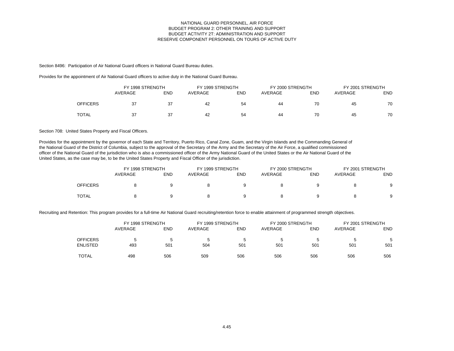Section 8496: Participation of Air National Guard officers in National Guard Bureau duties.

Provides for the appointment of Air National Guard officers to active duty in the National Guard Bureau.

|                 | FY 1998 STRENGTH |     | FY 1999 STRENGTH |     | FY 2000 STRENGTH |            | FY 2001 STRENGTH |            |
|-----------------|------------------|-----|------------------|-----|------------------|------------|------------------|------------|
|                 | AVERAGE          | END | AVERAGE          | END | AVERAGE          | <b>END</b> | AVERAGE          | <b>END</b> |
| <b>OFFICERS</b> | 37               | 37  | 42               | 54  | 44               | 70         | 45               | 70         |
| <b>TOTAL</b>    | 37               | 37  | 42               | 54  | 44               | 70         | 45               | 70         |

Section 708: United States Property and Fiscal Officers.

Provides for the appointment by the governor of each State and Territory, Puerto Rico, Canal Zone, Guam, and the Virgin Islands and the Commanding General of the National Guard of the District of Columbia, subject to the approval of the Secretary of the Army and the Secretary of the Air Force, a qualified commissioned officer of the National Guard of the jurisdiction who is also a commissioned officer of the Army National Guard of the United States or the Air National Guard of the United States, as the case may be, to be the United States Property and Fiscal Officer of the jurisdiction.

|                 | FY 1998 STRENGTH |            | FY 1999 STRENGTH |            | FY 2000 STRENGTH |     | FY 2001 STRENGTH |            |  |
|-----------------|------------------|------------|------------------|------------|------------------|-----|------------------|------------|--|
|                 | AVERAGE          | <b>END</b> | AVERAGE          | <b>END</b> | AVERAGE          | END | AVERAGE          | <b>END</b> |  |
| <b>OFFICERS</b> |                  |            |                  |            |                  |     |                  |            |  |
| <b>TOTAL</b>    |                  |            |                  |            |                  |     |                  |            |  |

Recruiting and Retention: This program provides for a full-time Air National Guard recruiting/retention force to enable attainment of programmed strength objectives.

|                 | FY 1998 STRENGTH |            | FY 1999 STRENGTH |     | FY 2000 STRENGTH |            | FY 2001 STRENGTH |     |  |
|-----------------|------------------|------------|------------------|-----|------------------|------------|------------------|-----|--|
|                 | AVERAGE          | <b>END</b> | AVERAGE          | END | AVERAGE          | <b>END</b> | AVERAGE          | END |  |
| <b>OFFICERS</b> |                  |            |                  | 5.  |                  |            | Ð                | 5   |  |
| <b>ENLISTED</b> | 493              | 501        | 504              | 501 | 501              | 501        | 501              | 501 |  |
| <b>TOTAL</b>    | 498              | 506        | 509              | 506 | 506              | 506        | 506              | 506 |  |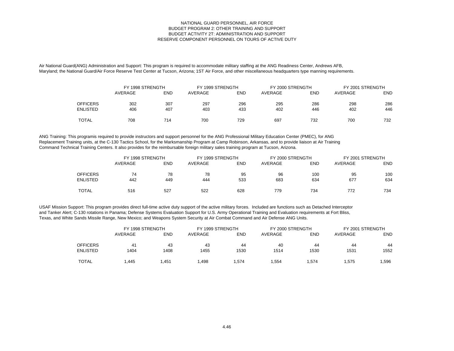Air National Guard(ANG) Administration and Support: This program is required to accommodate military staffing at the ANG Readiness Center, Andrews AFB, Maryland; the National Guard/Air Force Reserve Test Center at Tucson, Arizona; 1ST Air Force, and other miscellaneous headquarters type manning requirements.

|                 | FY 1998 STRENGTH |            | FY 1999 STRENGTH |            | FY 2000 STRENGTH |            | FY 2001 STRENGTH |            |
|-----------------|------------------|------------|------------------|------------|------------------|------------|------------------|------------|
|                 | AVERAGE          | <b>END</b> | AVERAGE          | <b>END</b> | AVERAGE          | <b>END</b> | AVERAGE          | <b>END</b> |
| <b>OFFICERS</b> | 302              | 307        | 297              | 296        | 295              | 286        | 298              | 286        |
| <b>ENLISTED</b> | 406              | 407        | 403              | 433        | 402              | 446        | 402              | 446        |
| <b>TOTAL</b>    | 708              | 714        | 700              | 729        | 697              | 732        | 700              | 732        |

ANG Training: This programis required to provide instructors and support personnel for the ANG Professional Military Education Center (PMEC), for ANG Replacement Training units, at the C-130 Tactics School, for the Marksmanship Program at Camp Robinson, Arkansas, and to provide liaison at Air Training Command Technical Training Centers. It also provides for the reimbursable foreign military sales training program at Tucson, Arizona.

|                 | FY 1998 STRENGTH |     | FY 1999 STRENGTH |            | FY 2000 STRENGTH |     | FY 2001 STRENGTH |            |  |
|-----------------|------------------|-----|------------------|------------|------------------|-----|------------------|------------|--|
|                 | AVERAGE          | END | AVERAGE          | <b>END</b> | AVERAGE          | END | AVERAGE          | <b>END</b> |  |
| <b>OFFICERS</b> | 74               | 78  | 78               | 95         | 96               | 100 | 95               | 100        |  |
| <b>ENLISTED</b> | 442              | 449 | 444              | 533        | 683              | 634 | 677              | 634        |  |
| <b>TOTAL</b>    | 516              | 527 | 522              | 628        | 779              | 734 | 772              | 734        |  |

USAF Mission Support: This program provides direct full-time active duty support of the active military forces. Included are functions such as Detached Interceptor and Tanker Alert; C-130 rotations in Panama; Defense Systems Evaluation Support for U.S. Army Operational Training and Evaluation requirements at Fort Bliss, Texas, and White Sands Missile Range, New Mexico; and Weapons System Security at Air Combat Command and Air Defense ANG Units.

|                 | FY 1998 STRENGTH |            | FY 1999 STRENGTH |            | FY 2000 STRENGTH |            | FY 2001 STRENGTH |            |  |
|-----------------|------------------|------------|------------------|------------|------------------|------------|------------------|------------|--|
|                 | AVERAGE          | <b>END</b> | AVERAGE          | <b>END</b> | AVERAGE          | <b>END</b> | AVERAGE          | <b>END</b> |  |
| <b>OFFICERS</b> | 41               | 43         | 43               | 44         | 40               | 44         | 44               | 44         |  |
| <b>ENLISTED</b> | 1404             | 1408       | 1455             | 1530       | 1514             | 1530       | 1531             | 1552       |  |
| TOTAL           | .445             | .451       | .498             | .574       | .554             | .574       | .575             | .596       |  |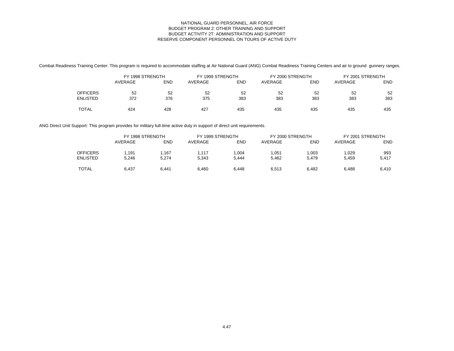Combat Readiness Training Center: This program is required to accommodate staffing at Air National Guard (ANG) Combat Readiness Training Centers and air to ground gunnery ranges.

|                 | FY 1998 STRENGTH |     | FY 1999 STRENGTH |     | FY 2000 STRENGTH |            | FY 2001 STRENGTH |            |
|-----------------|------------------|-----|------------------|-----|------------------|------------|------------------|------------|
|                 | AVERAGE          | END | AVERAGE          | END | AVERAGE          | <b>END</b> | AVERAGE          | <b>END</b> |
| <b>OFFICERS</b> | 52               | 52  | 52               | 52  | 52               | 52         | 52               | 52         |
| <b>ENLISTED</b> | 372              | 376 | 375              | 383 | 383              | 383        | 383              | 383        |
| <b>TOTAL</b>    | 424              | 428 | 427              | 435 | 435              | 435        | 435              | 435        |

ANG Direct Unit Support: This program provides for military full-time active duty in support of direct unit requirements.

|                 | FY 1998 STRENGTH |            | FY 1999 STRENGTH |        | FY 2000 STRENGTH |            | FY 2001 STRENGTH |            |  |
|-----------------|------------------|------------|------------------|--------|------------------|------------|------------------|------------|--|
|                 | AVERAGE          | <b>END</b> | AVERAGE          | END    | AVERAGE          | <b>END</b> | AVERAGE          | <b>END</b> |  |
| <b>OFFICERS</b> | ∣.191            | .167       | 1.117            | 004. ا | l.051            | 1,003      | 1.029            | 993        |  |
| <b>ENLISTED</b> | 5.246            | 5.274      | 5.343            | 5.444  | 5.462            | 5.479      | 5.459            | 5,417      |  |
| <b>TOTAL</b>    | 6.437            | 6.441      | 6.460            | 6.448  | 6.513            | 6.482      | 6.488            | 6.410      |  |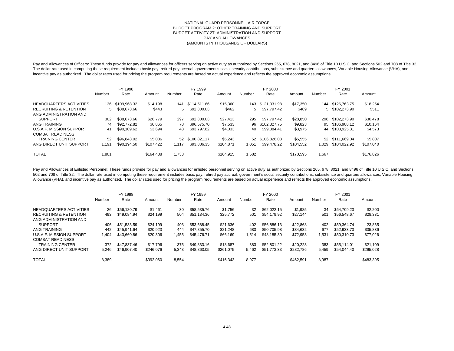#### NATIONAL GUARD PERSONNEL, AIR FORCE BUDGET PROGRAM 2: OTHER TRAINING AND SUPPORT BUDGET ACTIVITY 2T: ADMINISTRATION AND SUPPORT PAY AND ALLOWANCES (AMOUNTS IN THOUSANDS OF DOLLARS)

Pay and Allowances of Officers: These funds provide for pay and allowances for officers serving on active duty as authorized by Sections 265, 678, 8021, and 8496 of Title 10 U.S.C. and Sections 502 and 708 of Title 32. The dollar rate used in computing these requirement includes basic pay, retired pay accrual, government's social security contributions, subsistence and quarters allowances, Variable Housing Allowance (VHA), and incentive pay as authorized. The dollar rates used for pricing the program requirements are based on actual experience and reflects the approved economic assumptions.

|                                   | Number | FY 1998<br>Rate | Amount    | Number | FY 1999<br>Rate | Amount    | Number | FY 2000<br>Rate | Amount    | Number | FY 2001<br>Rate | Amount    |
|-----------------------------------|--------|-----------------|-----------|--------|-----------------|-----------|--------|-----------------|-----------|--------|-----------------|-----------|
|                                   |        |                 |           |        |                 |           |        |                 |           |        |                 |           |
| <b>HEADQUARTERS ACTIVITIES</b>    | 136    | \$109.968.32    | \$14.198  | 141    | \$114,511.66    | \$15,360  | 143    | \$121.331.98    | \$17,350  | 144    | \$126.763.75    | \$18,254  |
| <b>RECRUITING &amp; RETENTION</b> | 5      | \$88,673.66     | \$443     | 5.     | \$92,300.03     | \$462     | 5.     | \$97.797.42     | \$489     |        | 5 \$102,273.90  | \$511     |
| ANG ADMINISTRATION AND            |        |                 |           |        |                 |           |        |                 |           |        |                 |           |
| <b>SUPPORT</b>                    | 302    | \$88,673,66     | \$26,779  | 297    | \$92,300.03     | \$27.413  | 295    | \$97.797.42     | \$28,850  | 298    | \$102.273.90    | \$30,478  |
| ANG TRAINING                      | 74     | \$92,772.82     | \$6,865   | 78     | \$96,575.70     | \$7.533   | 96     | \$102,327.75    | \$9,823   | 95     | \$106.988.12    | \$10,164  |
| U.S.A.F. MISSION SUPPORT          | 41     | \$90.109.62     | \$3,694   | 43     | \$93,797.82     | \$4,033   | 40     | \$99,384.41     | \$3,975   |        | 44 \$103.925.31 | \$4,573   |
| <b>COMBAT READINESS</b>           |        |                 |           |        |                 |           |        |                 |           |        |                 |           |
| <b>TRAINING CENTER</b>            | 52     | \$96,843.02     | \$5.036   | 52     | \$100.821.17    | \$5,243   | 52     | \$106,826.08    | \$5,555   |        | 52 \$111.669.04 | \$5,807   |
| ANG DIRECT UNIT SUPPORT           | 1,191  | \$90.194.50     | \$107.422 | 1.117  | \$93.886.35     | \$104,871 | 1.051  | \$99,478.22     | \$104,552 | 1.029  | \$104.022.92    | \$107,040 |
| <b>TOTAL</b>                      | 1,801  |                 | \$164.438 | 1.733  |                 | \$164.915 | .682   |                 | \$170.595 | 1,667  |                 | \$176.826 |

Pay and Allowances of Enlisted Personnel: These funds provide for pay and allowances for enlisted personnel serving on active duty as authorized by Sections 265, 678, 8021, and 8496 of Title 10 U.S.C. and Sections 502 and 708 of Title 32. The dollar rate used in computing these requirement includes basic pay, retired pay accrual, government's social security contributions, subsistence and quarters allowances, Variable Housing Allowance (VHA), and incentive pay as authorized. The dollar rates used for pricing the program requirements are based on actual experience and reflects the approved economic assumptions.

|                                   |        | FY 1998     |           |        | FY 1999     |           |        | FY 2000     |           |        | FY 2001     |           |
|-----------------------------------|--------|-------------|-----------|--------|-------------|-----------|--------|-------------|-----------|--------|-------------|-----------|
|                                   | Number | Rate        | Amount    | Number | Rate        | Amount    | Number | Rate        | Amount    | Number | Rate        | Amount    |
| <b>HEADOUARTERS ACTIVITIES</b>    | 26     | \$56.180.79 | \$1,461   | 30     | \$58,535.76 | \$1.756   | 32     | \$62.022.15 | \$1.985   | 34     | \$64.709.23 | \$2,200   |
| <b>RECRUITING &amp; RETENTION</b> | 493    | \$49.084.94 | \$24,199  | 504    | \$51.134.36 | \$25,772  | 501    | \$54.179.92 | \$27,144  | 501    | \$56.548.67 | \$28,331  |
| ANG ADMINISTRATION AND            |        |             |           |        |             |           |        |             |           |        |             |           |
| <b>SUPPORT</b>                    | 406    | \$51.533.59 | \$24.199  | 403    | \$53.688.45 | \$21.636  | 402    | \$56,886.13 | \$22,868  | 402    | \$59.364.74 | 23,865    |
| ANG TRAINING                      | 442    | \$45.941.64 | \$20,923  | 444    | \$47.855.70 | \$21.248  | 683    | \$50.705.98 | \$34,632  | 677    | \$52,933.73 | \$35,836  |
| U.S.A.F. MISSION SUPPORT          | 1,404  | \$43.660.86 | \$20,306  | 1.455  | \$45.476.71 | \$66,169  | 1.514  | \$48.185.30 | \$72,953  | 1.531  | \$50.310.73 | \$77,026  |
| <b>COMBAT READINESS</b>           |        |             |           |        |             |           |        |             |           |        |             |           |
| <b>TRAINING CENTER</b>            | 372    | \$47.837.46 | \$17.796  | 375    | \$49.833.16 | \$18.687  | 383    | \$52.801.22 | \$20.223  | 383    | \$55.114.01 | \$21.109  |
| ANG DIRECT UNIT SUPPORT           | 5,246  | \$46,907.40 | \$246.076 | 5,343  | \$48.863.05 | \$261.075 | 5.462  | \$51.773.33 | \$282,786 | 5,459  | \$54.044.40 | \$295,028 |
| <b>TOTAL</b>                      | 8.389  |             | \$392.060 | 8.554  |             | \$416.343 | 8.977  |             | \$462.591 | 8.987  |             | \$483,395 |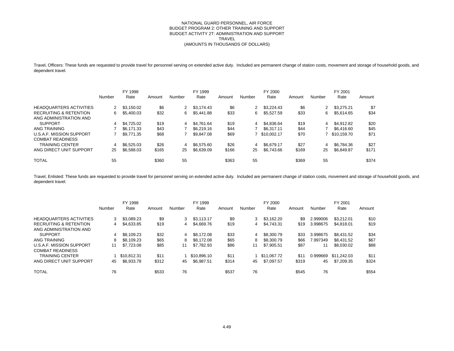#### NATIONAL GUARD PERSONNEL, AIR FORCE BUDGET PROGRAM 2: OTHER TRAINING AND SUPPORT BUDGET ACTIVITY 2T: ADMINISTRATION AND SUPPORT TRAVEL (AMOUNTS IN THOUSANDS OF DOLLARS)

Travel, Officers: These funds are requested to provide travel for personnel serving on extended active duty. Included are permanent change of station costs, movement and storage of household goods, and dependent travel.

|                                                             | Number | FY 1998<br>Rate | Amount | Number | FY 1999<br>Rate | Amount | Number | FY 2000<br>Rate | Amount | Number | FY 2001<br>Rate | Amount |
|-------------------------------------------------------------|--------|-----------------|--------|--------|-----------------|--------|--------|-----------------|--------|--------|-----------------|--------|
| <b>HEADQUARTERS ACTIVITIES</b>                              | 2      | \$3.150.02      | \$6    | 2      | \$3.174.43      | \$6    | 2      | \$3.224.43      | \$6    | 2      | \$3.275.21      | \$7    |
| <b>RECRUITING &amp; RETENTION</b><br>ANG ADMINISTRATION AND | 6      | \$5,400.03      | \$32   | 6      | \$5,441.88      | \$33   | 6      | \$5,527.59      | \$33   | 6      | \$5.614.65      | \$34   |
| <b>SUPPORT</b>                                              | 4      | \$4.725.02      | \$19   | 4      | \$4.761.64      | \$19   | 4      | \$4,836.64      | \$19   | 4      | \$4.912.82      | \$20   |
| ANG TRAINING                                                |        | \$6.171.33      | \$43   |        | \$6,219.16      | \$44   |        | \$6.317.11      | \$44   |        | \$6,416.60      | \$45   |
| U.S.A.F. MISSION SUPPORT<br><b>COMBAT READINESS</b>         |        | \$9.771.35      | \$68   |        | \$9.847.08      | \$69   |        | \$10,002.17     | \$70   |        | \$10.159.70     | \$71   |
| TRAINING CENTER                                             | 4      | \$6,525,03      | \$26   | 4      | \$6,575,60      | \$26   | 4      | \$6.679.17      | \$27   | 4      | \$6.784.36      | \$27   |
| ANG DIRECT UNIT SUPPORT                                     | 25     | \$6,588.03      | \$165  | 25     | \$6,639.09      | \$166  | 25     | \$6,743.66      | \$169  | 25     | \$6,849.87      | \$171  |
| <b>TOTAL</b>                                                | 55     |                 | \$360  | 55     |                 | \$363  | 55     |                 | \$369  | 55     |                 | \$374  |

Travel, Enlisted: These funds are requested to provide travel for personnel serving on extended active duty. Included are permanent change of station costs, movement and storage of household goods, and dependent travel.

|                                   |        | FY 1998     |        |        | FY 1999     |        |        | FY 2000     |        | FY 2001  |             |        |
|-----------------------------------|--------|-------------|--------|--------|-------------|--------|--------|-------------|--------|----------|-------------|--------|
|                                   | Number | Rate        | Amount | Number | Rate        | Amount | Number | Rate        | Amount | Number   | Rate        | Amount |
| <b>HEADQUARTERS ACTIVITIES</b>    | 3      | \$3.089.23  | \$9    | 3      | \$3.113.17  | \$9    | 3      | \$3.162.20  | \$9    | 2.999006 | \$3.212.01  | \$10   |
| <b>RECRUITING &amp; RETENTION</b> | 4      | \$4.633.85  | \$19   | 4      | \$4,669.76  | \$19   | 4      | \$4.743.31  | \$19   | 3.998675 | \$4.818.01  | \$19   |
| ANG ADMINISTRATION AND            |        |             |        |        |             |        |        |             |        |          |             |        |
| <b>SUPPORT</b>                    | 4      | \$8.109.23  | \$32   | 4      | \$8.172.08  | \$33   | 4      | \$8,300.79  | \$33   | 3.998675 | \$8,431.52  | \$34   |
| ANG TRAINING                      | 8      | \$8.109.23  | \$65   | 8      | \$8.172.08  | \$65   | 8      | \$8,300.79  | \$66   | 7.997349 | \$8,431.52  | \$67   |
| U.S.A.F. MISSION SUPPORT          | 11     | \$7.723.08  | \$85   |        | \$7.782.93  | \$86   | 11     | \$7.905.51  | \$87   | 11       | \$8,030.02  | \$88   |
| <b>COMBAT READINESS</b>           |        |             |        |        |             |        |        |             |        |          |             |        |
| TRAINING CENTER                   |        | \$10.812.31 | \$11   |        | \$10,896.10 | \$11   |        | \$11.067.72 | \$11   | 0.999669 | \$11.242.03 | \$11   |
| ANG DIRECT UNIT SUPPORT           | 45     | \$6,933.78  | \$312  | 45     | \$6,987.51  | \$314  | 45     | \$7.097.57  | \$319  | 45       | \$7,209.35  | \$324  |
| <b>TOTAL</b>                      | 76     |             | \$533  | 76     |             | \$537  | 76     |             | \$545  | 76       |             | \$554  |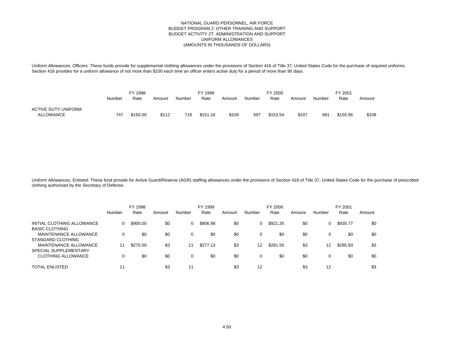Uniform Allowances, Officers: These funds provide for supplemental clothing allowances under the provisions of Section 416 of Title 37, United States Code for the purchase of required uniforms. Section 416 provides for a uniform allowance of not more than \$100 each time an officer enters active duty for a period of more than 90 days.

|                                  | Number | FY 1998<br>Rate | Amount | Number | FY 1999<br>Rate | Amount | Number | FY 2000<br>Rate | Amount | Number | FY 2001<br>Rate | Amount |
|----------------------------------|--------|-----------------|--------|--------|-----------------|--------|--------|-----------------|--------|--------|-----------------|--------|
| ACTIVE DUTY UNIFORM<br>ALLOWANCE | 747    | \$150.00        | \$112  | 718    | \$151.16        | \$109  | 697    | \$153.54        | \$107  | 691    | \$155.96        | \$108  |

Uniform Allowances, Enlisted: These fund provide for Active Guard/Reserve (AGR) staffing allowances under the provisions of Section 418 of Title 37, United States Code for the purchase of prescribed clothing authorized by the Secretary of Defense.

|                                                       |          | FY 1998  |        |          | FY 1999  |        |        | FY 2000  |        |                   | FY 2001  |        |
|-------------------------------------------------------|----------|----------|--------|----------|----------|--------|--------|----------|--------|-------------------|----------|--------|
|                                                       | Number   | Rate     | Amount | Number   | Rate     | Amount | Number | Rate     | Amount | Number            | Rate     | Amount |
| INITIAL CLOTHING ALLOWANCE<br><b>BASIC CLOTHING</b>   | $\Omega$ | \$900.00 | \$0    | 0        | \$906.98 | \$0    | 0      | \$921.26 | \$0    |                   | \$935.77 | \$0    |
| MAINTENANCE ALLOWANCE<br>STANDARD CLOTHING            | 0        | \$0      | \$0    |          | \$0      | \$0    | 0      | \$0      | \$0    |                   | \$0      | \$0    |
| <b>MAINTENANCE ALLOWANCE</b><br>SPECIAL SUPPLEMENTARY | 11       | \$275.00 | \$3    | 11       | \$277.13 | \$3    | 12     | \$281.50 | \$3    | $12 \overline{ }$ | \$285.93 | \$3    |
| <b>CLOTHING ALLOWANCE</b>                             | 0        | \$0      | \$0    | $\Omega$ | \$0      | \$0    | 0      | \$0      | \$0    |                   | \$0      | \$0    |
| TOTAL ENLISTED                                        |          |          | \$3    | 11       |          | \$3    | 12     |          | \$3    | 12                |          | \$3    |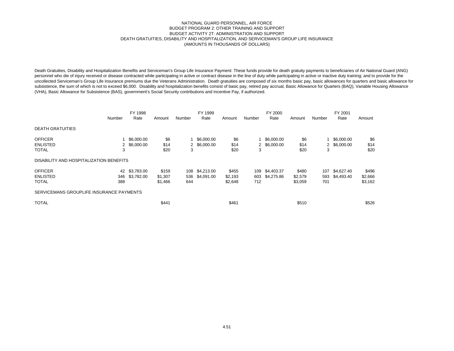#### NATIONAL GUARD PERSONNEL, AIR FORCE BUDGET PROGRAM 2: OTHER TRAINING AND SUPPORT BUDGET ACTIVITY 2T: ADMINISTRATION AND SUPPORT DEATH GRATUITIES, DISABILITY AND HOSPITALIZATION, AND SERVICEMAN'S GROUP LIFE INSURANCE (AMOUNTS IN THOUSANDS OF DOLLARS)

Death Gratuities, Disability and Hospitalization Benefits and Serviceman's Group Life Insurance Payment: These funds provide for death gratuity payments to beneficiaries of Air National Guard (ANG) personnel who die of injury received or disease contracted while participating in active or contract disease in the line of duty while participating in active or inactive duty training; and to provide for the uncollected Serviceman's Group Life Insurance premiums due the Veterans Administration. Death gratuities are composed of six months basic pay, basic allowances for quarters and basic allowance for subsistence, the sum of which is not to exceed \$6,000. Disability and hospitalization benefits consist of basic pay, retired pay accrual, Basic Allowance for Quarters (BAQ), Variable Housing Allowance (VHA), Basic Allowance for Subsistence (BAS), government's Social Security contributions and Incentive Pay, if authorized.

|                                                   | Number                     | FY 1998<br>Rate          | Amount                      | Number | FY 1999<br>Rate                  | Amount                      | Number                    | FY 2000<br>Rate          | Amount                      | Number     | FY 2001<br>Rate              | Amount                      |
|---------------------------------------------------|----------------------------|--------------------------|-----------------------------|--------|----------------------------------|-----------------------------|---------------------------|--------------------------|-----------------------------|------------|------------------------------|-----------------------------|
| <b>DEATH GRATUITIES</b>                           |                            |                          |                             |        |                                  |                             |                           |                          |                             |            |                              |                             |
| <b>OFFICER</b><br><b>ENLISTED</b><br><b>TOTAL</b> | $\mathbf{2}^{\prime}$<br>3 | \$6,000.00<br>\$6,000.00 | \$6<br>\$14<br>\$20         | 3      | \$6,000.00<br>2 \$6,000.00       | \$6<br>\$14<br>\$20         | $\mathbf{2}^{\circ}$<br>3 | \$6,000.00<br>\$6,000.00 | \$6<br>\$14<br>\$20         | 3          | \$6,000.00<br>2 \$6,000.00   | \$6<br>\$14<br>\$20         |
| DISABILITY AND HOSPITALIZATION BENEFITS           |                            |                          |                             |        |                                  |                             |                           |                          |                             |            |                              |                             |
| <b>OFFICER</b><br><b>ENLISTED</b><br><b>TOTAL</b> | 42<br>346<br>388           | \$3,783.00<br>\$3,782.00 | \$159<br>\$1,307<br>\$1,466 | 644    | 108 \$4,213.00<br>536 \$4,091.00 | \$455<br>\$2,193<br>\$2,648 | 109<br>603<br>712         | \$4,403.37<br>\$4,275.86 | \$480<br>\$2,579<br>\$3,059 | 593<br>701 | 107 \$4,627.40<br>\$4,493.40 | \$496<br>\$2,666<br>\$3,162 |
| SERVICEMANS GROUPLIFE INSURANCE PAYMENTS          |                            |                          |                             |        |                                  |                             |                           |                          |                             |            |                              |                             |
| <b>TOTAL</b>                                      |                            |                          | \$441                       |        |                                  | \$461                       |                           |                          | \$510                       |            |                              | \$526                       |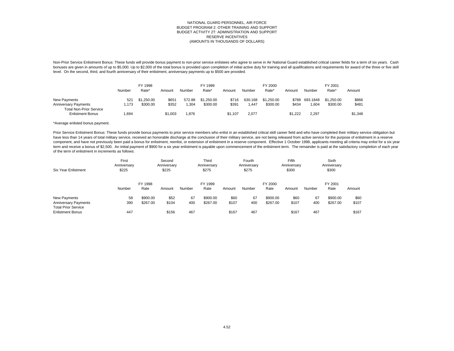Non-Prior Service Enlistment Bonus: These funds will provide bonus payment to non-prior service enlistees who agree to serve in Air National Guard established critical career fields for a term of six years. Cash bonuses are given in amounts of up to \$5,000. Up to \$2,000 of the total bonus is provided upon completion of initial active duty for training and all qualifications and requirements for award of the three or five skill level. On the second, third, and fourth anniversary of their enlistment, anniversary payments up to \$500 are provided.

|                                                                               | Number       | FY 1998<br>Rate <sup>*</sup> | Amount        | Number         | FY 1999<br>Rate*       | Amount         | Number          | FY 2000<br>Rate*       | Amount         | Number           | FY 2001<br>Rate*       | Amount         |
|-------------------------------------------------------------------------------|--------------|------------------------------|---------------|----------------|------------------------|----------------|-----------------|------------------------|----------------|------------------|------------------------|----------------|
| New Payments<br><b>Anniversary Payments</b><br><b>Total Non-Prior Service</b> | 521<br>1.173 | \$1,250.00<br>\$300.00       | \$65<br>\$352 | 572.88<br>.304 | \$1,250.00<br>\$300.00 | \$716<br>\$391 | 630.168<br>.447 | \$1.250.00<br>\$300.00 | \$788<br>\$434 | 693.1848<br>.604 | \$1,250,00<br>\$300.00 | \$866<br>\$481 |
| <b>Enlistment Bonus</b>                                                       | .694         |                              | \$1.003       | .876           |                        | \$1.107        | 2.077           |                        | \$1.222        | 2.297            |                        | \$1,348        |

#### \*Average enlisted bonus payment.

Prior Service Enlistment Bonus: These funds provide bonus payments to prior service members who enlist in an established critical skill career field and who have completed their military service obligation but have less than 14 years of total military service, received an honorable discharge at the conclusion of their military service, are not being released from active service for the purpose of enlistment in a reserve component, and have not previously been paid a bonus for enlistment, reenlist, or extension of enlistment in a reserve component. Effective 1 October 1998, applicants meeting all criteria may enlist for a six year term and receive a bonus of \$2,500. An initial payment of \$900 for a six year enlistment is payable upon commencement of the enlistment term. The remainder is paid at the satisfactory completion of each year of the term of enlistment in increments as follows:

| <b>Six Year Enlistment</b>  | First<br>Anniversary<br>\$225 |                 | Second<br>Anniversary<br>\$225 |        | Third<br>Anniversary<br>\$275 |        | Fourth<br>Anniversary<br>\$275 |                 | Fifth<br>Anniversary<br>\$300 |        | <b>Sixth</b><br>Anniversary<br>\$300 |        |
|-----------------------------|-------------------------------|-----------------|--------------------------------|--------|-------------------------------|--------|--------------------------------|-----------------|-------------------------------|--------|--------------------------------------|--------|
|                             | Number                        | FY 1998<br>Rate | Amount                         | Number | FY 1999<br>Rate               | Amount | Number                         | FY 2000<br>Rate | Amount                        | Number | FY 2001<br>Rate                      | Amount |
| New Payments                | 58                            | \$900.00        | \$52                           | 67     | \$900.00                      | \$60   | 67                             | \$900.00        | \$60                          | 67     | \$900.00                             | \$60   |
| <b>Anniversary Payments</b> | 390                           | \$267.00        | \$104                          | 400    | \$267.00                      | \$107  | 400                            | \$267.00        | \$107                         | 400    | \$267.00                             | \$107  |
| <b>Total Prior Service</b>  |                               |                 |                                |        |                               |        |                                |                 |                               |        |                                      |        |
| <b>Enlistment Bonus</b>     | 447                           |                 | \$156                          | 467    |                               | \$167  | 467                            |                 | \$167                         | 467    |                                      | \$167  |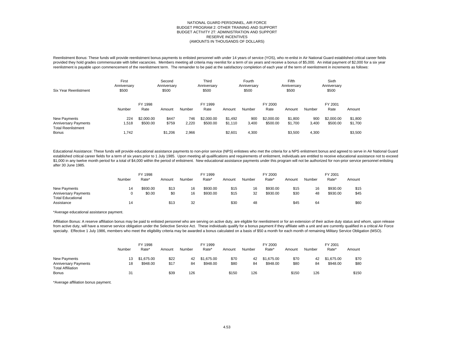Reenlistment Bonus: These funds will provide reenlistment bonus payments to enlisted personnel with under 14 years of service (YOS), who re-enlist in Air National Guard established critical career fields provided they hold grades commensurate with billet vacancies. Members meeting all criteria may reenlist for a term of six years and receive a bonus of \$5,000. An initial payment of \$2,000 for a six year reenlistment is payable upon commencement of the reenlistment term. The remainder to be paid at the satisfactory completion of each year of the term of reenlistment in increments as follows:

| Six Year Reenlistment       | First<br>Anniversary<br>\$500 |                 | Second<br>Anniversary<br>\$500 |        | Third<br>Anniversary<br>\$500 |         | Fourth<br>Anniversary<br>\$500 |                 | Fifth<br>Anniversary<br>\$500 |        | Sixth<br>Anniversary<br>\$500 |         |
|-----------------------------|-------------------------------|-----------------|--------------------------------|--------|-------------------------------|---------|--------------------------------|-----------------|-------------------------------|--------|-------------------------------|---------|
|                             | Number                        | FY 1998<br>Rate | Amount                         | Number | FY 1999<br>Rate               | Amount  | Number                         | FY 2000<br>Rate | Amount                        | Number | FY 2001<br>Rate               | Amount  |
| New Payments                | 224                           | \$2,000.00      | \$447                          | 746    | \$2,000.00                    | \$1.492 | 900                            | \$2,000.00      | \$1,800                       | 900    | \$2,000.00                    | \$1,800 |
| <b>Anniversary Payments</b> | 1,518                         | \$500.00        | \$759                          | 2.220  | \$500.00                      | \$1,110 | 3.400                          | \$500.00        | \$1,700                       | 3,400  | \$500.00                      | \$1,700 |
| <b>Total Reenlistment</b>   |                               |                 |                                |        |                               |         |                                |                 |                               |        |                               |         |
| <b>Bonus</b>                | 1.742                         |                 | \$1,206                        | 2.966  |                               | \$2,601 | 4.300                          |                 | \$3,500                       | 4.300  |                               | \$3,500 |

Educational Assistance: These funds will provide educational assistance payments to non-prior service (NPS) enlistees who met the criteria for a NPS enlistment bonus and agreed to serve in Air National Guard established critical career fields for a term of six years prior to 1 July 1985. Upon meeting all qualifications and requirements of enlistment, individuals are entitled to receive educational assistance not to exceed \$1,000 in any twelve month period for a total of \$4,000 within the period of enlistment. New educational assistance payments under this program will not be authorized for non-prior service personnel enlisting after 30 June 1985.

|                                             | Number | FY 1998<br>Rate*<br>Amount |             | Number   | FY 1999<br>Rate*     | Amount       | Number   | FY 2000<br>Rate*     | Amount       | Number   | FY 2001<br>Rate*     | Amount       |
|---------------------------------------------|--------|----------------------------|-------------|----------|----------------------|--------------|----------|----------------------|--------------|----------|----------------------|--------------|
| New Payments<br><b>Anniversary Payments</b> | 14     | \$930.00<br>\$0.00         | \$13<br>\$0 | 16<br>16 | \$930.00<br>\$930.00 | \$15<br>\$15 | 16<br>32 | \$930.00<br>\$930.00 | \$15<br>\$30 | 16<br>48 | \$930.00<br>\$930.00 | \$15<br>\$45 |
| <b>Total Educational</b><br>Assistance      | 14     |                            | \$13        | 32       |                      | \$30         | 48       |                      | \$45         | 64       |                      | \$60         |

\*Average educational assistance payment.

Affiliation Bonus: A reserve affiliation bonus may be paid to enlisted personnel who are serving on active duty, are eligible for reenlistment or for an extension of their active duty status and whom, upon release from active duty, will have a reserve service obligation under the Selective Service Act. These individuals qualify for a bonus payment if they affiliate with a unit and are currently qualified in a critical Air Force specialty. Effective 1 July 1986, members who meet the eligibility criteria may be awarded a bonus calculated on a basis of \$50 a month for each month of remaining Military Service Obligation (MSO).

|                             | FY 1998 |            |        | FY 1999 |            |        | FY 2000 |            |        | FY 2001 |            |        |
|-----------------------------|---------|------------|--------|---------|------------|--------|---------|------------|--------|---------|------------|--------|
|                             | Number  | Rate*      | Amount | Number  | Rate*      | Amount | Number  | Rate*      | Amount | Number  | Rate*      | Amount |
| New Payments                |         | \$1.675.00 | \$22   | 42      | \$1.675.00 | \$70   | 42      | \$1,675,00 | \$70   | 42      | \$1.675.00 | \$70   |
| <b>Anniversary Payments</b> | 18      | \$948.00   | \$17   | 84      | \$948.00   | \$80   | 84      | \$948.00   | \$80   | 84      | \$948.00   | \$80   |
| <b>Total Affiliation</b>    |         |            |        |         |            |        |         |            |        |         |            |        |
| Bonus                       | 31      |            | \$39   | 126     |            | \$150  | 126     |            | \$150  | 126     |            | \$150  |

\*Average affiliation bonus payment.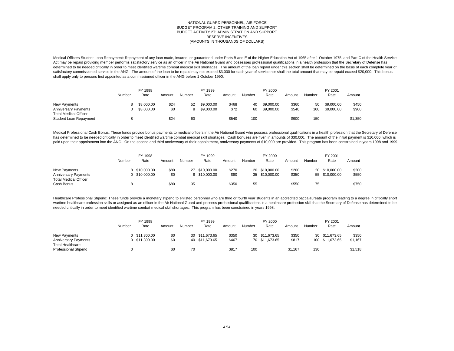Medical Officers Student Loan Repayment: Repayment of any loan made, insured, or guaranteed under Parts B and E of the Higher Education Act of 1965 after 1 October 1975, and Part C of the Health Service Act may be repaid providing member performs satisfactory service as an officer in the Air National Guard and possesses professional qualifications in a health profession that the Secretary of Defense has determined to be needed critically in order to meet identified wartime combat medical skill shortages. The amount of the loan repaid under this section shall be determined on the basis of each complete year of satisfactory commissioned service in the ANG. The amount of the loan to be repaid may not exceed \$3,000 for each year of service nor shall the total amount that may be repaid exceed \$20,000. This bonus shall apply only to persons first appointed as a commissioned officer in the ANG before 1 October 1990.

|                                                             | Number | FY 1998<br>Rate | Amount | Number | FY 1999<br>Rate | Amount | Number | FY 2000<br>Rate | Amount | Number | FY 2001<br>Rate | Amount  |
|-------------------------------------------------------------|--------|-----------------|--------|--------|-----------------|--------|--------|-----------------|--------|--------|-----------------|---------|
| New Payments                                                |        | \$3,000,00      | \$24   | 52     | \$9.000.00      | \$468  | 40     | \$9,000.00      | \$360  | 50     | \$9,000,00      | \$450   |
| <b>Anniversary Payments</b><br><b>Total Medical Officer</b> |        | \$3,000,00      | \$0    | 8      | \$9,000,00      | \$72   | 60     | \$9,000.00      | \$540  | 100    | \$9,000,00      | \$900   |
| Student Loan Repayment                                      |        |                 | \$24   | 60     |                 | \$540  | 100    |                 | \$900  | 150    |                 | \$1,350 |

Medical Professional Cash Bonus: These funds provide bonus payments to medical officers in the Air National Guard who possess professional qualifications in a health profession that the Secretary of Defense has determined to be needed critically in order to meet identified wartime combat medical skill shortages. Cash bonuses are fiven in amounts of \$30,000. The amount of the initial payment is \$10,000, which is paid upon their appointment into the ANG. On the second and third anniversary of their appointment, anniversary payments of \$10,000 are provided. This program has been constrained in years 1998 and 1999.

|                                            | FY 1998 |               |        | FY 1999 |                |        | FY 2000 |                |        | FY 2001 |                |        |
|--------------------------------------------|---------|---------------|--------|---------|----------------|--------|---------|----------------|--------|---------|----------------|--------|
|                                            | Number  | Rate          | Amount | Number  | Rate           | Amount | Number  | Rate           | Amount | Number  | Rate           | Amount |
| New Payments                               |         | 8 \$10,000,00 | \$80   |         | 27 \$10,000.00 | \$270  |         | 20 \$10,000,00 | \$200  |         | 20 \$10,000.00 | \$200  |
| <b>Anniversary Payments</b>                |         | \$10,000,00   | \$0    |         | 8 \$10,000,00  | \$80   |         | 35 \$10,000,00 | \$350  |         | 55 \$10,000.00 | \$550  |
| <b>Total Medical Officer</b><br>Cash Bonus |         |               | \$80   | 35      |                | \$350  | 55      |                | \$550  | 75      |                | \$750  |

Healthcare Professional Stipend: These funds provide a monetary stipend to enlisted personnel who are third or fourth year students in an accredited baccalaureate program leading to a degree in critically short wartime healthcare profession skills or assigned as an officer in the Air National Guard and possess professional qualifications in a healthcare profession skill that the Secretary of Defense has determined to be needed critically in order to meet identified wartime combat medical skill shortages. This program has been constrained in years 1998.

|                                                        |        | FY 1998       |        |        | FY 1999        |        |        | FY 2000        |         |        | FY 2001         |         |
|--------------------------------------------------------|--------|---------------|--------|--------|----------------|--------|--------|----------------|---------|--------|-----------------|---------|
|                                                        | Number | Rate          | Amount | Number | Rate           | Amount | Number | Rate           | Amount  | Number | Rate            | Amount  |
| New Payments                                           |        | 0 \$11,300.00 | \$0    |        | 30 \$11.673.65 | \$350  |        | 30 \$11.673.65 | \$350   |        | 30 \$11.673.65  | \$350   |
| <b>Anniversary Payments</b><br><b>Total Healthcare</b> |        | 0 \$11,300.00 | \$0    |        | 40 \$11,673,65 | \$467  |        | 70 \$11.673.65 | \$817   |        | 100 \$11.673.65 | \$1,167 |
| <b>Professional Stipend</b>                            |        |               | \$0    | 70     |                | \$817  | 100    |                | \$1.167 | 130    |                 | \$1,518 |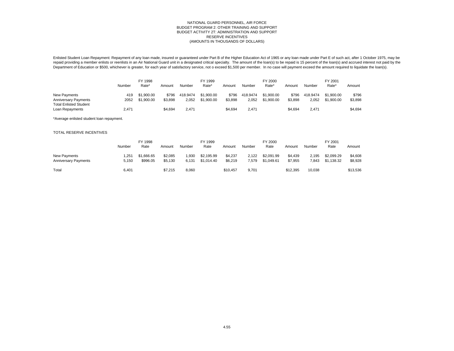Enlisted Student Loan Repayment: Repayment of any loan made, insured or guaranteed under Part B of the Higher Education Act of 1965 or any loan made under Part E of such act, after 1 October 1975, may be repaid providing a member enlists or reenlists in an Air National Guard unit in a designated critical specialty. The amount of the loan(s) to be repaid is 15 percent of the loan(s) and accrued interest not paid by the Department of Education or \$500, whichever is greater, for each year of satisfactory service, not o exceed \$1,500 per member. In no case will payment exceed the amount required to liquidate the loan(s).

|                                                  | Number      | FY 1998<br>Rate*         | Amount           | Number            | FY 1999<br>Rate*         | Amount           | Number            | FY 2000<br>Rate*         | Amount           | Number            | FY 2001<br>Rate*         | Amount           |
|--------------------------------------------------|-------------|--------------------------|------------------|-------------------|--------------------------|------------------|-------------------|--------------------------|------------------|-------------------|--------------------------|------------------|
| New Payments<br><b>Anniversary Payments</b>      | 419<br>2052 | \$1,900.00<br>\$1,900.00 | \$796<br>\$3.898 | 418.9474<br>2.052 | \$1,900.00<br>\$1,900.00 | \$796<br>\$3.898 | 418.9474<br>2.052 | \$1,900.00<br>\$1.900.00 | \$796<br>\$3.898 | 418.9474<br>2.052 | \$1,900.00<br>\$1,900.00 | \$796<br>\$3,898 |
| <b>Total Enlisted Student</b><br>Loan Repayments | 2.471       |                          | \$4,694          | 2.471             |                          | \$4,694          | 2.471             |                          | \$4,694          | 2.471             |                          | \$4,694          |

\*Average enlisted student loan repayment.

#### TOTAL RESERVE INCENTIVES

|                                             | Number        | FY 1998<br>Rate        | Amount             | Number        | FY 1999<br>Rate          | Amount             | Number         | FY 2000<br>Rate          | Amount             | Number         | FY 2001<br>Rate          | Amount             |
|---------------------------------------------|---------------|------------------------|--------------------|---------------|--------------------------|--------------------|----------------|--------------------------|--------------------|----------------|--------------------------|--------------------|
| New Payments<br><b>Anniversary Payments</b> | .251<br>5.150 | \$1.666.65<br>\$996.05 | \$2.085<br>\$5.130 | .930<br>6.131 | \$2.195.99<br>\$1.014.40 | \$4,237<br>\$6,219 | 2.122<br>1.579 | \$2.091.99<br>\$1.049.61 | \$4,439<br>\$7.955 | 2.195<br>7.843 | \$2.099.29<br>\$1.138.32 | \$4,608<br>\$8,928 |
| Total                                       | 6.401         |                        | \$7.215            | 8.060         |                          | \$10.457           | 9.701          |                          | \$12.395           | 10,038         |                          | \$13,536           |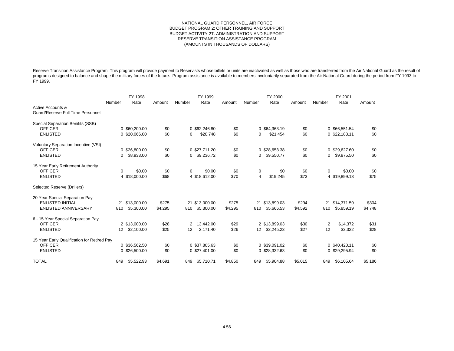Reserve Transition Assistance Program: This program will provide payment to Reservists whose billets or units are inactivated as well as those who are transferred from the Air National Guard as the result of programs designed to balance and shape the military forces of the future. Program assistance is available to members involuntarily separated from the Air National Guard during the period from FY 1993 to FY 1999.

|                                                        |          | FY 1998                        |                  |                                   | FY 1999                      |                  |                     | FY 2000                      |                  |              | FY 2001                      |                  |
|--------------------------------------------------------|----------|--------------------------------|------------------|-----------------------------------|------------------------------|------------------|---------------------|------------------------------|------------------|--------------|------------------------------|------------------|
|                                                        | Number   | Rate                           | Amount           | Number                            | Rate                         | Amount           | Number              | Rate                         | Amount           | Number       | Rate                         | Amount           |
| Active Accounts &<br>Guard/Reserve Full Time Personnel |          |                                |                  |                                   |                              |                  |                     |                              |                  |              |                              |                  |
| Special Separation Benifits (SSB)<br><b>OFFICER</b>    |          | 0 \$60,200.00                  | \$0              |                                   | 0 \$62,246.80                | \$0              |                     | 0 \$64,363.19                | \$0              |              | 0 \$66,551.54                |                  |
| <b>ENLISTED</b>                                        |          | 0 \$20,066.00                  | \$0              | 0                                 | \$20,748                     | \$0              | 0                   | \$21,454                     | \$0              |              | 0 \$22,183.11                | \$0<br>\$0       |
| Voluntary Separation Incentive (VSI)<br><b>OFFICER</b> |          |                                |                  |                                   | 0 \$27,711.20                |                  |                     |                              |                  |              |                              |                  |
| <b>ENLISTED</b>                                        | 0        | 0 \$26,800,00<br>\$8,933.00    | \$0<br>\$0       |                                   | 0 \$9,236.72                 | \$0<br>\$0       | 0                   | 0 \$28,653.38<br>\$9,550.77  | \$0<br>\$0       | $\mathbf{0}$ | 0 \$29,627,60<br>\$9,875.50  | \$0<br>\$0       |
| 15 Year Early Retirement Authority                     |          |                                |                  |                                   |                              |                  |                     |                              |                  |              |                              |                  |
| <b>OFFICER</b><br><b>ENLISTED</b>                      | $\Omega$ | \$0.00<br>4 \$18,000.00        | \$0<br>\$68      | 0                                 | \$0.00<br>4 \$18,612.00      | \$0<br>\$70      | 0<br>$\overline{4}$ | \$0<br>\$19,245              | \$0<br>\$73      | 0            | \$0.00<br>4 \$19,899.13      | \$0<br>\$75      |
| Selected Reserve (Drillers)                            |          |                                |                  |                                   |                              |                  |                     |                              |                  |              |                              |                  |
| 20 Year Special Separation Pay                         |          |                                |                  |                                   |                              |                  |                     |                              |                  |              |                              |                  |
| <b>ENLISTED INITIAL</b><br><b>ENLISTED ANNIVERSARY</b> | 810      | 21 \$13,000.00<br>\$5,300.00   | \$275<br>\$4,295 | 810                               | 21 \$13,000.00<br>\$5,300.00 | \$275<br>\$4,295 | 810                 | 21 \$13,899.03<br>\$5,666.53 | \$294<br>\$4,592 | 810          | 21 \$14,371.59<br>\$5,859.19 | \$304<br>\$4,748 |
| 6 - 15 Year Special Separation Pay                     |          |                                |                  |                                   |                              |                  |                     |                              |                  |              |                              |                  |
| <b>OFFICER</b><br><b>ENLISTED</b>                      |          | 2 \$13,000.00<br>12 \$2,100.00 | \$28<br>\$25     | $\overline{2}$<br>12 <sup>2</sup> | 13,442.00<br>2,171.40        | \$29<br>\$26     | 12 <sup>2</sup>     | 2 \$13,899.03<br>\$2,245.23  | \$30<br>\$27     | 2<br>12      | \$14,372<br>\$2,322          | \$31<br>\$28     |
|                                                        |          |                                |                  |                                   |                              |                  |                     |                              |                  |              |                              |                  |
| 15 Year Early Qualification for Retired Pay            |          |                                |                  |                                   |                              |                  |                     |                              |                  |              |                              |                  |
| <b>OFFICER</b>                                         |          | 0 \$36,562.50                  | \$0              |                                   | 0 \$37,805.63                | \$0              |                     | 0 \$39,091.02                | \$0              |              | 0 \$40,420.11                | \$0              |
| <b>ENLISTED</b>                                        |          | 0 \$26,500.00                  | \$0              |                                   | 0 \$27,401.00                | \$0              |                     | 0 \$28,332.63                | \$0              |              | 0 \$29,295.94                | \$0              |
| <b>TOTAL</b>                                           | 849      | \$5,522.93                     | \$4,691          | 849                               | \$5,710.71                   | \$4,850          | 849                 | \$5,904.88                   | \$5,015          | 849          | \$6,105.64                   | \$5,186          |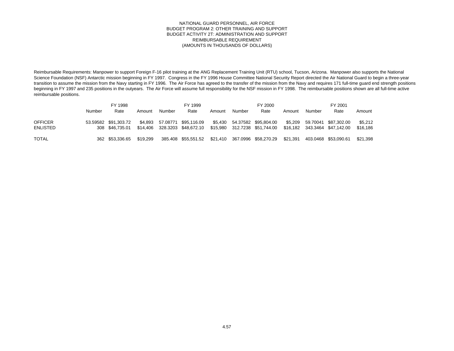Reimbursable Requirements: Manpower to support Foreign F-16 pilot training at the ANG Replacement Training Unit (RTU) school, Tucson, Arizona. Manpower also supports the National Science Foundation (NSF) Antarctic mission beginning in FY 1997. Congress in the FY 1996 House Committee National Security Report directed the Air National Guard to begin a three-year transition to assume the mission from the Navy starting in FY 1996. The Air Force has agreed to the transfer of the mission from the Navy and requires 171 full-time guard end strength positions beginning in FY 1997 and 235 positions in the outyears. The Air Force will assume full responsibility for the NSF mission in FY 1998. The reimbursable positions shown are all full-time active reimbursable positions.

|                 |        | FY 1998              |          |          | FY 1999                       |        |        | FY 2000                            |          |          | FY 2001                       |          |  |
|-----------------|--------|----------------------|----------|----------|-------------------------------|--------|--------|------------------------------------|----------|----------|-------------------------------|----------|--|
|                 | Number | Rate                 | Amount   | Number   | Rate                          | Amount | Number | Rate                               | Amount   | Number   | Rate                          | Amount   |  |
| <b>OFFICER</b>  |        | 53.59582 \$91.303.72 | \$4.893  | 57.08771 | \$95.116.09                   |        |        | \$5.430    54.37582    \$95.804.00 | \$5.209  | 59.70041 | \$87.302.00                   | \$5.212  |  |
| <b>ENLISTED</b> |        | 308 \$46,735,01      |          |          | \$14.406 328.3203 \$48.672.10 |        |        | \$15,980 312.7238 \$51,744.00      |          |          | \$16.182 343.3464 \$47.142.00 | \$16.186 |  |
| TOTAL           |        | 362 \$53,336.65      | \$19,299 |          | 385.408 \$55.551.52           |        |        | \$21,410 367.0996 \$58,270.29      | \$21,391 |          | 403.0468 \$53.090.61          | \$21,398 |  |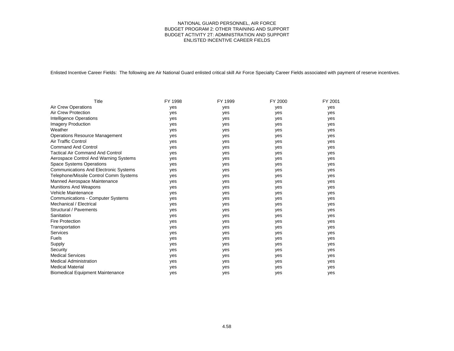### NATIONAL GUARD PERSONNEL, AIR FORCE BUDGET PROGRAM 2: OTHER TRAINING AND SUPPORT BUDGET ACTIVITY 2T: ADMINISTRATION AND SUPPORT ENLISTED INCENTIVE CAREER FIELDS

Enlisted Incentive Career Fields: The following are Air National Guard enlisted critical skill Air Force Specialty Career Fields associated with payment of reserve incentives.

| Title                                        | FY 1998 | FY 1999 | FY 2000 | FY 2001 |
|----------------------------------------------|---------|---------|---------|---------|
| <b>Air Crew Operations</b>                   | yes     | yes     | yes     | yes     |
| Air Crew Protection                          | yes     | yes     | yes     | yes     |
| <b>Intelligence Operations</b>               | yes     | yes     | yes     | yes     |
| <b>Imagery Production</b>                    | yes     | yes     | yes     | yes     |
| Weather                                      | yes     | yes     | yes     | yes     |
| <b>Operations Resource Management</b>        | yes     | yes     | yes     | yes     |
| Air Traffic Control                          | yes     | yes     | yes     | yes     |
| <b>Command And Control</b>                   | yes     | yes     | yes     | yes     |
| <b>Tactical Air Command And Control</b>      | yes     | yes     | yes     | yes     |
| Aerospace Control And Warning Systems        | yes     | yes     | yes     | yes     |
| <b>Space Systems Operations</b>              | yes     | yes     | yes     | yes     |
| <b>Communications And Electronic Systems</b> | yes     | yes     | yes     | yes     |
| Telephone/Missile Control Comm Systems       | yes     | yes     | yes     | yes     |
| Manned Aerospace Maintenance                 | yes     | yes     | yes     | yes     |
| <b>Munitions And Weapons</b>                 | yes     | yes     | yes     | yes     |
| Vehicle Maintenance                          | yes     | yes     | yes     | yes     |
| <b>Communications - Computer Systems</b>     | yes     | yes     | yes     | yes     |
| Mechanical / Electrical                      | yes     | yes     | yes     | yes     |
| Structural / Pavements                       | yes     | yes     | yes     | yes     |
| Sanitation                                   | yes     | yes     | yes     | yes     |
| <b>Fire Protection</b>                       | yes     | yes     | yes     | yes     |
| Transportation                               | yes     | yes     | yes     | yes     |
| Services                                     | yes     | yes     | yes     | yes     |
| Fuels                                        | yes     | yes     | yes     | yes     |
| Supply                                       | yes     | yes     | yes     | yes     |
| Security                                     | yes     | yes     | yes     | yes     |
| <b>Medical Services</b>                      | yes     | yes     | yes     | yes     |
| <b>Medical Administration</b>                | yes     | yes     | yes     | yes     |
| <b>Medical Material</b>                      | yes     | yes     | yes     | yes     |
| <b>Biomedical Equipment Maintenance</b>      | ves     | ves     | ves     | ves     |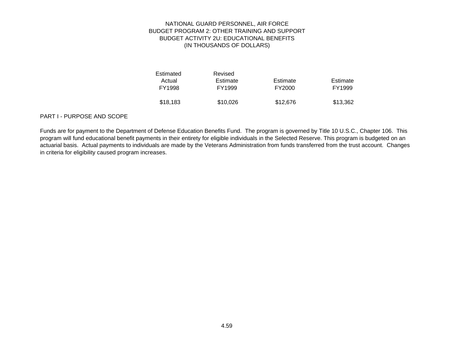### NATIONAL GUARD PERSONNEL, AIR FORCE BUDGET PROGRAM 2: OTHER TRAINING AND SUPPORT BUDGET ACTIVITY 2U: EDUCATIONAL BENEFITS (IN THOUSANDS OF DOLLARS)

| Estimated<br>Actual<br>FY1998 | Revised<br>Estimate<br>FY1999 | Estimate<br>FY2000 | Estimate<br>FY1999 |
|-------------------------------|-------------------------------|--------------------|--------------------|
| \$18,183                      | \$10,026                      | \$12,676           | \$13,362           |

### PART I - PURPOSE AND SCOPE

Funds are for payment to the Department of Defense Education Benefits Fund. The program is governed by Title 10 U.S.C., Chapter 106. This program will fund educational benefit payments in their entirety for eligible individuals in the Selected Reserve. This program is budgeted on an actuarial basis. Actual payments to individuals are made by the Veterans Administration from funds transferred from the trust account. Changes in criteria for eligibility caused program increases.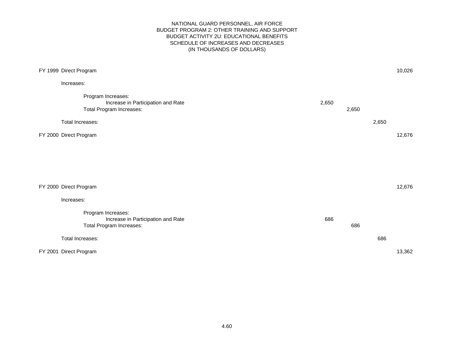### NATIONAL GUARD PERSONNEL, AIR FORCE BUDGET PROGRAM 2: OTHER TRAINING AND SUPPORT BUDGET ACTIVITY 2U: EDUCATIONAL BENEFITS SCHEDULE OF INCREASES AND DECREASES (IN THOUSANDS OF DOLLARS)

| FY 1999 Direct Program                                                               |       |       |       | 10,026 |
|--------------------------------------------------------------------------------------|-------|-------|-------|--------|
| Increases:                                                                           |       |       |       |        |
| Program Increases:<br>Increase in Participation and Rate<br>Total Program Increases: | 2,650 | 2,650 |       |        |
| Total Increases:                                                                     |       |       | 2,650 |        |
| FY 2000 Direct Program                                                               |       |       |       | 12,676 |
|                                                                                      |       |       |       |        |
| FY 2000 Direct Program                                                               |       |       |       | 12,676 |
| Increases:                                                                           |       |       |       |        |
| Program Increases:<br>Increase in Participation and Rate<br>Total Program Increases: | 686   | 686   |       |        |
| Total Increases:                                                                     |       |       | 686   |        |
| FY 2001 Direct Program                                                               |       |       |       | 13,362 |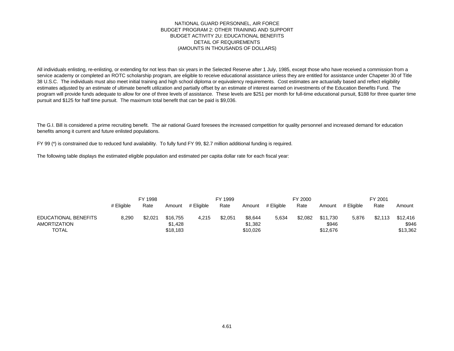### NATIONAL GUARD PERSONNEL, AIR FORCE BUDGET PROGRAM 2: OTHER TRAINING AND SUPPORT BUDGET ACTIVITY 2U: EDUCATIONAL BENEFITS DETAIL OF REQUIREMENTS (AMOUNTS IN THOUSANDS OF DOLLARS)

All individuals enlisting, re-enlisting, or extending for not less than six years in the Selected Reserve after 1 July, 1985, except those who have received a commission from a service academy or completed an ROTC scholarship program, are eligible to receive educational assistance unless they are entitled for assistance under Chapeter 30 of Title 38 U.S.C. The individuals must also meet initial training and high school diploma or equivalency requirements. Cost estimates are actuarially based and reflect eligibility estimates adjusted by an estimate of ultimate benefit utilization and partially offset by an estimate of interest earned on investments of the Education Benefits Fund. The program will provide funds adequate to allow for one of three levels of assistance. These levels are \$251 per month for full-time educational pursuit, \$188 for three quarter time pursuit and \$125 for half time pursuit. The maximum total benefit that can be paid is \$9,036.

The G.I. Bill is considered a prime recruiting benefit. The air national Guard foresees the increased competition for quality personnel and increased demand for education benefits among it current and future enlisted populations.

FY 99 (\*) is constrained due to reduced fund availability. To fully fund FY 99, \$2.7 million additional funding is required.

The following table displays the estimated eligible population and estimated per capita dollar rate for each fiscal year:

|                             | FY 1998    |         |          |            | FY 1999 | FY 2000  |            |         |          | FY 2001    |         |          |  |
|-----------------------------|------------|---------|----------|------------|---------|----------|------------|---------|----------|------------|---------|----------|--|
|                             | # Eligible | Rate    | Amount   | # Eligible | Rate    | Amount   | # Eliaible | Rate    | Amount   | # Eligible | Rate    | Amount   |  |
| <b>EDUCATIONAL BENEFITS</b> | 8.290      | \$2.021 | \$16,755 | 4.215      | \$2.051 | \$8.644  | 5.634      | \$2,082 | \$11.730 | 5.876      | \$2.113 | \$12,416 |  |
| AMORTIZATION                |            |         | \$1.428  |            |         | \$1.382  |            |         | \$946    |            |         | \$946    |  |
| <b>TOTAL</b>                |            |         | \$18.183 |            |         | \$10,026 |            |         | \$12,676 |            |         | \$13,362 |  |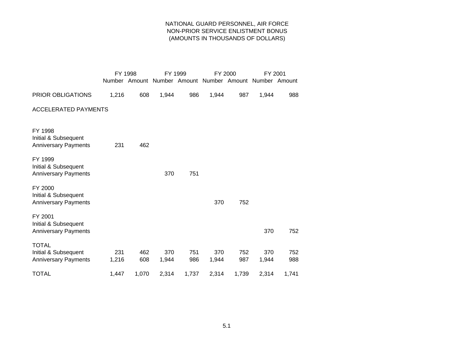# NATIONAL GUARD PERSONNEL, AIR FORCE NON-PRIOR SERVICE ENLISTMENT BONUS (AMOUNTS IN THOUSANDS OF DOLLARS)

|                                                                     |              | FY 1998    | FY 1999      |            | FY 2000                                                 |            | FY 2001      |            |
|---------------------------------------------------------------------|--------------|------------|--------------|------------|---------------------------------------------------------|------------|--------------|------------|
|                                                                     |              |            |              |            | Number Amount Number Amount Number Amount Number Amount |            |              |            |
| PRIOR OBLIGATIONS                                                   | 1,216        | 608        | 1,944        | 986        | 1,944                                                   | 987        | 1,944        | 988        |
| <b>ACCELERATED PAYMENTS</b>                                         |              |            |              |            |                                                         |            |              |            |
| FY 1998<br>Initial & Subsequent<br><b>Anniversary Payments</b>      | 231          | 462        |              |            |                                                         |            |              |            |
| FY 1999<br>Initial & Subsequent<br><b>Anniversary Payments</b>      |              |            | 370          | 751        |                                                         |            |              |            |
| FY 2000<br>Initial & Subsequent<br><b>Anniversary Payments</b>      |              |            |              |            | 370                                                     | 752        |              |            |
| FY 2001<br>Initial & Subsequent<br><b>Anniversary Payments</b>      |              |            |              |            |                                                         |            | 370          | 752        |
| <b>TOTAL</b><br>Initial & Subsequent<br><b>Anniversary Payments</b> | 231<br>1,216 | 462<br>608 | 370<br>1,944 | 751<br>986 | 370<br>1,944                                            | 752<br>987 | 370<br>1,944 | 752<br>988 |
| <b>TOTAL</b>                                                        | 1,447        | 1,070      | 2,314        | 1,737      | 2,314                                                   | 1,739      | 2,314        | 1,741      |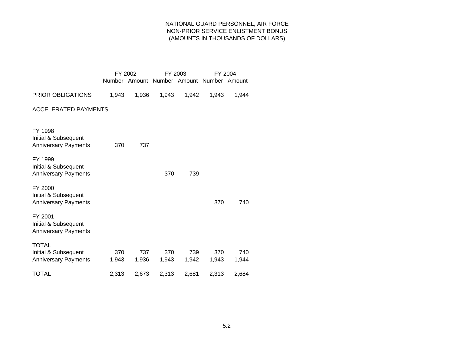# NATIONAL GUARD PERSONNEL, AIR FORCE NON-PRIOR SERVICE ENLISTMENT BONUS (AMOUNTS IN THOUSANDS OF DOLLARS)

|                                                                     | FY 2003<br>FY 2004<br>FY 2002 |              |              |              |                                           |              |  |
|---------------------------------------------------------------------|-------------------------------|--------------|--------------|--------------|-------------------------------------------|--------------|--|
|                                                                     |                               |              |              |              | Number Amount Number Amount Number Amount |              |  |
| PRIOR OBLIGATIONS                                                   | 1,943                         | 1,936        | 1,943        | 1,942        | 1,943                                     | 1,944        |  |
| <b>ACCELERATED PAYMENTS</b>                                         |                               |              |              |              |                                           |              |  |
| FY 1998<br>Initial & Subsequent<br><b>Anniversary Payments</b>      | 370                           | 737          |              |              |                                           |              |  |
| FY 1999<br>Initial & Subsequent<br><b>Anniversary Payments</b>      |                               |              | 370          | 739          |                                           |              |  |
| FY 2000<br>Initial & Subsequent<br><b>Anniversary Payments</b>      |                               |              |              |              | 370                                       | 740          |  |
| FY 2001<br>Initial & Subsequent<br><b>Anniversary Payments</b>      |                               |              |              |              |                                           |              |  |
| <b>TOTAL</b><br>Initial & Subsequent<br><b>Anniversary Payments</b> | 370<br>1,943                  | 737<br>1,936 | 370<br>1,943 | 739<br>1,942 | 370<br>1,943                              | 740<br>1,944 |  |
| TOTAL                                                               | 2,313                         | 2,673        | 2,313        | 2,681        | 2,313                                     | 2,684        |  |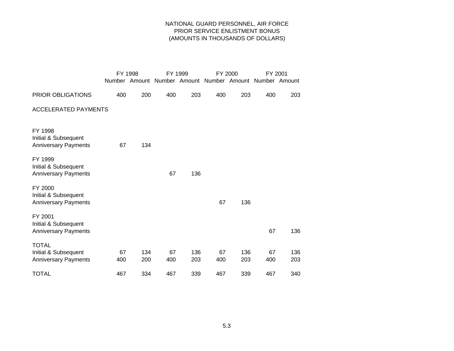# NATIONAL GUARD PERSONNEL, AIR FORCE PRIOR SERVICE ENLISTMENT BONUS (AMOUNTS IN THOUSANDS OF DOLLARS)

|                                                                     |           | FY 1998                                   |           | FY 1999    | FY 2000   |            | FY 2001       |            |  |  |
|---------------------------------------------------------------------|-----------|-------------------------------------------|-----------|------------|-----------|------------|---------------|------------|--|--|
|                                                                     |           | Number Amount Number Amount Number Amount |           |            |           |            | Number Amount |            |  |  |
| <b>PRIOR OBLIGATIONS</b>                                            | 400       | 200                                       | 400       | 203        | 400       | 203        | 400           | 203        |  |  |
| <b>ACCELERATED PAYMENTS</b>                                         |           |                                           |           |            |           |            |               |            |  |  |
| FY 1998<br>Initial & Subsequent<br><b>Anniversary Payments</b>      | 67        | 134                                       |           |            |           |            |               |            |  |  |
| FY 1999<br>Initial & Subsequent<br><b>Anniversary Payments</b>      |           |                                           | 67        | 136        |           |            |               |            |  |  |
| FY 2000<br>Initial & Subsequent<br><b>Anniversary Payments</b>      |           |                                           |           |            | 67        | 136        |               |            |  |  |
| FY 2001<br>Initial & Subsequent<br><b>Anniversary Payments</b>      |           |                                           |           |            |           |            | 67            | 136        |  |  |
| <b>TOTAL</b><br>Initial & Subsequent<br><b>Anniversary Payments</b> | 67<br>400 | 134<br>200                                | 67<br>400 | 136<br>203 | 67<br>400 | 136<br>203 | 67<br>400     | 136<br>203 |  |  |
| <b>TOTAL</b>                                                        | 467       | 334                                       | 467       | 339        | 467       | 339        | 467           | 340        |  |  |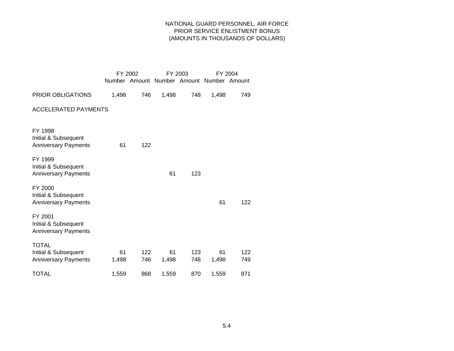# NATIONAL GUARD PERSONNEL, AIR FORCE PRIOR SERVICE ENLISTMENT BONUS (AMOUNTS IN THOUSANDS OF DOLLARS)

|                                                                     | FY 2002     |            | FY 2003     |            | FY 2004                                   |            |  |
|---------------------------------------------------------------------|-------------|------------|-------------|------------|-------------------------------------------|------------|--|
|                                                                     |             |            |             |            | Number Amount Number Amount Number Amount |            |  |
| <b>PRIOR OBLIGATIONS</b>                                            | 1,498       | 746        | 1,498       | 748        | 1,498                                     | 749        |  |
| <b>ACCELERATED PAYMENTS</b>                                         |             |            |             |            |                                           |            |  |
| FY 1998<br>Initial & Subsequent<br><b>Anniversary Payments</b>      | 61          | 122        |             |            |                                           |            |  |
| FY 1999<br>Initial & Subsequent<br><b>Anniversary Payments</b>      |             |            | 61          | 123        |                                           |            |  |
| FY 2000<br>Initial & Subsequent<br><b>Anniversary Payments</b>      |             |            |             |            | 61                                        | 122        |  |
| FY 2001<br>Initial & Subsequent<br><b>Anniversary Payments</b>      |             |            |             |            |                                           |            |  |
| <b>TOTAL</b><br>Initial & Subsequent<br><b>Anniversary Payments</b> | 61<br>1,498 | 122<br>746 | 61<br>1,498 | 123<br>748 | 61<br>1,498                               | 122<br>749 |  |
| <b>TOTAL</b>                                                        | 1,559       | 868        | 1,559       | 870        | 1,559                                     | 871        |  |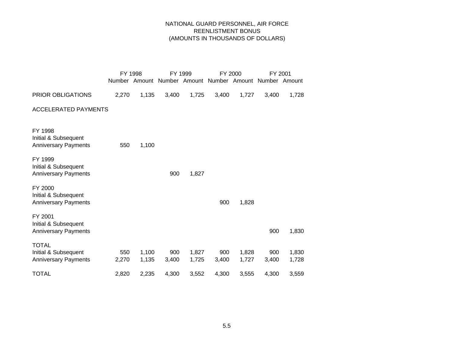# NATIONAL GUARD PERSONNEL, AIR FORCE REENLISTMENT BONUS (AMOUNTS IN THOUSANDS OF DOLLARS)

|                                                                     | FY 1998      |                |              | FY 1999        | FY 2000                                                 |                | FY 2001      |                |  |
|---------------------------------------------------------------------|--------------|----------------|--------------|----------------|---------------------------------------------------------|----------------|--------------|----------------|--|
|                                                                     |              |                |              |                | Number Amount Number Amount Number Amount Number Amount |                |              |                |  |
| PRIOR OBLIGATIONS                                                   | 2,270        | 1,135          | 3,400        | 1,725          | 3,400                                                   | 1,727          | 3,400        | 1,728          |  |
| <b>ACCELERATED PAYMENTS</b>                                         |              |                |              |                |                                                         |                |              |                |  |
| FY 1998<br>Initial & Subsequent<br><b>Anniversary Payments</b>      | 550          | 1,100          |              |                |                                                         |                |              |                |  |
| FY 1999<br>Initial & Subsequent<br><b>Anniversary Payments</b>      |              |                | 900          | 1,827          |                                                         |                |              |                |  |
| FY 2000<br>Initial & Subsequent<br><b>Anniversary Payments</b>      |              |                |              |                | 900                                                     | 1,828          |              |                |  |
| FY 2001<br>Initial & Subsequent<br><b>Anniversary Payments</b>      |              |                |              |                |                                                         |                | 900          | 1,830          |  |
| <b>TOTAL</b><br>Initial & Subsequent<br><b>Anniversary Payments</b> | 550<br>2,270 | 1,100<br>1,135 | 900<br>3,400 | 1,827<br>1,725 | 900<br>3,400                                            | 1,828<br>1,727 | 900<br>3,400 | 1,830<br>1,728 |  |
| TOTAL                                                               | 2,820        | 2,235          | 4,300        | 3,552          | 4,300                                                   | 3,555          | 4,300        | 3,559          |  |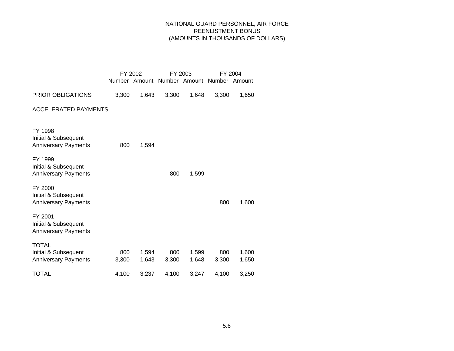# NATIONAL GUARD PERSONNEL, AIR FORCE REENLISTMENT BONUS (AMOUNTS IN THOUSANDS OF DOLLARS)

|                                                                     |              | FY 2002        | FY 2003                                   |                | FY 2004      |                |  |
|---------------------------------------------------------------------|--------------|----------------|-------------------------------------------|----------------|--------------|----------------|--|
|                                                                     |              |                | Number Amount Number Amount Number Amount |                |              |                |  |
| <b>PRIOR OBLIGATIONS</b>                                            | 3,300        | 1,643          | 3,300                                     | 1,648          | 3,300        | 1,650          |  |
| <b>ACCELERATED PAYMENTS</b>                                         |              |                |                                           |                |              |                |  |
| FY 1998<br>Initial & Subsequent<br><b>Anniversary Payments</b>      | 800          | 1,594          |                                           |                |              |                |  |
| FY 1999<br>Initial & Subsequent<br><b>Anniversary Payments</b>      |              |                | 800                                       | 1,599          |              |                |  |
| FY 2000<br>Initial & Subsequent<br><b>Anniversary Payments</b>      |              |                |                                           |                | 800          | 1,600          |  |
| FY 2001<br>Initial & Subsequent<br><b>Anniversary Payments</b>      |              |                |                                           |                |              |                |  |
| <b>TOTAL</b><br>Initial & Subsequent<br><b>Anniversary Payments</b> | 800<br>3,300 | 1,594<br>1,643 | 800<br>3,300                              | 1,599<br>1,648 | 800<br>3,300 | 1,600<br>1,650 |  |
| <b>TOTAL</b>                                                        | 4,100        | 3,237          | 4,100                                     | 3,247          | 4,100        | 3,250          |  |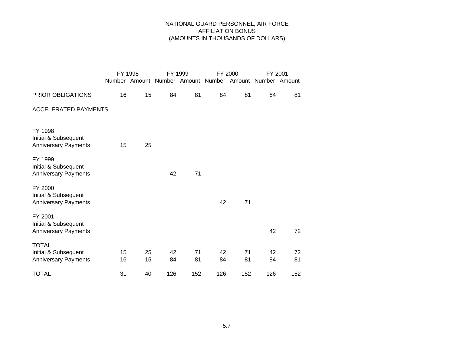# NATIONAL GUARD PERSONNEL, AIR FORCE AFFILIATION BONUS (AMOUNTS IN THOUSANDS OF DOLLARS)

|                                                                     |          | FY 1998  |          | FY 1999  | FY 2000  |          | FY 2001                                                 |          |
|---------------------------------------------------------------------|----------|----------|----------|----------|----------|----------|---------------------------------------------------------|----------|
|                                                                     |          |          |          |          |          |          | Number Amount Number Amount Number Amount Number Amount |          |
| PRIOR OBLIGATIONS                                                   | 16       | 15       | 84       | 81       | 84       | 81       | 84                                                      | 81       |
| <b>ACCELERATED PAYMENTS</b>                                         |          |          |          |          |          |          |                                                         |          |
| FY 1998<br>Initial & Subsequent<br><b>Anniversary Payments</b>      | 15       | 25       |          |          |          |          |                                                         |          |
| FY 1999<br>Initial & Subsequent<br><b>Anniversary Payments</b>      |          |          | 42       | 71       |          |          |                                                         |          |
| FY 2000<br>Initial & Subsequent<br><b>Anniversary Payments</b>      |          |          |          |          | 42       | 71       |                                                         |          |
| FY 2001<br>Initial & Subsequent<br><b>Anniversary Payments</b>      |          |          |          |          |          |          | 42                                                      | 72       |
| <b>TOTAL</b><br>Initial & Subsequent<br><b>Anniversary Payments</b> | 15<br>16 | 25<br>15 | 42<br>84 | 71<br>81 | 42<br>84 | 71<br>81 | 42<br>84                                                | 72<br>81 |
| <b>TOTAL</b>                                                        | 31       | 40       | 126      | 152      | 126      | 152      | 126                                                     | 152      |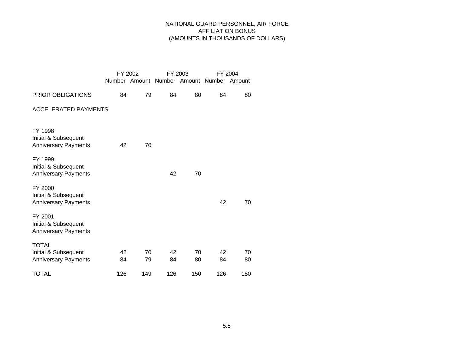# NATIONAL GUARD PERSONNEL, AIR FORCE AFFILIATION BONUS (AMOUNTS IN THOUSANDS OF DOLLARS)

|                                                                     |          | FY 2002  | FY 2003                                   |          | FY 2004  |          |
|---------------------------------------------------------------------|----------|----------|-------------------------------------------|----------|----------|----------|
|                                                                     |          |          | Number Amount Number Amount Number Amount |          |          |          |
| <b>PRIOR OBLIGATIONS</b>                                            | 84       | 79       | 84                                        | 80       | 84       | 80       |
| <b>ACCELERATED PAYMENTS</b>                                         |          |          |                                           |          |          |          |
| FY 1998<br>Initial & Subsequent<br><b>Anniversary Payments</b>      | 42       | 70       |                                           |          |          |          |
| FY 1999<br>Initial & Subsequent<br><b>Anniversary Payments</b>      |          |          | 42                                        | 70       |          |          |
| FY 2000<br>Initial & Subsequent<br><b>Anniversary Payments</b>      |          |          |                                           |          | 42       | 70       |
| FY 2001<br>Initial & Subsequent<br><b>Anniversary Payments</b>      |          |          |                                           |          |          |          |
| <b>TOTAL</b><br>Initial & Subsequent<br><b>Anniversary Payments</b> | 42<br>84 | 70<br>79 | 42<br>84                                  | 70<br>80 | 42<br>84 | 70<br>80 |
| <b>TOTAL</b>                                                        | 126      | 149      | 126                                       | 150      | 126      | 150      |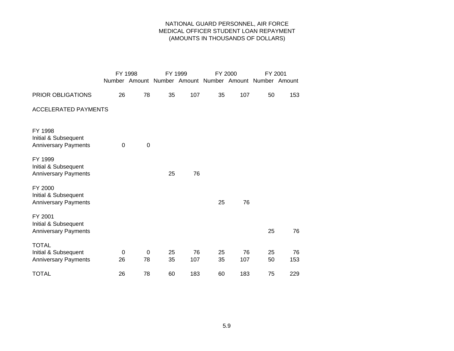# NATIONAL GUARD PERSONNEL, AIR FORCE MEDICAL OFFICER STUDENT LOAN REPAYMENT (AMOUNTS IN THOUSANDS OF DOLLARS)

|                                                                     |          | FY 1998 | FY 1999  |           | FY 2000                                                 |           | FY 2001  |           |
|---------------------------------------------------------------------|----------|---------|----------|-----------|---------------------------------------------------------|-----------|----------|-----------|
|                                                                     |          |         |          |           | Number Amount Number Amount Number Amount Number Amount |           |          |           |
| PRIOR OBLIGATIONS                                                   | 26       | 78      | 35       | 107       | 35                                                      | 107       | 50       | 153       |
| <b>ACCELERATED PAYMENTS</b>                                         |          |         |          |           |                                                         |           |          |           |
| FY 1998<br>Initial & Subsequent<br><b>Anniversary Payments</b>      | $\Omega$ | 0       |          |           |                                                         |           |          |           |
| FY 1999<br>Initial & Subsequent<br><b>Anniversary Payments</b>      |          |         | 25       | 76        |                                                         |           |          |           |
| FY 2000<br>Initial & Subsequent<br><b>Anniversary Payments</b>      |          |         |          |           | 25                                                      | 76        |          |           |
| FY 2001<br>Initial & Subsequent<br><b>Anniversary Payments</b>      |          |         |          |           |                                                         |           | 25       | 76        |
| <b>TOTAL</b><br>Initial & Subsequent<br><b>Anniversary Payments</b> | 0<br>26  | 0<br>78 | 25<br>35 | 76<br>107 | 25<br>35                                                | 76<br>107 | 25<br>50 | 76<br>153 |
| <b>TOTAL</b>                                                        | 26       | 78      | 60       | 183       | 60                                                      | 183       | 75       | 229       |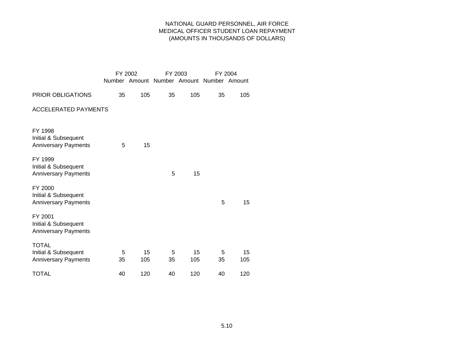# NATIONAL GUARD PERSONNEL, AIR FORCE MEDICAL OFFICER STUDENT LOAN REPAYMENT (AMOUNTS IN THOUSANDS OF DOLLARS)

|                                                                     | FY 2002 |           | FY 2003                                   |           | FY 2004 |           |  |
|---------------------------------------------------------------------|---------|-----------|-------------------------------------------|-----------|---------|-----------|--|
|                                                                     |         |           | Number Amount Number Amount Number Amount |           |         |           |  |
| PRIOR OBLIGATIONS                                                   | 35      | 105       | 35                                        | 105       | 35      | 105       |  |
| <b>ACCELERATED PAYMENTS</b>                                         |         |           |                                           |           |         |           |  |
| FY 1998<br>Initial & Subsequent<br><b>Anniversary Payments</b>      | 5       | 15        |                                           |           |         |           |  |
| FY 1999<br>Initial & Subsequent<br><b>Anniversary Payments</b>      |         |           | 5                                         | 15        |         |           |  |
| FY 2000<br>Initial & Subsequent<br><b>Anniversary Payments</b>      |         |           |                                           |           | 5       | 15        |  |
| FY 2001<br>Initial & Subsequent<br><b>Anniversary Payments</b>      |         |           |                                           |           |         |           |  |
| <b>TOTAL</b><br>Initial & Subsequent<br><b>Anniversary Payments</b> | 5<br>35 | 15<br>105 | 5<br>35                                   | 15<br>105 | 5<br>35 | 15<br>105 |  |
| <b>TOTAL</b>                                                        | 40      | 120       | 40                                        | 120       | 40      | 120       |  |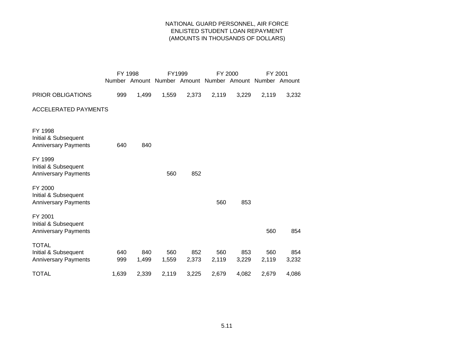# NATIONAL GUARD PERSONNEL, AIR FORCE ENLISTED STUDENT LOAN REPAYMENT (AMOUNTS IN THOUSANDS OF DOLLARS)

|                                                                     |            | FY 1998                                                 |              | FY1999       | FY 2000      |              | FY 2001      |              |
|---------------------------------------------------------------------|------------|---------------------------------------------------------|--------------|--------------|--------------|--------------|--------------|--------------|
|                                                                     |            | Number Amount Number Amount Number Amount Number Amount |              |              |              |              |              |              |
| PRIOR OBLIGATIONS                                                   | 999        | 1,499                                                   | 1,559        | 2,373        | 2,119        | 3,229        | 2,119        | 3,232        |
| <b>ACCELERATED PAYMENTS</b>                                         |            |                                                         |              |              |              |              |              |              |
| FY 1998<br>Initial & Subsequent<br><b>Anniversary Payments</b>      | 640        | 840                                                     |              |              |              |              |              |              |
| FY 1999<br>Initial & Subsequent<br><b>Anniversary Payments</b>      |            |                                                         | 560          | 852          |              |              |              |              |
| FY 2000<br>Initial & Subsequent<br><b>Anniversary Payments</b>      |            |                                                         |              |              | 560          | 853          |              |              |
| FY 2001<br>Initial & Subsequent<br><b>Anniversary Payments</b>      |            |                                                         |              |              |              |              | 560          | 854          |
| <b>TOTAL</b><br>Initial & Subsequent<br><b>Anniversary Payments</b> | 640<br>999 | 840<br>1,499                                            | 560<br>1,559 | 852<br>2,373 | 560<br>2,119 | 853<br>3,229 | 560<br>2,119 | 854<br>3,232 |
| <b>TOTAL</b>                                                        | 1,639      | 2,339                                                   | 2,119        | 3,225        | 2,679        | 4,082        | 2,679        | 4,086        |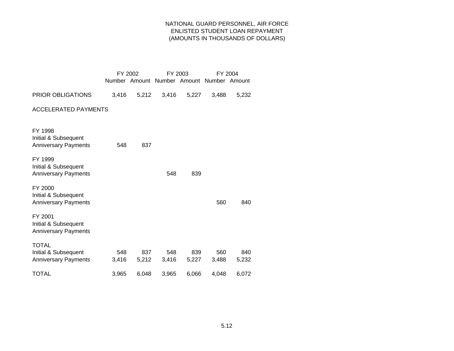# NATIONAL GUARD PERSONNEL, AIR FORCE ENLISTED STUDENT LOAN REPAYMENT (AMOUNTS IN THOUSANDS OF DOLLARS)

|                                                                                                   | FY 2002      |              | FY 2003           |              | FY 2004                                   |              |  |
|---------------------------------------------------------------------------------------------------|--------------|--------------|-------------------|--------------|-------------------------------------------|--------------|--|
|                                                                                                   |              |              |                   |              | Number Amount Number Amount Number Amount |              |  |
| <b>PRIOR OBLIGATIONS</b>                                                                          | 3,416        |              | 5,212 3,416 5,227 |              | 3,488                                     | 5,232        |  |
| <b>ACCELERATED PAYMENTS</b>                                                                       |              |              |                   |              |                                           |              |  |
| FY 1998<br>Initial & Subsequent<br><b>Anniversary Payments</b><br>FY 1999<br>Initial & Subsequent | 548          | 837          | 548               |              |                                           |              |  |
| <b>Anniversary Payments</b><br>FY 2000                                                            |              |              |                   | 839          |                                           |              |  |
| Initial & Subsequent<br><b>Anniversary Payments</b>                                               |              |              |                   |              | 560                                       | 840          |  |
| FY 2001<br>Initial & Subsequent<br><b>Anniversary Payments</b>                                    |              |              |                   |              |                                           |              |  |
| <b>TOTAL</b><br>Initial & Subsequent<br><b>Anniversary Payments</b>                               | 548<br>3,416 | 837<br>5,212 | 548<br>3,416      | 839<br>5,227 | 560<br>3,488                              | 840<br>5,232 |  |
| <b>TOTAL</b>                                                                                      | 3,965        | 6,048        | 3,965             | 6,066        | 4,048                                     | 6,072        |  |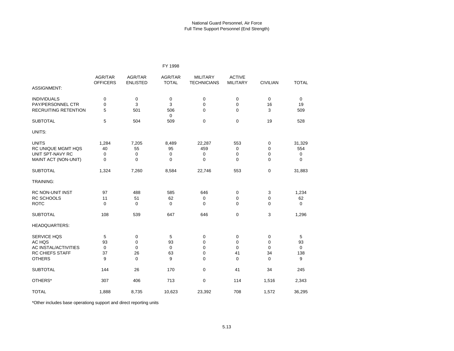|                             |                            |                            | FY 1998                 |                                       |                                  |                 |              |
|-----------------------------|----------------------------|----------------------------|-------------------------|---------------------------------------|----------------------------------|-----------------|--------------|
|                             | AGR/TAR<br><b>OFFICERS</b> | AGR/TAR<br><b>ENLISTED</b> | AGR/TAR<br><b>TOTAL</b> | <b>MILITARY</b><br><b>TECHNICIANS</b> | <b>ACTIVE</b><br><b>MILITARY</b> | <b>CIVILIAN</b> | <b>TOTAL</b> |
| <b>ASSIGNMENT:</b>          |                            |                            |                         |                                       |                                  |                 |              |
| <b>INDIVIDUALS</b>          | $\mathbf 0$                | 0                          | 0                       | $\mathbf 0$                           | 0                                | $\mathbf 0$     | $\mathbf 0$  |
| PAY/PERSONNEL CTR           | $\mathbf 0$                | 3                          | 3                       | $\mathbf 0$                           | 0                                | 16              | 19           |
| <b>RECRUITING RETENTION</b> | 5                          | 501                        | 506<br>$\mathbf 0$      | $\Omega$                              | $\Omega$                         | 3               | 509          |
| <b>SUBTOTAL</b>             | 5                          | 504                        | 509                     | $\mathbf 0$                           | 0                                | 19              | 528          |
| UNITS:                      |                            |                            |                         |                                       |                                  |                 |              |
| <b>UNITS</b>                | 1,284                      | 7,205                      | 8,489                   | 22,287                                | 553                              | 0               | 31,329       |
| <b>RC UNIQUE MGMT HQS</b>   | 40                         | 55                         | 95                      | 459                                   | 0                                | $\mathbf 0$     | 554          |
| UNIT SPT-NAVY RC            | 0                          | 0                          | 0                       | 0                                     | 0                                | 0               | 0            |
| MAINT ACT (NON-UNIT)        | $\mathbf 0$                | 0                          | $\Omega$                | $\Omega$                              | $\Omega$                         | $\Omega$        | $\mathbf 0$  |
| <b>SUBTOTAL</b>             | 1,324                      | 7,260                      | 8,584                   | 22,746                                | 553                              | 0               | 31,883       |
| TRAINING:                   |                            |                            |                         |                                       |                                  |                 |              |
| <b>RC NON-UNIT INST</b>     | 97                         | 488                        | 585                     | 646                                   | 0                                | 3               | 1,234        |
| RC SCHOOLS                  | 11                         | 51                         | 62                      | 0                                     | 0                                | $\mathbf 0$     | 62           |
| <b>ROTC</b>                 | $\mathbf 0$                | $\mathbf 0$                | $\mathbf 0$             | $\Omega$                              | 0                                | $\mathbf 0$     | $\mathbf 0$  |
| <b>SUBTOTAL</b>             | 108                        | 539                        | 647                     | 646                                   | 0                                | 3               | 1,296        |
| <b>HEADQUARTERS:</b>        |                            |                            |                         |                                       |                                  |                 |              |
| <b>SERVICE HQS</b>          | 5                          | 0                          | 5                       | 0                                     | 0                                | 0               | 5            |
| AC HQS                      | 93                         | 0                          | 93                      | $\mathbf 0$                           | 0                                | $\mathbf 0$     | 93           |
| AC INSTAL/ACTIVITIES        | $\mathbf 0$                | 0                          | 0                       | 0                                     | 0                                | $\mathbf 0$     | $\mathbf 0$  |
| <b>RC CHIEFS STAFF</b>      | 37                         | 26                         | 63                      | $\mathbf 0$                           | 41                               | 34              | 138          |
| <b>OTHERS</b>               | 9                          | $\Omega$                   | 9                       | $\Omega$                              | $\Omega$                         | $\Omega$        | 9            |
| <b>SUBTOTAL</b>             | 144                        | 26                         | 170                     | 0                                     | 41                               | 34              | 245          |
| OTHERS*                     | 307                        | 406                        | 713                     | $\mathbf 0$                           | 114                              | 1,516           | 2,343        |
| <b>TOTAL</b>                | 1,888                      | 8,735                      | 10,623                  | 23,392                                | 708                              | 1,572           | 36,295       |

\*Other includes base operationg support and direct reporting units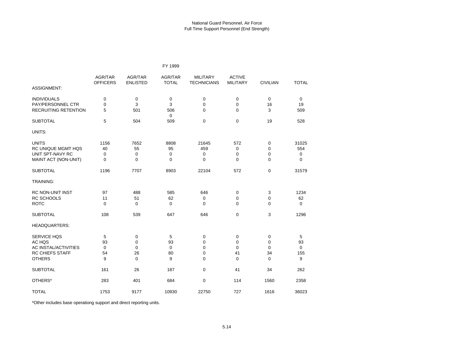|                             |                            |                            | FY 1999                 |                                       |                                  |                 |              |
|-----------------------------|----------------------------|----------------------------|-------------------------|---------------------------------------|----------------------------------|-----------------|--------------|
|                             | AGR/TAR<br><b>OFFICERS</b> | AGR/TAR<br><b>ENLISTED</b> | AGR/TAR<br><b>TOTAL</b> | <b>MILITARY</b><br><b>TECHNICIANS</b> | <b>ACTIVE</b><br><b>MILITARY</b> | <b>CIVILIAN</b> | <b>TOTAL</b> |
| <b>ASSIGNMENT:</b>          |                            |                            |                         |                                       |                                  |                 |              |
| <b>INDIVIDUALS</b>          | $\mathbf 0$                | $\mathbf 0$                | $\mathbf 0$             | 0                                     | 0                                | $\mathbf 0$     | $\mathbf 0$  |
| PAY/PERSONNEL CTR           | $\mathbf 0$                | 3                          | 3                       | 0                                     | $\pmb{0}$                        | 16              | 19           |
| <b>RECRUITING RETENTION</b> | 5                          | 501                        | 506<br>$\mathbf 0$      | 0                                     | $\Omega$                         | 3               | 509          |
| <b>SUBTOTAL</b>             | 5                          | 504                        | 509                     | $\mathbf 0$                           | $\mathbf 0$                      | 19              | 528          |
| UNITS:                      |                            |                            |                         |                                       |                                  |                 |              |
| <b>UNITS</b>                | 1156                       | 7652                       | 8808                    | 21645                                 | 572                              | $\mathbf 0$     | 31025        |
| <b>RC UNIQUE MGMT HQS</b>   | 40                         | 55                         | 95                      | 459                                   | 0                                | 0               | 554          |
| UNIT SPT-NAVY RC            | $\mathbf 0$                | $\mathbf 0$                | $\mathbf 0$             | $\mathbf 0$                           | $\mathbf 0$                      | $\mathbf 0$     | 0            |
| MAINT ACT (NON-UNIT)        | $\mathbf 0$                | $\mathbf 0$                | $\overline{0}$          | 0                                     | $\Omega$                         | $\mathbf 0$     | $\mathbf 0$  |
| <b>SUBTOTAL</b>             | 1196                       | 7707                       | 8903                    | 22104                                 | 572                              | $\mathbf 0$     | 31579        |
| <b>TRAINING:</b>            |                            |                            |                         |                                       |                                  |                 |              |
| RC NON-UNIT INST            | 97                         | 488                        | 585                     | 646                                   | 0                                | 3               | 1234         |
| RC SCHOOLS                  | 11                         | 51                         | 62                      | 0                                     | $\mathbf 0$                      | 0               | 62           |
| <b>ROTC</b>                 | $\Omega$                   | $\mathbf 0$                | $\mathbf 0$             | $\mathbf 0$                           | $\Omega$                         | $\Omega$        | $\mathbf 0$  |
| <b>SUBTOTAL</b>             | 108                        | 539                        | 647                     | 646                                   | $\mathbf 0$                      | 3               | 1296         |
| <b>HEADQUARTERS:</b>        |                            |                            |                         |                                       |                                  |                 |              |
| <b>SERVICE HQS</b>          | 5                          | 0                          | 5                       | 0                                     | 0                                | 0               | 5            |
| AC HQS                      | 93                         | $\mathbf 0$                | 93                      | $\mathbf 0$                           | $\mathbf 0$                      | $\mathbf 0$     | 93           |
| AC INSTAL/ACTIVITIES        | $\mathbf 0$                | $\mathbf 0$                | $\mathbf 0$             | $\mathbf 0$                           | $\mathbf 0$                      | $\mathbf 0$     | $\mathbf 0$  |
| <b>RC CHIEFS STAFF</b>      | 54                         | 26                         | 80                      | $\mathbf 0$                           | 41                               | 34              | 155          |
| <b>OTHERS</b>               | 9                          | $\Omega$                   | 9                       | $\Omega$                              | $\Omega$                         | $\Omega$        | 9            |
| <b>SUBTOTAL</b>             | 161                        | 26                         | 187                     | 0                                     | 41                               | 34              | 262          |
| OTHERS*                     | 283                        | 401                        | 684                     | $\mathbf 0$                           | 114                              | 1560            | 2358         |
| <b>TOTAL</b>                | 1753                       | 9177                       | 10930                   | 22750                                 | 727                              | 1616            | 36023        |

\*Other includes base operationg support and direct reporting units.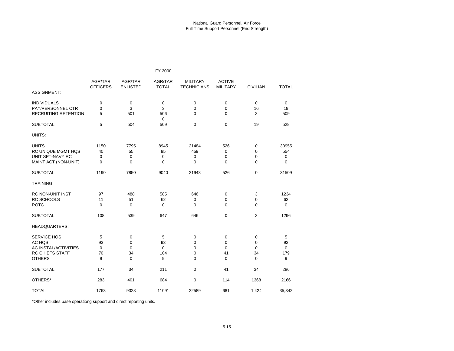|                             |                            |                            | FY 2000                 |                                       |                                  |                 |              |
|-----------------------------|----------------------------|----------------------------|-------------------------|---------------------------------------|----------------------------------|-----------------|--------------|
|                             | AGR/TAR<br><b>OFFICERS</b> | AGR/TAR<br><b>ENLISTED</b> | AGR/TAR<br><b>TOTAL</b> | <b>MILITARY</b><br><b>TECHNICIANS</b> | <b>ACTIVE</b><br><b>MILITARY</b> | <b>CIVILIAN</b> | <b>TOTAL</b> |
| <b>ASSIGNMENT:</b>          |                            |                            |                         |                                       |                                  |                 |              |
| <b>INDIVIDUALS</b>          | $\mathbf 0$                | 0                          | $\mathbf 0$             | 0                                     | 0                                | $\mathbf 0$     | 0            |
| PAY/PERSONNEL CTR           | $\mathbf 0$                | 3                          | 3                       | 0                                     | 0                                | 16              | 19           |
| RECRUITING RETENTION        | 5                          | 501                        | 506<br>$\Omega$         | $\Omega$                              | 0                                | 3               | 509          |
| <b>SUBTOTAL</b>             | 5                          | 504                        | 509                     | $\mathbf 0$                           | 0                                | 19              | 528          |
| UNITS:                      |                            |                            |                         |                                       |                                  |                 |              |
| <b>UNITS</b>                | 1150                       | 7795                       | 8945                    | 21484                                 | 526                              | 0               | 30955        |
| RC UNIQUE MGMT HQS          | 40                         | 55                         | 95                      | 459                                   | 0                                | $\mathbf 0$     | 554          |
| UNIT SPT-NAVY RC            | $\mathbf 0$                | 0                          | $\mathbf 0$             | 0                                     | 0                                | 0               | 0            |
| MAINT ACT (NON-UNIT)        | $\Omega$                   | $\Omega$                   | $\Omega$                | $\Omega$                              | $\Omega$                         | $\Omega$        | $\Omega$     |
| <b>SUBTOTAL</b>             | 1190                       | 7850                       | 9040                    | 21943                                 | 526                              | $\mathbf 0$     | 31509        |
| TRAINING:                   |                            |                            |                         |                                       |                                  |                 |              |
| <b>RC NON-UNIT INST</b>     | 97                         | 488                        | 585                     | 646                                   | 0                                | 3               | 1234         |
| RC SCHOOLS                  | 11                         | 51                         | 62                      | 0                                     | 0                                | $\mathbf 0$     | 62           |
| <b>ROTC</b>                 | $\mathbf 0$                | 0                          | $\mathbf 0$             | 0                                     | 0                                | $\Omega$        | 0            |
| <b>SUBTOTAL</b>             | 108                        | 539                        | 647                     | 646                                   | 0                                | 3               | 1296         |
| <b>HEADQUARTERS:</b>        |                            |                            |                         |                                       |                                  |                 |              |
| <b>SERVICE HQS</b>          | 5                          | 0                          | 5                       | 0                                     | 0                                | 0               | 5            |
| AC HQS                      | 93                         | $\mathbf 0$                | 93                      | 0                                     | $\mathbf 0$                      | $\mathbf 0$     | 93           |
| <b>AC INSTAL/ACTIVITIES</b> | 0                          | $\mathbf 0$                | $\mathbf 0$             | 0                                     | 0                                | 0               | 0            |
| RC CHIEFS STAFF             | 70                         | 34                         | 104                     | 0                                     | 41                               | 34              | 179          |
| <b>OTHERS</b>               | 9                          | $\Omega$                   | 9                       | $\Omega$                              | $\Omega$                         | $\Omega$        | 9            |
| <b>SUBTOTAL</b>             | 177                        | 34                         | 211                     | 0                                     | 41                               | 34              | 286          |
| OTHERS*                     | 283                        | 401                        | 684                     | $\mathbf 0$                           | 114                              | 1368            | 2166         |
| <b>TOTAL</b>                | 1763                       | 9328                       | 11091                   | 22589                                 | 681                              | 1,424           | 35,342       |

\*Other includes base operationg support and direct reporting units.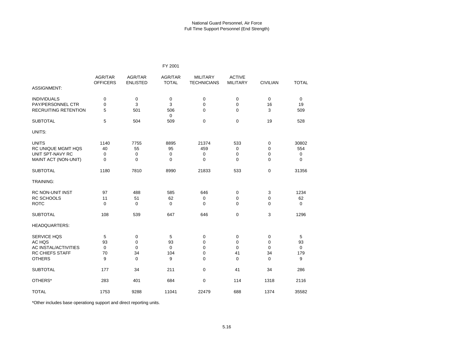|                             |                            |                            | FY 2001                 |                                       |                                  |                 |              |
|-----------------------------|----------------------------|----------------------------|-------------------------|---------------------------------------|----------------------------------|-----------------|--------------|
|                             | AGR/TAR<br><b>OFFICERS</b> | AGR/TAR<br><b>ENLISTED</b> | AGR/TAR<br><b>TOTAL</b> | <b>MILITARY</b><br><b>TECHNICIANS</b> | <b>ACTIVE</b><br><b>MILITARY</b> | <b>CIVILIAN</b> | <b>TOTAL</b> |
| <b>ASSIGNMENT:</b>          |                            |                            |                         |                                       |                                  |                 |              |
| <b>INDIVIDUALS</b>          | 0                          | 0                          | 0                       | 0                                     | 0                                | $\mathbf 0$     | 0            |
| PAY/PERSONNEL CTR           | $\mathbf 0$                | 3                          | 3                       | $\mathbf 0$                           | $\mathbf 0$                      | 16              | 19           |
| <b>RECRUITING RETENTION</b> | 5                          | 501                        | 506<br>$\mathbf 0$      | $\Omega$                              | $\Omega$                         | 3               | 509          |
| <b>SUBTOTAL</b>             | 5                          | 504                        | 509                     | $\mathbf 0$                           | $\mathbf 0$                      | 19              | 528          |
| UNITS:                      |                            |                            |                         |                                       |                                  |                 |              |
| <b>UNITS</b>                | 1140                       | 7755                       | 8895                    | 21374                                 | 533                              | $\mathbf 0$     | 30802        |
| <b>RC UNIQUE MGMT HQS</b>   | 40                         | 55                         | 95                      | 459                                   | 0                                | $\Omega$        | 554          |
| UNIT SPT-NAVY RC            | $\mathbf 0$                | $\mathbf 0$                | $\overline{0}$          | 0                                     | $\mathbf 0$                      | $\mathbf 0$     | $\mathbf 0$  |
| MAINT ACT (NON-UNIT)        | $\mathbf 0$                | 0                          | $\Omega$                | $\Omega$                              | $\Omega$                         | 0               | $\Omega$     |
| <b>SUBTOTAL</b>             | 1180                       | 7810                       | 8990                    | 21833                                 | 533                              | $\mathbf 0$     | 31356        |
| <b>TRAINING:</b>            |                            |                            |                         |                                       |                                  |                 |              |
| <b>RC NON-UNIT INST</b>     | 97                         | 488                        | 585                     | 646                                   | 0                                | 3               | 1234         |
| RC SCHOOLS                  | 11                         | 51                         | 62                      | 0                                     | $\mathbf 0$                      | $\mathbf 0$     | 62           |
| <b>ROTC</b>                 | $\Omega$                   | $\mathbf 0$                | $\overline{0}$          | $\Omega$                              | $\Omega$                         | $\Omega$        | $\mathbf 0$  |
| <b>SUBTOTAL</b>             | 108                        | 539                        | 647                     | 646                                   | 0                                | 3               | 1296         |
| <b>HEADQUARTERS:</b>        |                            |                            |                         |                                       |                                  |                 |              |
| SERVICE HQS                 | 5                          | $\mathbf 0$                | 5                       | 0                                     | $\mathbf 0$                      | $\mathbf 0$     | 5            |
| AC HQS                      | 93                         | $\mathbf 0$                | 93                      | $\mathbf 0$                           | $\mathbf 0$                      | $\mathbf 0$     | 93           |
| AC INSTAL/ACTIVITIES        | $\mathbf 0$                | $\mathbf 0$                | $\mathbf 0$             | $\mathbf 0$                           | $\mathbf 0$                      | $\mathbf 0$     | $\mathbf 0$  |
| <b>RC CHIEFS STAFF</b>      | 70                         | 34                         | 104                     | $\mathbf 0$                           | 41                               | 34              | 179          |
| <b>OTHERS</b>               | 9                          | $\Omega$                   | 9                       | $\Omega$                              | $\Omega$                         | $\Omega$        | 9            |
| <b>SUBTOTAL</b>             | 177                        | 34                         | 211                     | $\mathbf 0$                           | 41                               | 34              | 286          |
| OTHERS*                     | 283                        | 401                        | 684                     | $\mathbf 0$                           | 114                              | 1318            | 2116         |
| <b>TOTAL</b>                | 1753                       | 9288                       | 11041                   | 22479                                 | 688                              | 1374            | 35582        |

\*Other includes base operationg support and direct reporting units.